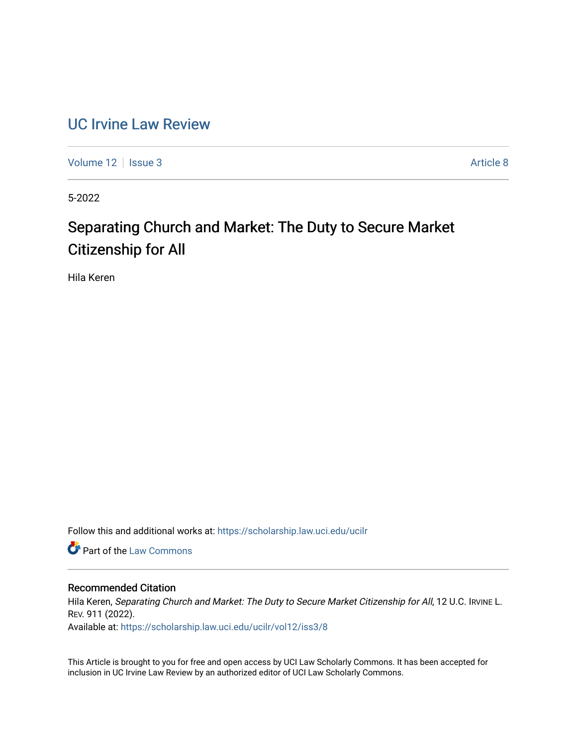## [UC Irvine Law Review](https://scholarship.law.uci.edu/ucilr)

[Volume 12](https://scholarship.law.uci.edu/ucilr/vol12) | [Issue 3](https://scholarship.law.uci.edu/ucilr/vol12/iss3) Article 8

5-2022

# Separating Church and Market: The Duty to Secure Market Citizenship for All

Hila Keren

Follow this and additional works at: [https://scholarship.law.uci.edu/ucilr](https://scholarship.law.uci.edu/ucilr?utm_source=scholarship.law.uci.edu%2Fucilr%2Fvol12%2Fiss3%2F8&utm_medium=PDF&utm_campaign=PDFCoverPages)

**C** Part of the [Law Commons](https://network.bepress.com/hgg/discipline/578?utm_source=scholarship.law.uci.edu%2Fucilr%2Fvol12%2Fiss3%2F8&utm_medium=PDF&utm_campaign=PDFCoverPages)

### Recommended Citation

Hila Keren, Separating Church and Market: The Duty to Secure Market Citizenship for All, 12 U.C. IRVINE L. REV. 911 (2022).

Available at: [https://scholarship.law.uci.edu/ucilr/vol12/iss3/8](https://scholarship.law.uci.edu/ucilr/vol12/iss3/8?utm_source=scholarship.law.uci.edu%2Fucilr%2Fvol12%2Fiss3%2F8&utm_medium=PDF&utm_campaign=PDFCoverPages) 

This Article is brought to you for free and open access by UCI Law Scholarly Commons. It has been accepted for inclusion in UC Irvine Law Review by an authorized editor of UCI Law Scholarly Commons.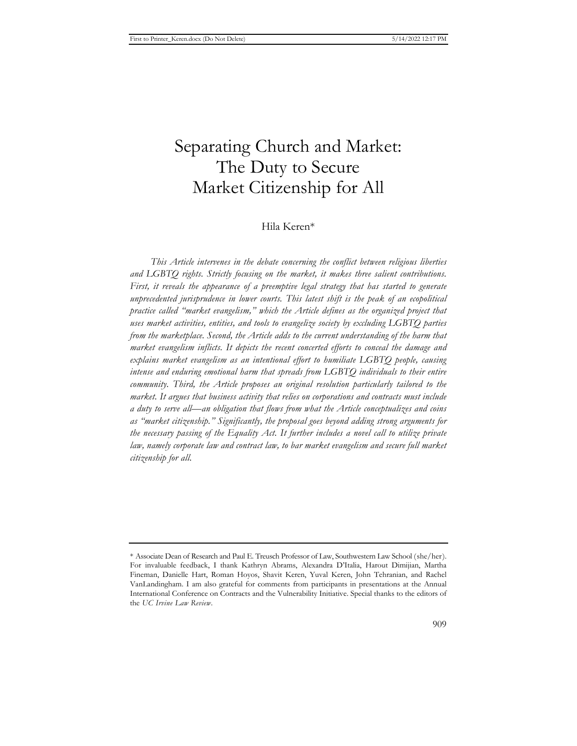## Separating Church and Market: The Duty to Secure Market Citizenship for All

### Hila Keren\*

*This Article intervenes in the debate concerning the conflict between religious liberties and LGBTQ rights. Strictly focusing on the market, it makes three salient contributions.*  First, it reveals the appearance of a preemptive legal strategy that has started to generate *unprecedented jurisprudence in lower courts. This latest shift is the peak of an ecopolitical practice called "market evangelism," which the Article defines as the organized project that uses market activities, entities, and tools to evangelize society by excluding LGBTQ parties from the marketplace. Second, the Article adds to the current understanding of the harm that market evangelism inflicts. It depicts the recent concerted efforts to conceal the damage and explains market evangelism as an intentional effort to humiliate LGBTQ people, causing intense and enduring emotional harm that spreads from LGBTQ individuals to their entire community. Third, the Article proposes an original resolution particularly tailored to the market. It argues that business activity that relies on corporations and contracts must include a duty to serve all—an obligation that flows from what the Article conceptualizes and coins as "market citizenship." Significantly, the proposal goes beyond adding strong arguments for the necessary passing of the Equality Act. It further includes a novel call to utilize private*  law, namely corporate law and contract law, to bar market evangelism and secure full market *citizenship for all.*

<sup>\*</sup> Associate Dean of Research and Paul E. Treusch Professor of Law, Southwestern Law School (she/her). For invaluable feedback, I thank Kathryn Abrams, Alexandra D'Italia, Harout Dimijian, Martha Fineman, Danielle Hart, Roman Hoyos, Shavit Keren, Yuval Keren, John Tehranian, and Rachel VanLandingham. I am also grateful for comments from participants in presentations at the Annual International Conference on Contracts and the Vulnerability Initiative. Special thanks to the editors of the *UC Irvine Law Review*.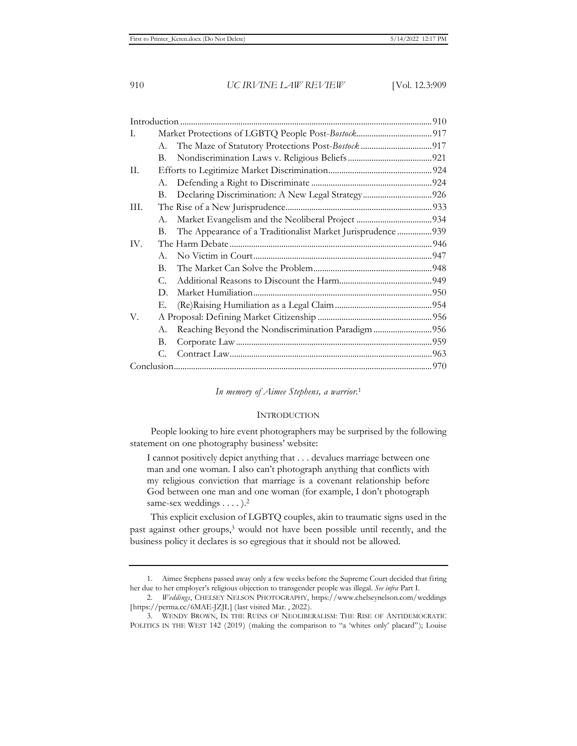| I.   |             |                                                             |  |
|------|-------------|-------------------------------------------------------------|--|
|      | A.          |                                                             |  |
|      | В.          |                                                             |  |
| П.   |             |                                                             |  |
|      | А.          |                                                             |  |
|      | В.          |                                                             |  |
| III. |             |                                                             |  |
|      | A.          |                                                             |  |
|      | В.          | The Appearance of a Traditionalist Market Jurisprudence 939 |  |
| IV.  |             |                                                             |  |
|      | $A_{\cdot}$ |                                                             |  |
|      | $B_{\cdot}$ |                                                             |  |
|      | $C_{\cdot}$ |                                                             |  |
|      | D.          |                                                             |  |
|      | Е.          |                                                             |  |
| V.   |             |                                                             |  |
|      | А.          | Reaching Beyond the Nondiscrimination Paradigm 956          |  |
|      | В.          |                                                             |  |
|      | С.          |                                                             |  |
|      |             |                                                             |  |

*In memory of Aimee Stephens, a warrior*. 1

#### **INTRODUCTION**

People looking to hire event photographers may be surprised by the following statement on one photography business' website:

I cannot positively depict anything that . . . devalues marriage between one man and one woman. I also can't photograph anything that conflicts with my religious conviction that marriage is a covenant relationship before God between one man and one woman (for example, I don't photograph same-sex weddings . . . . ).<sup>2</sup>

This explicit exclusion of LGBTQ couples, akin to traumatic signs used in the past against other groups,3 would not have been possible until recently, and the business policy it declares is so egregious that it should not be allowed.

<sup>1.</sup> Aimee Stephens passed away only a few weeks before the Supreme Court decided that firing her due to her employer's religious objection to transgender people was illegal. *See infra* Part I.

<sup>2.</sup> *Weddings*, CHELSEY NELSON PHOTOGRAPHY, https://www.chelseynelson.com/weddings [https://perma.cc/6MAE-JZJL] (last visited Mar. , 2022).

<sup>3.</sup> WENDY BROWN, IN THE RUINS OF NEOLIBERALISM: THE RISE OF ANTIDEMOCRATIC POLITICS IN THE WEST 142 (2019) (making the comparison to "a 'whites only' placard"); Louise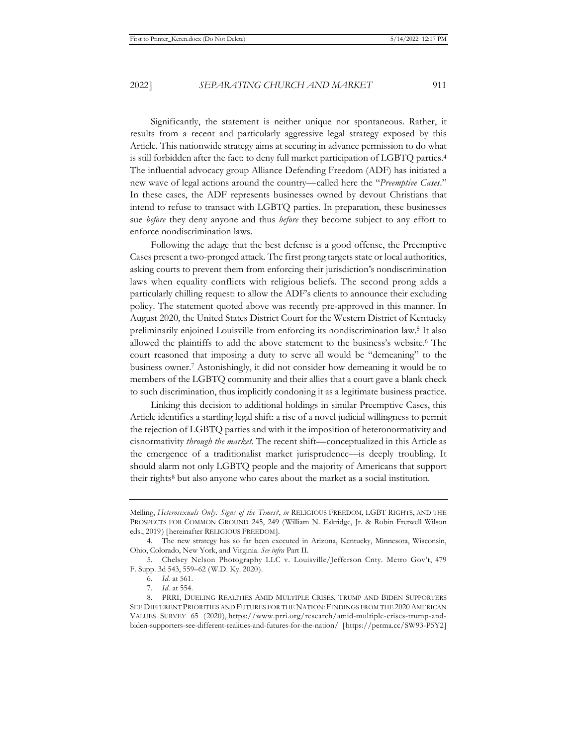Significantly, the statement is neither unique nor spontaneous. Rather, it results from a recent and particularly aggressive legal strategy exposed by this Article. This nationwide strategy aims at securing in advance permission to do what is still forbidden after the fact: to deny full market participation of LGBTQ parties.4 The influential advocacy group Alliance Defending Freedom (ADF) has initiated a new wave of legal actions around the country—called here the "*Preemptive Cases*." In these cases, the ADF represents businesses owned by devout Christians that intend to refuse to transact with LGBTQ parties. In preparation, these businesses sue *before* they deny anyone and thus *before* they become subject to any effort to enforce nondiscrimination laws.

Following the adage that the best defense is a good offense, the Preemptive Cases present a two-pronged attack. The first prong targets state or local authorities, asking courts to prevent them from enforcing their jurisdiction's nondiscrimination laws when equality conflicts with religious beliefs. The second prong adds a particularly chilling request: to allow the ADF's clients to announce their excluding policy. The statement quoted above was recently pre-approved in this manner. In August 2020, the United States District Court for the Western District of Kentucky preliminarily enjoined Louisville from enforcing its nondiscrimination law.5 It also allowed the plaintiffs to add the above statement to the business's website.6 The court reasoned that imposing a duty to serve all would be "demeaning" to the business owner.7 Astonishingly, it did not consider how demeaning it would be to members of the LGBTQ community and their allies that a court gave a blank check to such discrimination, thus implicitly condoning it as a legitimate business practice.

Linking this decision to additional holdings in similar Preemptive Cases, this Article identifies a startling legal shift: a rise of a novel judicial willingness to permit the rejection of LGBTQ parties and with it the imposition of heteronormativity and cisnormativity *through the market*. The recent shift—conceptualized in this Article as the emergence of a traditionalist market jurisprudence—is deeply troubling. It should alarm not only LGBTQ people and the majority of Americans that support their rights<sup>8</sup> but also anyone who cares about the market as a social institution.

Melling, *Heterosexuals Only: Signs of the Times?*, *in* RELIGIOUS FREEDOM, LGBT RIGHTS, AND THE PROSPECTS FOR COMMON GROUND 245, 249 (William N. Eskridge, Jr. & Robin Fretwell Wilson eds., 2019) [hereinafter RELIGIOUS FREEDOM].

<sup>4.</sup> The new strategy has so far been executed in Arizona, Kentucky, Minnesota, Wisconsin, Ohio, Colorado, New York, and Virginia. *See infra* Part II.

<sup>5.</sup> Chelsey Nelson Photography LLC v. Louisville/Jefferson Cnty. Metro Gov't, 479 F. Supp. 3d 543, 559–62 (W.D. Ky. 2020).

<sup>6.</sup> *Id.* at 561.

<sup>7.</sup> *Id.* at 554.

<sup>8.</sup> PRRI, DUELING REALITIES AMID MULTIPLE CRISES, TRUMP AND BIDEN SUPPORTERS SEE DIFFERENT PRIORITIES AND FUTURES FOR THE NATION: FINDINGS FROM THE 2020 AMERICAN VALUES SURVEY 65 (2020), https://www.prri.org/research/amid-multiple-crises-trump-andbiden-supporters-see-different-realities-and-futures-for-the-nation/ [https://perma.cc/SW93-P5Y2]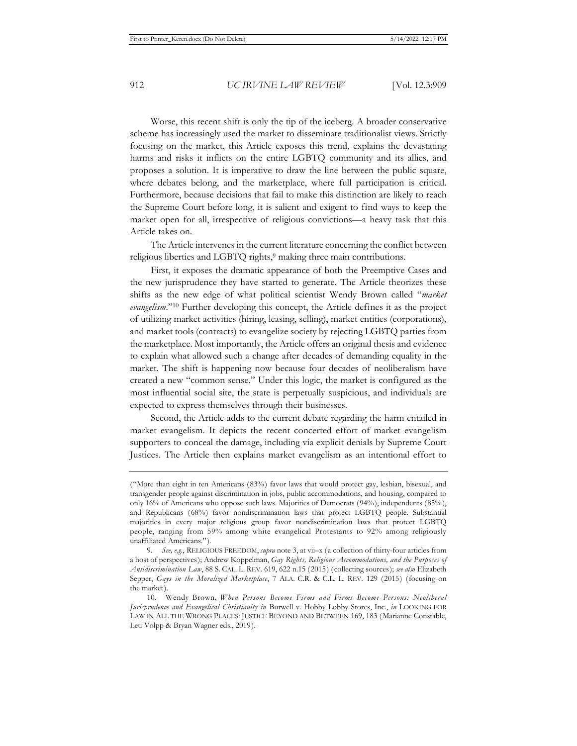Worse, this recent shift is only the tip of the iceberg. A broader conservative scheme has increasingly used the market to disseminate traditionalist views. Strictly focusing on the market, this Article exposes this trend, explains the devastating harms and risks it inflicts on the entire LGBTQ community and its allies, and proposes a solution. It is imperative to draw the line between the public square, where debates belong, and the marketplace, where full participation is critical. Furthermore, because decisions that fail to make this distinction are likely to reach the Supreme Court before long, it is salient and exigent to find ways to keep the market open for all, irrespective of religious convictions—a heavy task that this Article takes on.

The Article intervenes in the current literature concerning the conflict between religious liberties and LGBTQ rights,<sup>9</sup> making three main contributions.

First, it exposes the dramatic appearance of both the Preemptive Cases and the new jurisprudence they have started to generate. The Article theorizes these shifts as the new edge of what political scientist Wendy Brown called "*market evangelism*."10 Further developing this concept, the Article defines it as the project of utilizing market activities (hiring, leasing, selling), market entities (corporations), and market tools (contracts) to evangelize society by rejecting LGBTQ parties from the marketplace. Most importantly, the Article offers an original thesis and evidence to explain what allowed such a change after decades of demanding equality in the market. The shift is happening now because four decades of neoliberalism have created a new "common sense." Under this logic, the market is configured as the most influential social site, the state is perpetually suspicious, and individuals are expected to express themselves through their businesses.

Second, the Article adds to the current debate regarding the harm entailed in market evangelism. It depicts the recent concerted effort of market evangelism supporters to conceal the damage, including via explicit denials by Supreme Court Justices. The Article then explains market evangelism as an intentional effort to

<sup>(&</sup>quot;More than eight in ten Americans (83%) favor laws that would protect gay, lesbian, bisexual, and transgender people against discrimination in jobs, public accommodations, and housing, compared to only 16% of Americans who oppose such laws. Majorities of Democrats (94%), independents (85%), and Republicans (68%) favor nondiscrimination laws that protect LGBTQ people. Substantial majorities in every major religious group favor nondiscrimination laws that protect LGBTQ people, ranging from 59% among white evangelical Protestants to 92% among religiously unaffiliated Americans.").

<sup>9.</sup> *See, e.g.*, RELIGIOUS FREEDOM, *supra* note 3, at vii–x (a collection of thirty-four articles from a host of perspectives); Andrew Koppelman, *Gay Rights, Religious Accommodations, and the Purposes of Antidiscrimination Law*, 88 S. CAL. L. REV. 619, 622 n.15 (2015) (collecting sources); *see also* Elizabeth Sepper, *Gays in the Moralized Marketplace*, 7 ALA. C.R. & C.L. L. REV. 129 (2015) (focusing on the market).

<sup>10.</sup> Wendy Brown, *When Persons Become Firms and Firms Become Persons: Neoliberal Jurisprudence and Evangelical Christianity in* Burwell v. Hobby Lobby Stores, Inc., *in* LOOKING FOR LAW IN ALL THE WRONG PLACES: JUSTICE BEYOND AND BETWEEN 169, 183 (Marianne Constable, Leti Volpp & Bryan Wagner eds., 2019).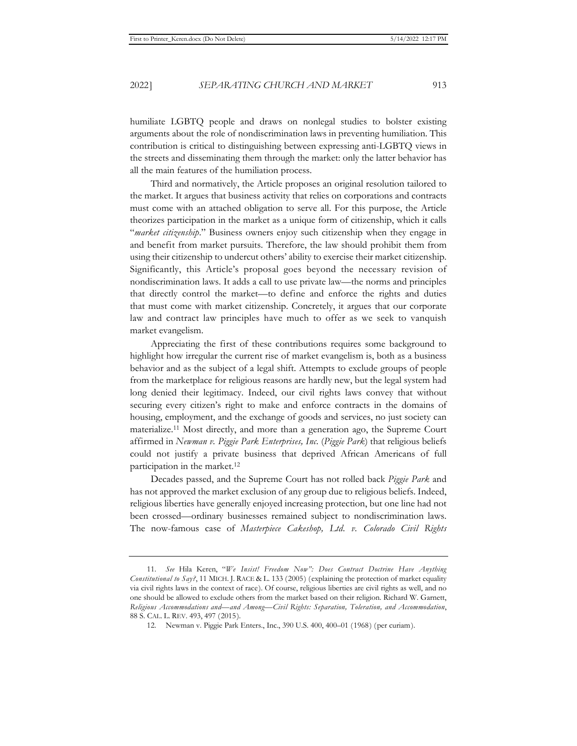humiliate LGBTQ people and draws on nonlegal studies to bolster existing arguments about the role of nondiscrimination laws in preventing humiliation. This contribution is critical to distinguishing between expressing anti-LGBTQ views in the streets and disseminating them through the market: only the latter behavior has all the main features of the humiliation process.

Third and normatively, the Article proposes an original resolution tailored to the market. It argues that business activity that relies on corporations and contracts must come with an attached obligation to serve all. For this purpose, the Article theorizes participation in the market as a unique form of citizenship, which it calls "*market citizenship*." Business owners enjoy such citizenship when they engage in and benefit from market pursuits. Therefore, the law should prohibit them from using their citizenship to undercut others' ability to exercise their market citizenship. Significantly, this Article's proposal goes beyond the necessary revision of nondiscrimination laws. It adds a call to use private law—the norms and principles that directly control the market—to define and enforce the rights and duties that must come with market citizenship. Concretely, it argues that our corporate law and contract law principles have much to offer as we seek to vanquish market evangelism.

Appreciating the first of these contributions requires some background to highlight how irregular the current rise of market evangelism is, both as a business behavior and as the subject of a legal shift. Attempts to exclude groups of people from the marketplace for religious reasons are hardly new, but the legal system had long denied their legitimacy. Indeed, our civil rights laws convey that without securing every citizen's right to make and enforce contracts in the domains of housing, employment, and the exchange of goods and services, no just society can materialize.11 Most directly, and more than a generation ago, the Supreme Court affirmed in *Newman v. Piggie Park Enterprises, Inc.* (*Piggie Park*) that religious beliefs could not justify a private business that deprived African Americans of full participation in the market.12

Decades passed, and the Supreme Court has not rolled back *Piggie Park* and has not approved the market exclusion of any group due to religious beliefs. Indeed, religious liberties have generally enjoyed increasing protection, but one line had not been crossed—ordinary businesses remained subject to nondiscrimination laws. The now-famous case of *Masterpiece Cakeshop, Ltd. v. Colorado Civil Rights* 

<sup>11.</sup> *See* Hila Keren, "*We Insist! Freedom Now": Does Contract Doctrine Have Anything Constitutional to Say?*, 11 MICH. J. RACE & L. 133 (2005) (explaining the protection of market equality via civil rights laws in the context of race). Of course, religious liberties are civil rights as well, and no one should be allowed to exclude others from the market based on their religion. Richard W. Garnett, *Religious Accommodations and—and Among—Civil Rights: Separation, Toleration, and Accommodation*, 88 S. CAL. L. REV. 493, 497 (2015).

<sup>12.</sup> Newman v. Piggie Park Enters., Inc., 390 U.S. 400, 400–01 (1968) (per curiam).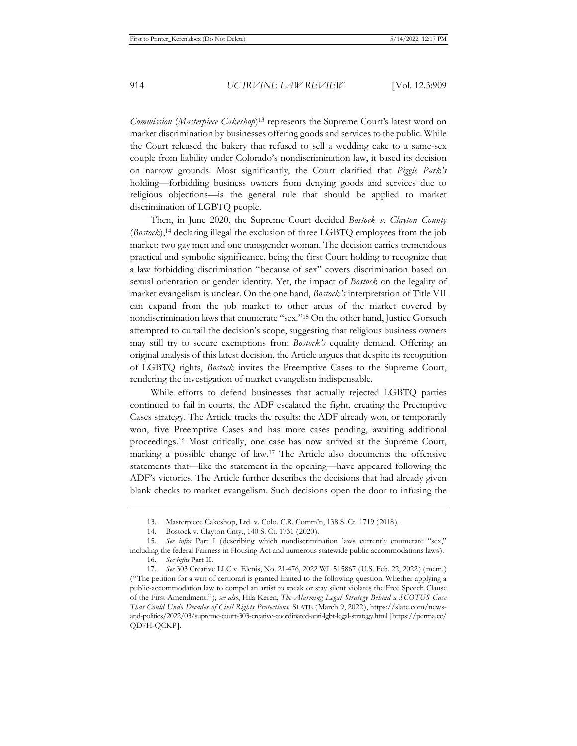*Commission* (*Masterpiece Cakeshop*)13 represents the Supreme Court's latest word on market discrimination by businesses offering goods and services to the public. While the Court released the bakery that refused to sell a wedding cake to a same-sex couple from liability under Colorado's nondiscrimination law, it based its decision on narrow grounds. Most significantly, the Court clarified that *Piggie Park's* holding—forbidding business owners from denying goods and services due to religious objections—is the general rule that should be applied to market discrimination of LGBTQ people.

Then, in June 2020, the Supreme Court decided *Bostock v. Clayton County* (*Bostock*),14 declaring illegal the exclusion of three LGBTQ employees from the job market: two gay men and one transgender woman. The decision carries tremendous practical and symbolic significance, being the first Court holding to recognize that a law forbidding discrimination "because of sex" covers discrimination based on sexual orientation or gender identity. Yet, the impact of *Bostock* on the legality of market evangelism is unclear. On the one hand, *Bostock's* interpretation of Title VII can expand from the job market to other areas of the market covered by nondiscrimination laws that enumerate "sex."15 On the other hand, Justice Gorsuch attempted to curtail the decision's scope, suggesting that religious business owners may still try to secure exemptions from *Bostock's* equality demand. Offering an original analysis of this latest decision, the Article argues that despite its recognition of LGBTQ rights, *Bostock* invites the Preemptive Cases to the Supreme Court, rendering the investigation of market evangelism indispensable.

While efforts to defend businesses that actually rejected LGBTQ parties continued to fail in courts, the ADF escalated the fight, creating the Preemptive Cases strategy. The Article tracks the results: the ADF already won, or temporarily won, five Preemptive Cases and has more cases pending, awaiting additional proceedings.16 Most critically, one case has now arrived at the Supreme Court, marking a possible change of law.17 The Article also documents the offensive statements that—like the statement in the opening—have appeared following the ADF's victories. The Article further describes the decisions that had already given blank checks to market evangelism. Such decisions open the door to infusing the

<sup>13.</sup> Masterpiece Cakeshop, Ltd. v. Colo. C.R. Comm'n, 138 S. Ct. 1719 (2018).

<sup>14.</sup> Bostock v. Clayton Cnty., 140 S. Ct. 1731 (2020).

<sup>15.</sup> *See infra* Part I (describing which nondiscrimination laws currently enumerate "sex," including the federal Fairness in Housing Act and numerous statewide public accommodations laws).

<sup>16.</sup> *See infra* Part II.

<sup>17.</sup> *See* 303 Creative LLC v. Elenis, No. 21-476, 2022 WL 515867 (U.S. Feb. 22, 2022) (mem.) ("The petition for a writ of certiorari is granted limited to the following question: Whether applying a public-accommodation law to compel an artist to speak or stay silent violates the Free Speech Clause of the First Amendment."); *see also*, Hila Keren, *The Alarming Legal Strategy Behind a SCOTUS Case That Could Undo Decades of Civil Rights Protections,* SLATE (March 9, 2022), https://slate.com/newsand-politics/2022/03/supreme-court-303-creative-coordinated-anti-lgbt-legal-strategy.html [https://perma.cc/ QD7H-QCKP].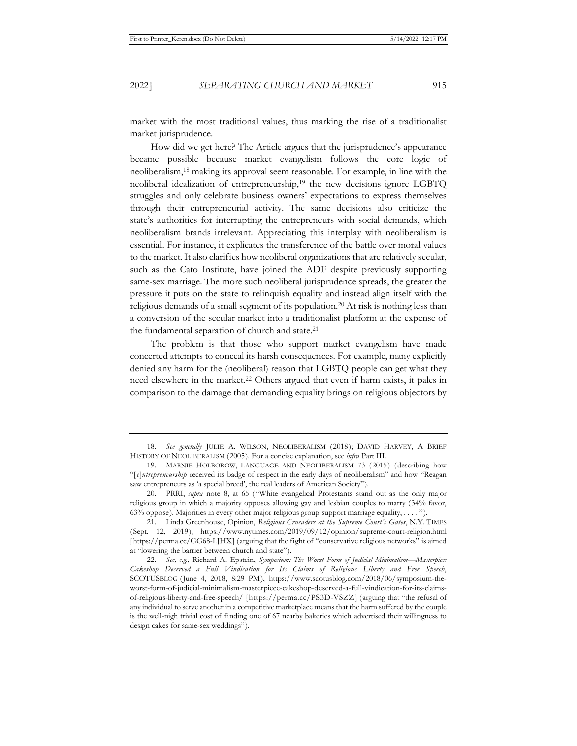market with the most traditional values, thus marking the rise of a traditionalist market jurisprudence.

How did we get here? The Article argues that the jurisprudence's appearance became possible because market evangelism follows the core logic of neoliberalism,18 making its approval seem reasonable. For example, in line with the neoliberal idealization of entrepreneurship,<sup>19</sup> the new decisions ignore LGBTQ struggles and only celebrate business owners' expectations to express themselves through their entrepreneurial activity. The same decisions also criticize the state's authorities for interrupting the entrepreneurs with social demands, which neoliberalism brands irrelevant. Appreciating this interplay with neoliberalism is essential. For instance, it explicates the transference of the battle over moral values to the market. It also clarifies how neoliberal organizations that are relatively secular, such as the Cato Institute, have joined the ADF despite previously supporting same-sex marriage. The more such neoliberal jurisprudence spreads, the greater the pressure it puts on the state to relinquish equality and instead align itself with the religious demands of a small segment of its population.<sup>20</sup> At risk is nothing less than a conversion of the secular market into a traditionalist platform at the expense of the fundamental separation of church and state.<sup>21</sup>

The problem is that those who support market evangelism have made concerted attempts to conceal its harsh consequences. For example, many explicitly denied any harm for the (neoliberal) reason that LGBTQ people can get what they need elsewhere in the market.22 Others argued that even if harm exists, it pales in comparison to the damage that demanding equality brings on religious objectors by

<sup>18.</sup> *See generally* JULIE A. WILSON, NEOLIBERALISM (2018); DAVID HARVEY, A BRIEF HISTORY OF NEOLIBERALISM (2005). For a concise explanation, see *infra* Part III.

<sup>19.</sup> MARNIE HOLBOROW, LANGUAGE AND NEOLIBERALISM 73 (2015) (describing how "[*e*]*ntrepreneurship* received its badge of respect in the early days of neoliberalism" and how "Reagan saw entrepreneurs as 'a special breed', the real leaders of American Society").

<sup>20.</sup> PRRI, *supra* note 8, at 65 ("White evangelical Protestants stand out as the only major religious group in which a majority opposes allowing gay and lesbian couples to marry (34% favor, 63% oppose). Majorities in every other major religious group support marriage equality, . . . . ").

<sup>21.</sup> Linda Greenhouse, Opinion, *Religious Crusaders at the Supreme Court's Gates*, N.Y. TIMES (Sept. 12, 2019), https://www.nytimes.com/2019/09/12/opinion/supreme-court-religion.html [https://perma.cc/GG68-LJHX] (arguing that the fight of "conservative religious networks" is aimed at "lowering the barrier between church and state").

<sup>22.</sup> *See, e.g.*, Richard A. Epstein, *Symposium: The Worst Form of Judicial Minimalism—Masterpiece Cakeshop Deserved a Full Vindication for Its Claims of Religious Liberty and Free Speech*, SCOTUSBLOG (June 4, 2018, 8:29 PM), https://www.scotusblog.com/2018/06/symposium-theworst-form-of-judicial-minimalism-masterpiece-cakeshop-deserved-a-full-vindication-for-its-claimsof-religious-liberty-and-free-speech/ [https://perma.cc/PS3D-VSZZ] (arguing that "the refusal of any individual to serve another in a competitive marketplace means that the harm suffered by the couple is the well-nigh trivial cost of finding one of 67 nearby bakeries which advertised their willingness to design cakes for same-sex weddings").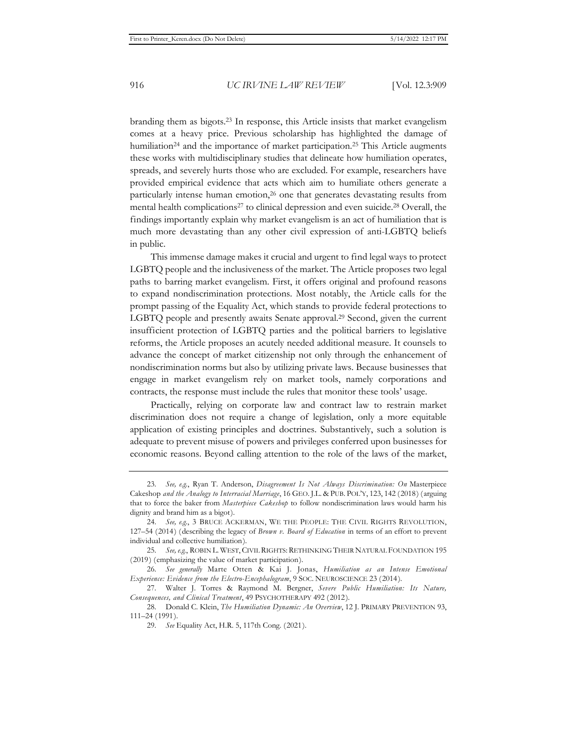branding them as bigots.23 In response, this Article insists that market evangelism comes at a heavy price. Previous scholarship has highlighted the damage of humiliation<sup>24</sup> and the importance of market participation.<sup>25</sup> This Article augments these works with multidisciplinary studies that delineate how humiliation operates, spreads, and severely hurts those who are excluded. For example, researchers have provided empirical evidence that acts which aim to humiliate others generate a particularly intense human emotion,<sup>26</sup> one that generates devastating results from mental health complications<sup>27</sup> to clinical depression and even suicide.<sup>28</sup> Overall, the findings importantly explain why market evangelism is an act of humiliation that is much more devastating than any other civil expression of anti-LGBTQ beliefs in public.

This immense damage makes it crucial and urgent to find legal ways to protect LGBTQ people and the inclusiveness of the market. The Article proposes two legal paths to barring market evangelism. First, it offers original and profound reasons to expand nondiscrimination protections. Most notably, the Article calls for the prompt passing of the Equality Act, which stands to provide federal protections to LGBTQ people and presently awaits Senate approval.29 Second, given the current insufficient protection of LGBTQ parties and the political barriers to legislative reforms, the Article proposes an acutely needed additional measure. It counsels to advance the concept of market citizenship not only through the enhancement of nondiscrimination norms but also by utilizing private laws. Because businesses that engage in market evangelism rely on market tools, namely corporations and contracts, the response must include the rules that monitor these tools' usage.

Practically, relying on corporate law and contract law to restrain market discrimination does not require a change of legislation, only a more equitable application of existing principles and doctrines. Substantively, such a solution is adequate to prevent misuse of powers and privileges conferred upon businesses for economic reasons. Beyond calling attention to the role of the laws of the market,

<sup>23.</sup> *See, e.g.*, Ryan T. Anderson, *Disagreement Is Not Always Discrimination: On* Masterpiece Cakeshop *and the Analogy to Interracial Marriage*, 16 GEO. J.L. & PUB. POL'Y, 123, 142 (2018) (arguing that to force the baker from *Masterpiece Cakeshop* to follow nondiscrimination laws would harm his dignity and brand him as a bigot).

<sup>24.</sup> See, e.g., 3 BRUCE ACKERMAN, WE THE PEOPLE: THE CIVIL RIGHTS REVOLUTION, 127–54 (2014) (describing the legacy of *Brown v. Board of Education* in terms of an effort to prevent individual and collective humiliation).

<sup>25.</sup> *See, e.g.*, ROBIN L. WEST, CIVIL RIGHTS: RETHINKING THEIR NATURAL FOUNDATION 195 (2019) (emphasizing the value of market participation).

<sup>26.</sup> *See generally* Marte Otten & Kai J. Jonas, *Humiliation as an Intense Emotional Experience: Evidence from the Electro-Encephalogram*, 9 SOC. NEUROSCIENCE 23 (2014).

<sup>27.</sup> Walter J. Torres & Raymond M. Bergner, *Severe Public Humiliation: Its Nature, Consequences, and Clinical Treatment*, 49 PSYCHOTHERAPY 492 (2012).

<sup>28.</sup> Donald C. Klein, *The Humiliation Dynamic: An Overview*, 12 J. PRIMARY PREVENTION 93, 111–24 (1991).

<sup>29.</sup> *See* Equality Act, H.R. 5, 117th Cong. (2021).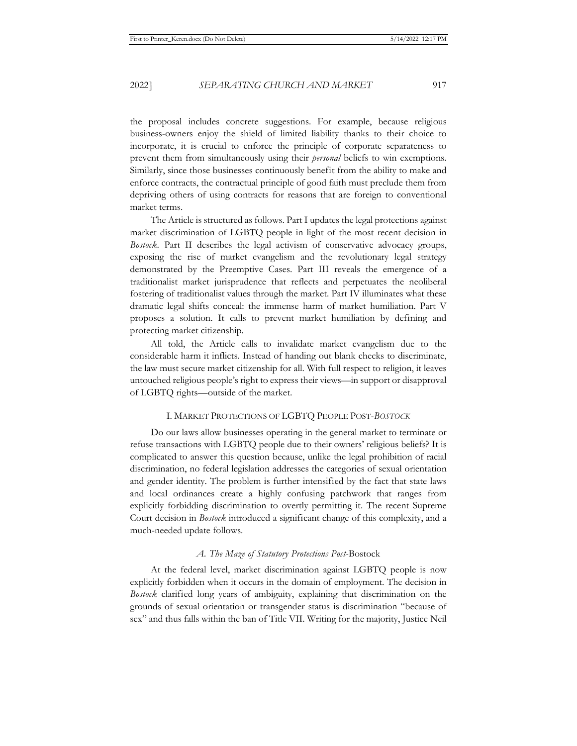the proposal includes concrete suggestions. For example, because religious business-owners enjoy the shield of limited liability thanks to their choice to incorporate, it is crucial to enforce the principle of corporate separateness to prevent them from simultaneously using their *personal* beliefs to win exemptions. Similarly, since those businesses continuously benefit from the ability to make and enforce contracts, the contractual principle of good faith must preclude them from depriving others of using contracts for reasons that are foreign to conventional market terms.

The Article is structured as follows. Part I updates the legal protections against market discrimination of LGBTQ people in light of the most recent decision in *Bostock*. Part II describes the legal activism of conservative advocacy groups, exposing the rise of market evangelism and the revolutionary legal strategy demonstrated by the Preemptive Cases. Part III reveals the emergence of a traditionalist market jurisprudence that reflects and perpetuates the neoliberal fostering of traditionalist values through the market. Part IV illuminates what these dramatic legal shifts conceal: the immense harm of market humiliation. Part V proposes a solution. It calls to prevent market humiliation by defining and protecting market citizenship.

All told, the Article calls to invalidate market evangelism due to the considerable harm it inflicts. Instead of handing out blank checks to discriminate, the law must secure market citizenship for all. With full respect to religion, it leaves untouched religious people's right to express their views—in support or disapproval of LGBTQ rights—outside of the market.

#### I. MARKET PROTECTIONS OF LGBTQ PEOPLE POST-*BOSTOCK*

Do our laws allow businesses operating in the general market to terminate or refuse transactions with LGBTQ people due to their owners' religious beliefs? It is complicated to answer this question because, unlike the legal prohibition of racial discrimination, no federal legislation addresses the categories of sexual orientation and gender identity. The problem is further intensified by the fact that state laws and local ordinances create a highly confusing patchwork that ranges from explicitly forbidding discrimination to overtly permitting it. The recent Supreme Court decision in *Bostock* introduced a significant change of this complexity, and a much-needed update follows.

#### *A. The Maze of Statutory Protections Post-*Bostock

At the federal level, market discrimination against LGBTQ people is now explicitly forbidden when it occurs in the domain of employment. The decision in *Bostock* clarified long years of ambiguity, explaining that discrimination on the grounds of sexual orientation or transgender status is discrimination "because of sex" and thus falls within the ban of Title VII. Writing for the majority, Justice Neil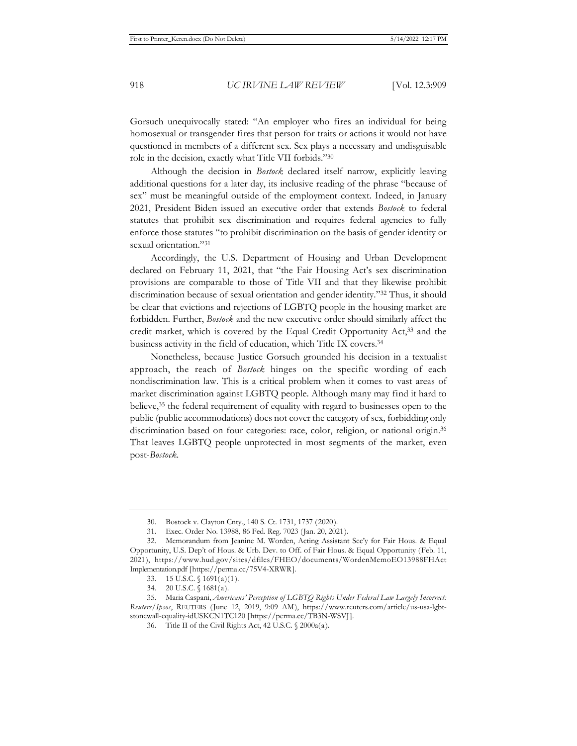Gorsuch unequivocally stated: "An employer who fires an individual for being homosexual or transgender fires that person for traits or actions it would not have questioned in members of a different sex. Sex plays a necessary and undisguisable role in the decision, exactly what Title VII forbids."30

Although the decision in *Bostock* declared itself narrow, explicitly leaving additional questions for a later day, its inclusive reading of the phrase "because of sex" must be meaningful outside of the employment context. Indeed, in January 2021, President Biden issued an executive order that extends *Bostock* to federal statutes that prohibit sex discrimination and requires federal agencies to fully enforce those statutes "to prohibit discrimination on the basis of gender identity or sexual orientation."31

Accordingly, the U.S. Department of Housing and Urban Development declared on February 11, 2021, that "the Fair Housing Act's sex discrimination provisions are comparable to those of Title VII and that they likewise prohibit discrimination because of sexual orientation and gender identity."32 Thus, it should be clear that evictions and rejections of LGBTQ people in the housing market are forbidden. Further, *Bostock* and the new executive order should similarly affect the credit market, which is covered by the Equal Credit Opportunity Act,<sup>33</sup> and the business activity in the field of education, which Title IX covers.34

Nonetheless, because Justice Gorsuch grounded his decision in a textualist approach, the reach of *Bostock* hinges on the specific wording of each nondiscrimination law. This is a critical problem when it comes to vast areas of market discrimination against LGBTQ people. Although many may find it hard to believe,35 the federal requirement of equality with regard to businesses open to the public (public accommodations) does not cover the category of sex, forbidding only discrimination based on four categories: race, color, religion, or national origin.<sup>36</sup> That leaves LGBTQ people unprotected in most segments of the market, even post-*Bostock*.

<sup>30.</sup> Bostock v. Clayton Cnty., 140 S. Ct. 1731, 1737 (2020).

<sup>31.</sup> Exec. Order No. 13988, 86 Fed. Reg. 7023 (Jan. 20, 2021).

<sup>32.</sup> Memorandum from Jeanine M. Worden, Acting Assistant Sec'y for Fair Hous. & Equal Opportunity, U.S. Dep't of Hous. & Urb. Dev. to Off. of Fair Hous. & Equal Opportunity (Feb. 11, 2021), https://www.hud.gov/sites/dfiles/FHEO/documents/WordenMemoEO13988FHAct Implementation.pdf [https://perma.cc/75V4-XRWR].

<sup>33. 15</sup> U.S.C. § 1691(a)(1).

<sup>34. 20</sup> U.S.C. § 1681(a).

<sup>35.</sup> Maria Caspani, *Americans' Perception of LGBTQ Rights Under Federal Law Largely Incorrect: Reuters/Ipsos*, REUTERS (June 12, 2019, 9:09 AM), https://www.reuters.com/article/us-usa-lgbtstonewall-equality-idUSKCN1TC120 [https://perma.cc/TB3N-WSVJ].

<sup>36.</sup> Title II of the Civil Rights Act, 42 U.S.C. § 2000a(a).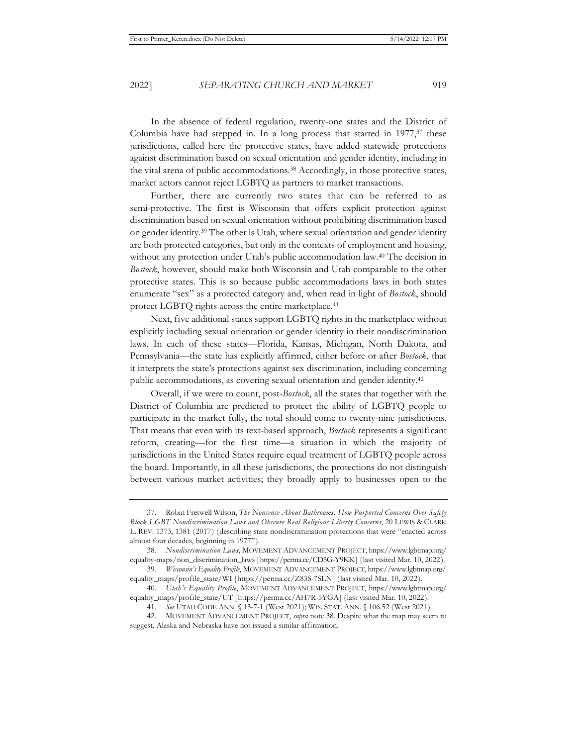In the absence of federal regulation, twenty-one states and the District of Columbia have had stepped in. In a long process that started in  $1977,37$  these jurisdictions, called here the protective states, have added statewide protections against discrimination based on sexual orientation and gender identity, including in the vital arena of public accommodations.38 Accordingly, in those protective states, market actors cannot reject LGBTQ as partners to market transactions.

Further, there are currently two states that can be referred to as semi-protective. The first is Wisconsin that offers explicit protection against discrimination based on sexual orientation without prohibiting discrimination based on gender identity.39 The other is Utah, where sexual orientation and gender identity are both protected categories, but only in the contexts of employment and housing, without any protection under Utah's public accommodation law.<sup>40</sup> The decision in *Bostock*, however, should make both Wisconsin and Utah comparable to the other protective states. This is so because public accommodations laws in both states enumerate "sex" as a protected category and, when read in light of *Bostock*, should protect LGBTQ rights across the entire marketplace.41

Next, five additional states support LGBTQ rights in the marketplace without explicitly including sexual orientation or gender identity in their nondiscrimination laws. In each of these states—Florida, Kansas, Michigan, North Dakota, and Pennsylvania—the state has explicitly affirmed, either before or after *Bostock*, that it interprets the state's protections against sex discrimination, including concerning public accommodations, as covering sexual orientation and gender identity.42

Overall, if we were to count, post-*Bostock*, all the states that together with the District of Columbia are predicted to protect the ability of LGBTQ people to participate in the market fully, the total should come to twenty-nine jurisdictions. That means that even with its text-based approach, *Bostock* represents a significant reform, creating—for the first time—a situation in which the majority of jurisdictions in the United States require equal treatment of LGBTQ people across the board. Importantly, in all these jurisdictions, the protections do not distinguish between various market activities; they broadly apply to businesses open to the

<sup>37.</sup> Robin Fretwell Wilson, *The Nonsense About Bathrooms: How Purported Concerns Over Safety Block LGBT Nondiscrimination Laws and Obscure Real Religious Liberty Concerns*, 20 LEWIS & CLARK L. REV. 1373, 1381 (2017) (describing state nondiscrimination protections that were "enacted across almost four decades, beginning in 1977").

<sup>38.</sup> *Nondiscrimination Laws*, MOVEMENT ADVANCEMENT PROJECT, https://www.lgbtmap.org/ equality-maps/non\_discrimination\_laws [https://perma.cc/CD5G-Y9KK] (last visited Mar. 10, 2022).

<sup>39.</sup> *Wisconsin's Equality Profile*, MOVEMENT ADVANCEMENT PROJECT, https://www.lgbtmap.org/ equality\_maps/profile\_state/WI [https://perma.cc/Z83S-7SLN] (last visited Mar. 10, 2022).

<sup>40.</sup> *Utah's Equality Profile*, MOVEMENT ADVANCEMENT PROJECT, https://www.lgbtmap.org/ equality\_maps/profile\_state/UT [https://perma.cc/AH7R-5YGA] (last visited Mar. 10, 2022).

<sup>41.</sup> *See* UTAH CODE ANN. § 13-7-1 (West 2021); WIS. STAT. ANN. § 106.52 (West 2021).

<sup>42.</sup> MOVEMENT ADVANCEMENT PROJECT, *supra* note 38. Despite what the map may seem to suggest, Alaska and Nebraska have not issued a similar affirmation.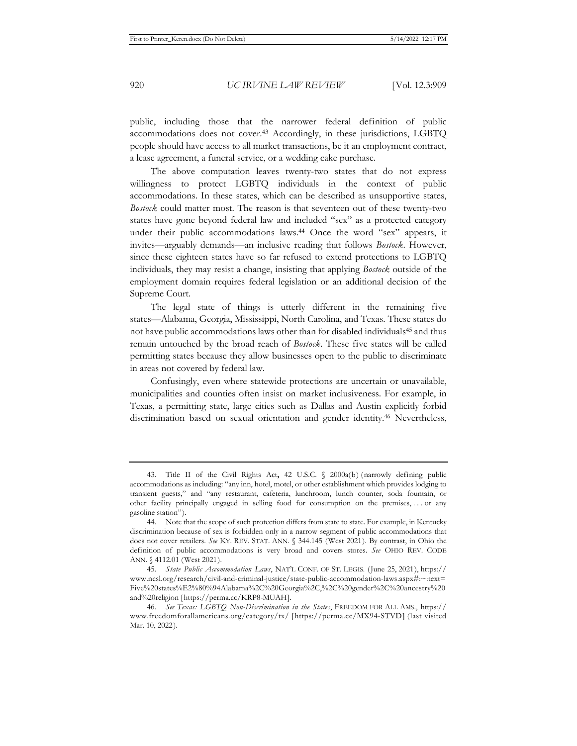public, including those that the narrower federal definition of public accommodations does not cover.43 Accordingly, in these jurisdictions, LGBTQ people should have access to all market transactions, be it an employment contract, a lease agreement, a funeral service, or a wedding cake purchase.

The above computation leaves twenty-two states that do not express willingness to protect LGBTQ individuals in the context of public accommodations. In these states, which can be described as unsupportive states, *Bostock* could matter most. The reason is that seventeen out of these twenty-two states have gone beyond federal law and included "sex" as a protected category under their public accommodations laws.<sup>44</sup> Once the word "sex" appears, it invites—arguably demands—an inclusive reading that follows *Bostock*. However, since these eighteen states have so far refused to extend protections to LGBTQ individuals, they may resist a change, insisting that applying *Bostock* outside of the employment domain requires federal legislation or an additional decision of the Supreme Court.

The legal state of things is utterly different in the remaining five states—Alabama, Georgia, Mississippi, North Carolina, and Texas. These states do not have public accommodations laws other than for disabled individuals<sup>45</sup> and thus remain untouched by the broad reach of *Bostock*. These five states will be called permitting states because they allow businesses open to the public to discriminate in areas not covered by federal law.

Confusingly, even where statewide protections are uncertain or unavailable, municipalities and counties often insist on market inclusiveness. For example, in Texas, a permitting state, large cities such as Dallas and Austin explicitly forbid discrimination based on sexual orientation and gender identity.46 Nevertheless,

<sup>43.</sup> Title II of the Civil Rights Act**,** 42 U.S.C. § 2000a(b) (narrowly defining public accommodations as including: "any inn, hotel, motel, or other establishment which provides lodging to transient guests," and "any restaurant, cafeteria, lunchroom, lunch counter, soda fountain, or other facility principally engaged in selling food for consumption on the premises, . . . or any gasoline station").

<sup>44.</sup> Note that the scope of such protection differs from state to state. For example, in Kentucky discrimination because of sex is forbidden only in a narrow segment of public accommodations that does not cover retailers. *See* KY. REV. STAT. ANN. § 344.145 (West 2021). By contrast, in Ohio the definition of public accommodations is very broad and covers stores. *See* OHIO REV. CODE ANN. § 4112.01 (West 2021).

<sup>45.</sup> *State Public Accommodation Laws*, NAT'L CONF. OF ST. LEGIS. (June 25, 2021), https:// www.ncsl.org/research/civil-and-criminal-justice/state-public-accommodation-laws.aspx#:~:text= Five%20states%E2%80%94Alabama%2C%20Georgia%2C,%2C%20gender%2C%20ancestry%20 and%20religion [https://perma.cc/KRP8-MUAH].

<sup>46.</sup> *See Texas: LGBTQ Non-Discrimination in the States*, FREEDOM FOR ALL AMS., https:// www.freedomforallamericans.org/category/tx/ [https://perma.cc/MX94-STVD] (last visited Mar. 10, 2022).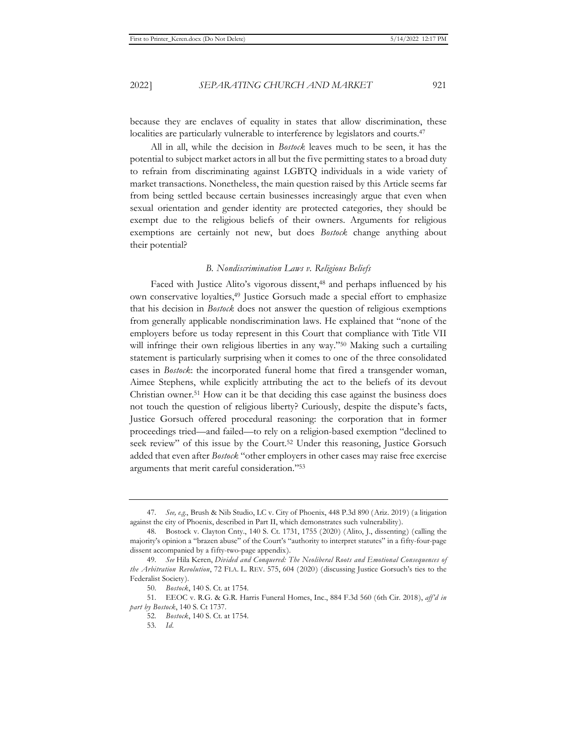because they are enclaves of equality in states that allow discrimination, these localities are particularly vulnerable to interference by legislators and courts.<sup>47</sup>

All in all, while the decision in *Bostock* leaves much to be seen, it has the potential to subject market actors in all but the five permitting states to a broad duty to refrain from discriminating against LGBTQ individuals in a wide variety of market transactions. Nonetheless, the main question raised by this Article seems far from being settled because certain businesses increasingly argue that even when sexual orientation and gender identity are protected categories, they should be exempt due to the religious beliefs of their owners. Arguments for religious exemptions are certainly not new, but does *Bostock* change anything about their potential?

#### *B. Nondiscrimination Laws v. Religious Beliefs*

Faced with Justice Alito's vigorous dissent,<sup>48</sup> and perhaps influenced by his own conservative loyalties,49 Justice Gorsuch made a special effort to emphasize that his decision in *Bostock* does not answer the question of religious exemptions from generally applicable nondiscrimination laws. He explained that "none of the employers before us today represent in this Court that compliance with Title VII will infringe their own religious liberties in any way."<sup>50</sup> Making such a curtailing statement is particularly surprising when it comes to one of the three consolidated cases in *Bostock*: the incorporated funeral home that fired a transgender woman, Aimee Stephens, while explicitly attributing the act to the beliefs of its devout Christian owner.51 How can it be that deciding this case against the business does not touch the question of religious liberty? Curiously, despite the dispute's facts, Justice Gorsuch offered procedural reasoning: the corporation that in former proceedings tried—and failed—to rely on a religion-based exemption "declined to seek review" of this issue by the Court.<sup>52</sup> Under this reasoning, Justice Gorsuch added that even after *Bostock* "other employers in other cases may raise free exercise arguments that merit careful consideration."53

<sup>47.</sup> *See, e.g.*, Brush & Nib Studio, LC v. City of Phoenix, 448 P.3d 890 (Ariz. 2019) (a litigation against the city of Phoenix, described in Part II, which demonstrates such vulnerability).

<sup>48.</sup> Bostock v. Clayton Cnty., 140 S. Ct. 1731, 1755 (2020) (Alito, J., dissenting) (calling the majority's opinion a "brazen abuse" of the Court's "authority to interpret statutes" in a fifty-four-page dissent accompanied by a fifty-two-page appendix).

<sup>49.</sup> *See* Hila Keren, *Divided and Conquered: The Neoliberal Roots and Emotional Consequences of the Arbitration Revolution*, 72 FLA. L. REV. 575, 604 (2020) (discussing Justice Gorsuch's ties to the Federalist Society).

<sup>50.</sup> *Bostock*, 140 S. Ct. at 1754.

<sup>51.</sup> EEOC v. R.G. & G.R. Harris Funeral Homes, Inc., 884 F.3d 560 (6th Cir. 2018), *aff'd in part by Bostock*, 140 S. Ct 1737.

<sup>52.</sup> *Bostock*, 140 S. Ct. at 1754.

<sup>53.</sup> *Id.*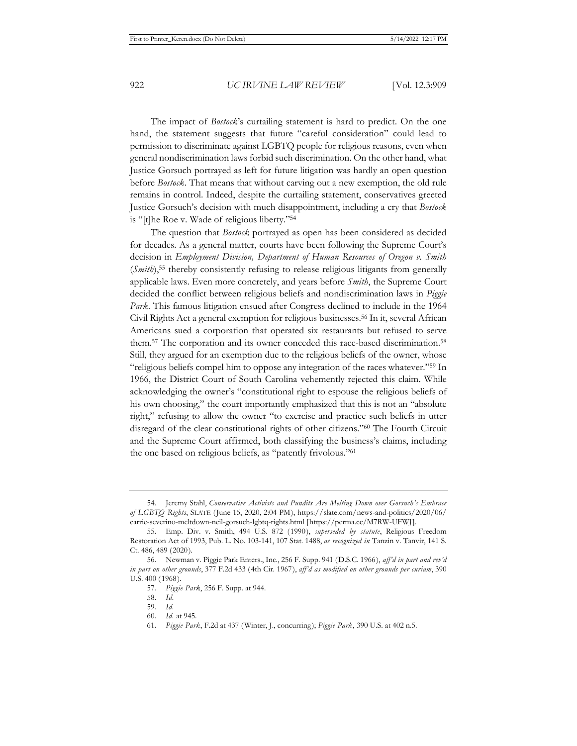The impact of *Bostock*'s curtailing statement is hard to predict. On the one hand, the statement suggests that future "careful consideration" could lead to permission to discriminate against LGBTQ people for religious reasons, even when general nondiscrimination laws forbid such discrimination. On the other hand, what Justice Gorsuch portrayed as left for future litigation was hardly an open question before *Bostock*. That means that without carving out a new exemption, the old rule remains in control. Indeed, despite the curtailing statement, conservatives greeted Justice Gorsuch's decision with much disappointment, including a cry that *Bostock* is "[t]he Roe v. Wade of religious liberty."54

The question that *Bostock* portrayed as open has been considered as decided for decades. As a general matter, courts have been following the Supreme Court's decision in *Employment Division, Department of Human Resources of Oregon v. Smith* (*Smith*),<sup>55</sup> thereby consistently refusing to release religious litigants from generally applicable laws. Even more concretely, and years before *Smith*, the Supreme Court decided the conflict between religious beliefs and nondiscrimination laws in *Piggie Park*. This famous litigation ensued after Congress declined to include in the 1964 Civil Rights Act a general exemption for religious businesses.56 In it, several African Americans sued a corporation that operated six restaurants but refused to serve them.<sup>57</sup> The corporation and its owner conceded this race-based discrimination.<sup>58</sup> Still, they argued for an exemption due to the religious beliefs of the owner, whose "religious beliefs compel him to oppose any integration of the races whatever."59 In 1966, the District Court of South Carolina vehemently rejected this claim. While acknowledging the owner's "constitutional right to espouse the religious beliefs of his own choosing," the court importantly emphasized that this is not an "absolute right," refusing to allow the owner "to exercise and practice such beliefs in utter disregard of the clear constitutional rights of other citizens."60 The Fourth Circuit and the Supreme Court affirmed, both classifying the business's claims, including the one based on religious beliefs, as "patently frivolous."61

<sup>54.</sup> Jeremy Stahl, *Conservative Activists and Pundits Are Melting Down over Gorsuch's Embrace of LGBTQ Rights*, SLATE (June 15, 2020, 2:04 PM), https://slate.com/news-and-politics/2020/06/ carrie-severino-meltdown-neil-gorsuch-lgbtq-rights.html [https://perma.cc/M7RW-UFWJ].

<sup>55.</sup> Emp. Div. v. Smith, 494 U.S. 872 (1990), *superseded by statute*, Religious Freedom Restoration Act of 1993, Pub. L. No. 103-141, 107 Stat. 1488, *as recognized in* Tanzin v. Tanvir, 141 S. Ct. 486, 489 (2020).

<sup>56.</sup> Newman v. Piggie Park Enters., Inc., 256 F. Supp. 941 (D.S.C. 1966), *aff'd in part and rev'd in part on other grounds*, 377 F.2d 433 (4th Cir. 1967), *aff'd as modified on other grounds per curiam*, 390 U.S. 400 (1968).

<sup>57.</sup> *Piggie Park*, 256 F. Supp. at 944.

<sup>58.</sup> *Id.*

<sup>59.</sup> *Id.*

<sup>60.</sup> *Id.* at 945.

<sup>61.</sup> *Piggie Park*, F.2d at 437 (Winter, J., concurring); *Piggie Park*, 390 U.S. at 402 n.5.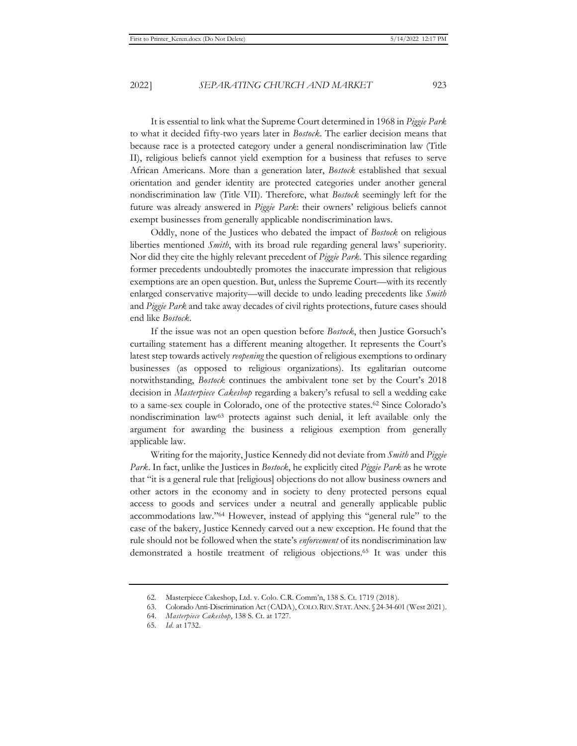It is essential to link what the Supreme Court determined in 1968 in *Piggie Park* to what it decided fifty-two years later in *Bostock*. The earlier decision means that because race is a protected category under a general nondiscrimination law (Title II), religious beliefs cannot yield exemption for a business that refuses to serve African Americans. More than a generation later, *Bostock* established that sexual orientation and gender identity are protected categories under another general nondiscrimination law (Title VII). Therefore, what *Bostock* seemingly left for the future was already answered in *Piggie Park*: their owners' religious beliefs cannot exempt businesses from generally applicable nondiscrimination laws.

Oddly, none of the Justices who debated the impact of *Bostock* on religious liberties mentioned *Smith*, with its broad rule regarding general laws' superiority. Nor did they cite the highly relevant precedent of *Piggie Park*. This silence regarding former precedents undoubtedly promotes the inaccurate impression that religious exemptions are an open question. But, unless the Supreme Court—with its recently enlarged conservative majority—will decide to undo leading precedents like *Smith* and *Piggie Park* and take away decades of civil rights protections, future cases should end like *Bostock*.

If the issue was not an open question before *Bostock*, then Justice Gorsuch's curtailing statement has a different meaning altogether. It represents the Court's latest step towards actively *reopening* the question of religious exemptions to ordinary businesses (as opposed to religious organizations). Its egalitarian outcome notwithstanding, *Bostock* continues the ambivalent tone set by the Court's 2018 decision in *Masterpiece Cakeshop* regarding a bakery's refusal to sell a wedding cake to a same-sex couple in Colorado, one of the protective states.62 Since Colorado's nondiscrimination law63 protects against such denial, it left available only the argument for awarding the business a religious exemption from generally applicable law.

Writing for the majority, Justice Kennedy did not deviate from *Smith* and *Piggie Park*. In fact, unlike the Justices in *Bostock*, he explicitly cited *Piggie Park* as he wrote that "it is a general rule that [religious] objections do not allow business owners and other actors in the economy and in society to deny protected persons equal access to goods and services under a neutral and generally applicable public accommodations law."64 However, instead of applying this "general rule" to the case of the bakery, Justice Kennedy carved out a new exception. He found that the rule should not be followed when the state's *enforcement* of its nondiscrimination law demonstrated a hostile treatment of religious objections.65 It was under this

<sup>62.</sup> Masterpiece Cakeshop, Ltd. v. Colo. C.R. Comm'n, 138 S. Ct. 1719 (2018).

<sup>63.</sup> Colorado Anti-Discrimination Act (CADA), COLO.REV.STAT.ANN. § 24-34-601 (West 2021).

<sup>64.</sup> *Masterpiece Cakeshop*, 138 S. Ct. at 1727.

<sup>65.</sup> *Id.* at 1732.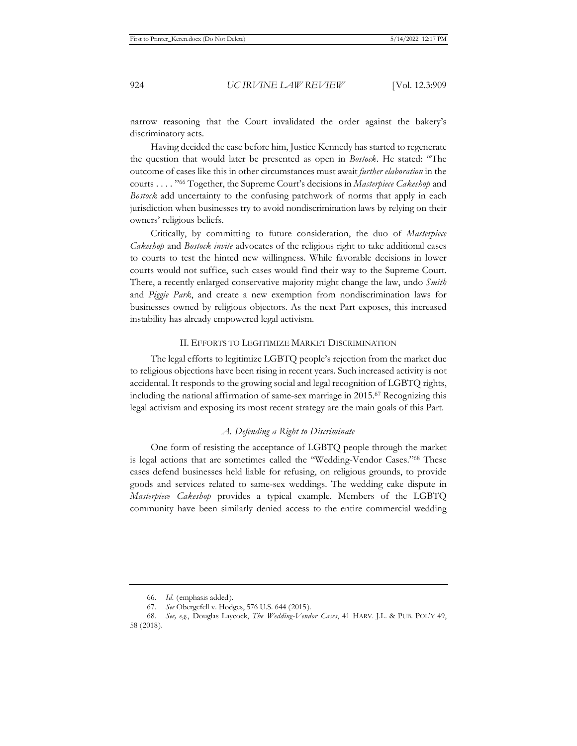narrow reasoning that the Court invalidated the order against the bakery's discriminatory acts.

Having decided the case before him, Justice Kennedy has started to regenerate the question that would later be presented as open in *Bostock*. He stated: "The outcome of cases like this in other circumstances must await *further elaboration* in the courts . . . . "66 Together, the Supreme Court's decisions in *Masterpiece Cakeshop* and *Bostock* add uncertainty to the confusing patchwork of norms that apply in each jurisdiction when businesses try to avoid nondiscrimination laws by relying on their owners' religious beliefs.

Critically, by committing to future consideration, the duo of *Masterpiece Cakeshop* and *Bostock invite* advocates of the religious right to take additional cases to courts to test the hinted new willingness. While favorable decisions in lower courts would not suffice, such cases would find their way to the Supreme Court. There, a recently enlarged conservative majority might change the law, undo *Smith*  and *Piggie Park*, and create a new exemption from nondiscrimination laws for businesses owned by religious objectors. As the next Part exposes, this increased instability has already empowered legal activism.

#### II. EFFORTS TO LEGITIMIZE MARKET DISCRIMINATION

The legal efforts to legitimize LGBTQ people's rejection from the market due to religious objections have been rising in recent years. Such increased activity is not accidental. It responds to the growing social and legal recognition of LGBTQ rights, including the national affirmation of same-sex marriage in 2015.67 Recognizing this legal activism and exposing its most recent strategy are the main goals of this Part.

#### *A. Defending a Right to Discriminate*

One form of resisting the acceptance of LGBTQ people through the market is legal actions that are sometimes called the "Wedding-Vendor Cases."68 These cases defend businesses held liable for refusing, on religious grounds, to provide goods and services related to same-sex weddings. The wedding cake dispute in *Masterpiece Cakeshop* provides a typical example. Members of the LGBTQ community have been similarly denied access to the entire commercial wedding

<sup>66.</sup> *Id.* (emphasis added).

<sup>67.</sup> *See* Obergefell v. Hodges, 576 U.S. 644 (2015).

<sup>68.</sup> *See, e.g.*, Douglas Laycock, *The Wedding-Vendor Cases*, 41 HARV. J.L. & PUB. POL'Y 49, 58 (2018).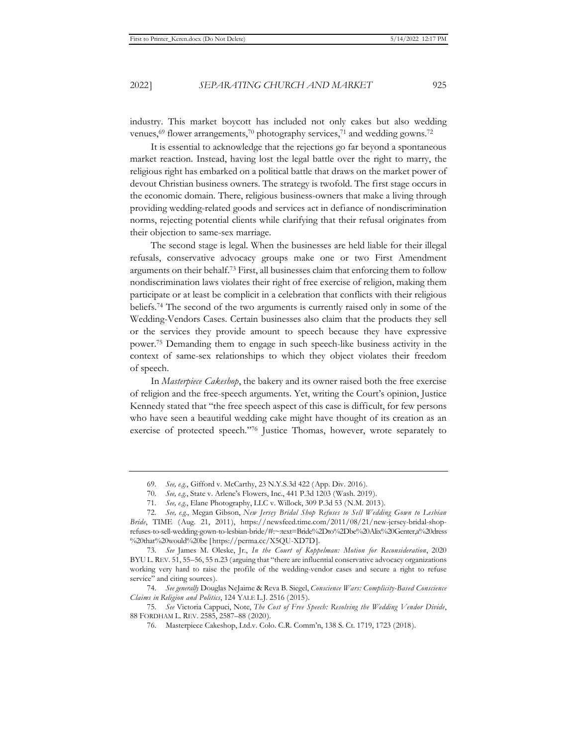industry. This market boycott has included not only cakes but also wedding venues,<sup>69</sup> flower arrangements,<sup>70</sup> photography services,<sup>71</sup> and wedding gowns.<sup>72</sup>

It is essential to acknowledge that the rejections go far beyond a spontaneous market reaction. Instead, having lost the legal battle over the right to marry, the religious right has embarked on a political battle that draws on the market power of devout Christian business owners. The strategy is twofold. The first stage occurs in the economic domain. There, religious business-owners that make a living through providing wedding-related goods and services act in defiance of nondiscrimination norms, rejecting potential clients while clarifying that their refusal originates from their objection to same-sex marriage.

The second stage is legal. When the businesses are held liable for their illegal refusals, conservative advocacy groups make one or two First Amendment arguments on their behalf.73 First, all businesses claim that enforcing them to follow nondiscrimination laws violates their right of free exercise of religion, making them participate or at least be complicit in a celebration that conflicts with their religious beliefs.74 The second of the two arguments is currently raised only in some of the Wedding-Vendors Cases. Certain businesses also claim that the products they sell or the services they provide amount to speech because they have expressive power.75 Demanding them to engage in such speech-like business activity in the context of same-sex relationships to which they object violates their freedom of speech.

In *Masterpiece Cakeshop*, the bakery and its owner raised both the free exercise of religion and the free-speech arguments. Yet, writing the Court's opinion, Justice Kennedy stated that "the free speech aspect of this case is difficult, for few persons who have seen a beautiful wedding cake might have thought of its creation as an exercise of protected speech."76 Justice Thomas, however, wrote separately to

<sup>69.</sup> *See, e.g.*, Gifford v. McCarthy, 23 N.Y.S.3d 422 (App. Div. 2016).

<sup>70.</sup> *See, e.g.*, State v. Arlene's Flowers, Inc., 441 P.3d 1203 (Wash. 2019).

<sup>71.</sup> *See, e.g.*, Elane Photography, LLC v. Willock, 309 P.3d 53 (N.M. 2013).

<sup>72.</sup> *See, e.g.*, Megan Gibson, *New Jersey Bridal Shop Refuses to Sell Wedding Gown to Lesbian Bride*, TIME (Aug. 21, 2011), https://newsfeed.time.com/2011/08/21/new-jersey-bridal-shoprefuses-to-sell-wedding-gown-to-lesbian-bride/#:~:text=Bride%2Dto%2Dbe%20Alix%20Genter,a%20dress %20that%20would%20be [https://perma.cc/X5QU-XD7D].

<sup>73.</sup> *See* James M. Oleske, Jr., *In the Court of Koppelman: Motion for Reconsideration*, 2020 BYU L. REV. 51, 55–56, 55 n.23 (arguing that "there are influential conservative advocacy organizations working very hard to raise the profile of the wedding-vendor cases and secure a right to refuse service" and citing sources).

<sup>74.</sup> *See generally* Douglas NeJaime & Reva B. Siegel, *Conscience Wars: Complicity-Based Conscience Claims in Religion and Politics*, 124 YALE L.J. 2516 (2015).

<sup>75.</sup> *See* Victoria Cappuci, Note, *The Cost of Free Speech: Resolving the Wedding Vendor Divide*, 88 FORDHAM L. REV. 2585, 2587–88 (2020).

<sup>76.</sup> Masterpiece Cakeshop, Ltd.v. Colo. C.R. Comm'n, 138 S. Ct. 1719, 1723 (2018).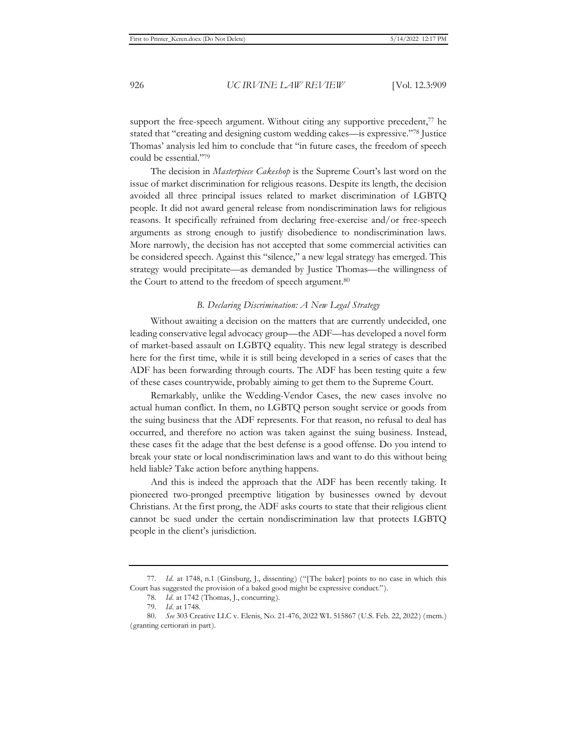support the free-speech argument. Without citing any supportive precedent,<sup>77</sup> he stated that "creating and designing custom wedding cakes—is expressive."78 Justice Thomas' analysis led him to conclude that "in future cases, the freedom of speech could be essential."79

The decision in *Masterpiece Cakeshop* is the Supreme Court's last word on the issue of market discrimination for religious reasons. Despite its length, the decision avoided all three principal issues related to market discrimination of LGBTQ people. It did not award general release from nondiscrimination laws for religious reasons. It specifically refrained from declaring free-exercise and/or free-speech arguments as strong enough to justify disobedience to nondiscrimination laws. More narrowly, the decision has not accepted that some commercial activities can be considered speech. Against this "silence," a new legal strategy has emerged. This strategy would precipitate—as demanded by Justice Thomas—the willingness of the Court to attend to the freedom of speech argument.<sup>80</sup>

#### *B. Declaring Discrimination: A New Legal Strategy*

Without awaiting a decision on the matters that are currently undecided, one leading conservative legal advocacy group—the ADF—has developed a novel form of market-based assault on LGBTQ equality. This new legal strategy is described here for the first time, while it is still being developed in a series of cases that the ADF has been forwarding through courts. The ADF has been testing quite a few of these cases countrywide, probably aiming to get them to the Supreme Court.

Remarkably, unlike the Wedding-Vendor Cases, the new cases involve no actual human conflict. In them, no LGBTQ person sought service or goods from the suing business that the ADF represents. For that reason, no refusal to deal has occurred, and therefore no action was taken against the suing business. Instead, these cases fit the adage that the best defense is a good offense. Do you intend to break your state or local nondiscrimination laws and want to do this without being held liable? Take action before anything happens.

And this is indeed the approach that the ADF has been recently taking. It pioneered two-pronged preemptive litigation by businesses owned by devout Christians. At the first prong, the ADF asks courts to state that their religious client cannot be sued under the certain nondiscrimination law that protects LGBTQ people in the client's jurisdiction.

<sup>77.</sup> *Id.* at 1748, n.1 (Ginsburg, J., dissenting) ("[The baker] points to no case in which this Court has suggested the provision of a baked good might be expressive conduct.").

<sup>78.</sup> *Id.* at 1742 (Thomas, J., concurring).

<sup>79.</sup> *Id.* at 1748.

<sup>80.</sup> *See* 303 Creative LLC v. Elenis, No. 21-476, 2022 WL 515867 (U.S. Feb. 22, 2022) (mem.) (granting certiorari in part).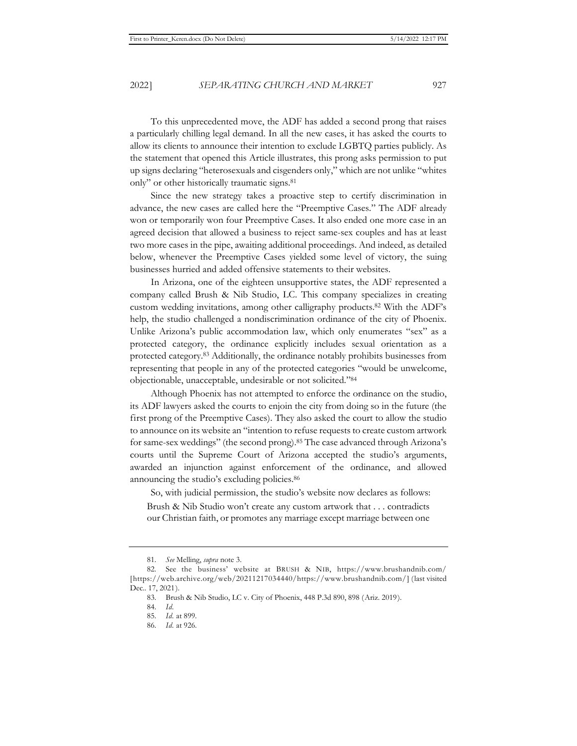To this unprecedented move, the ADF has added a second prong that raises a particularly chilling legal demand. In all the new cases, it has asked the courts to allow its clients to announce their intention to exclude LGBTQ parties publicly. As the statement that opened this Article illustrates, this prong asks permission to put up signs declaring "heterosexuals and cisgenders only," which are not unlike "whites only" or other historically traumatic signs.81

Since the new strategy takes a proactive step to certify discrimination in advance, the new cases are called here the "Preemptive Cases." The ADF already won or temporarily won four Preemptive Cases. It also ended one more case in an agreed decision that allowed a business to reject same-sex couples and has at least two more cases in the pipe, awaiting additional proceedings. And indeed, as detailed below, whenever the Preemptive Cases yielded some level of victory, the suing businesses hurried and added offensive statements to their websites.

In Arizona, one of the eighteen unsupportive states, the ADF represented a company called Brush & Nib Studio, LC. This company specializes in creating custom wedding invitations, among other calligraphy products.82 With the ADF's help, the studio challenged a nondiscrimination ordinance of the city of Phoenix. Unlike Arizona's public accommodation law, which only enumerates "sex" as a protected category, the ordinance explicitly includes sexual orientation as a protected category.83 Additionally, the ordinance notably prohibits businesses from representing that people in any of the protected categories "would be unwelcome, objectionable, unacceptable, undesirable or not solicited."84

Although Phoenix has not attempted to enforce the ordinance on the studio, its ADF lawyers asked the courts to enjoin the city from doing so in the future (the first prong of the Preemptive Cases). They also asked the court to allow the studio to announce on its website an "intention to refuse requests to create custom artwork for same-sex weddings" (the second prong).85 The case advanced through Arizona's courts until the Supreme Court of Arizona accepted the studio's arguments, awarded an injunction against enforcement of the ordinance, and allowed announcing the studio's excluding policies.86

So, with judicial permission, the studio's website now declares as follows:

Brush & Nib Studio won't create any custom artwork that . . . contradicts our Christian faith, or promotes any marriage except marriage between one

<sup>81.</sup> *See* Melling, *supra* note 3.

<sup>82.</sup> See the business' website at BRUSH & NIB, https://www.brushandnib.com/ [https://web.archive.org/web/20211217034440/https://www.brushandnib.com/] (last visited Dec.. 17, 2021).

<sup>83.</sup> Brush & Nib Studio, LC v. City of Phoenix, 448 P.3d 890, 898 (Ariz. 2019).

<sup>84.</sup> *Id.*

<sup>85.</sup> *Id.* at 899.

<sup>86.</sup> *Id.* at 926.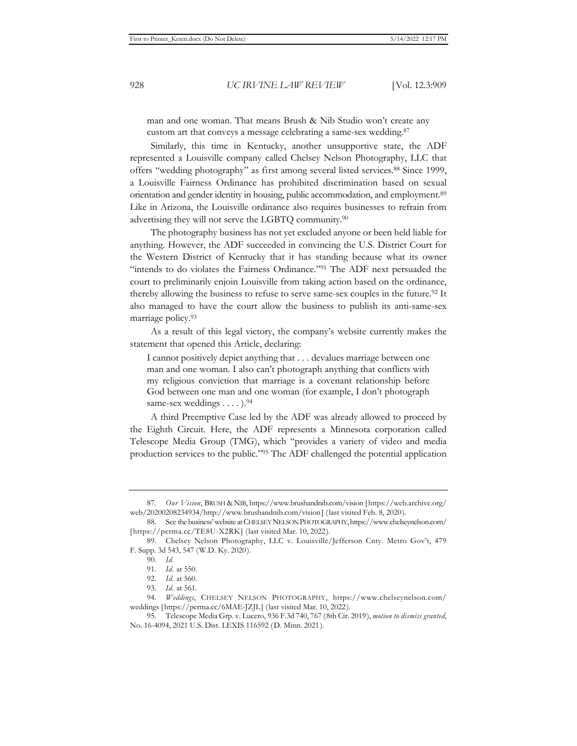man and one woman. That means Brush & Nib Studio won't create any custom art that conveys a message celebrating a same-sex wedding.87

Similarly, this time in Kentucky, another unsupportive state, the ADF represented a Louisville company called Chelsey Nelson Photography, LLC that offers "wedding photography" as first among several listed services.88 Since 1999, a Louisville Fairness Ordinance has prohibited discrimination based on sexual orientation and gender identity in housing, public accommodation, and employment.89 Like in Arizona, the Louisville ordinance also requires businesses to refrain from advertising they will not serve the LGBTQ community.90

The photography business has not yet excluded anyone or been held liable for anything. However, the ADF succeeded in convincing the U.S. District Court for the Western District of Kentucky that it has standing because what its owner "intends to do violates the Fairness Ordinance."<sup>91</sup> The ADF next persuaded the court to preliminarily enjoin Louisville from taking action based on the ordinance, thereby allowing the business to refuse to serve same-sex couples in the future.<sup>92</sup> It also managed to have the court allow the business to publish its anti-same-sex marriage policy.93

As a result of this legal victory, the company's website currently makes the statement that opened this Article, declaring:

I cannot positively depict anything that . . . devalues marriage between one man and one woman. I also can't photograph anything that conflicts with my religious conviction that marriage is a covenant relationship before God between one man and one woman (for example, I don't photograph same-sex weddings . . . . ).<sup>94</sup>

A third Preemptive Case led by the ADF was already allowed to proceed by the Eighth Circuit. Here, the ADF represents a Minnesota corporation called Telescope Media Group (TMG), which "provides a variety of video and media production services to the public."95 The ADF challenged the potential application

<sup>87.</sup> *Our Vision*, BRUSH & NIB, https://www.brushandnib.com/vision [https://web.archive.org/ web/20200208234934/http://www.brushandnib.com/vision] (last visited Feb. 8, 2020).

<sup>88.</sup> See the business' website at CHELSEY NELSON PHOTOGRAPHY, https://www.chelseynelson.com/ [https://perma.cc/TE8U-X2RK] (last visited Mar. 10, 2022).

<sup>89.</sup> Chelsey Nelson Photography, LLC v. Louisville/Jefferson Cnty. Metro Gov't, 479 F. Supp. 3d 543, 547 (W.D. Ky. 2020).

<sup>90.</sup> *Id.*

<sup>91.</sup> *Id.* at 550.

<sup>92.</sup> *Id.* at 560.

<sup>93.</sup> *Id.* at 561.

<sup>94.</sup> *Weddings*, CHELSEY NELSON PHOTOGRAPHY, https://www.chelseynelson.com/ weddings [https://perma.cc/6MAE-JZJL] (last visited Mar. 10, 2022).

<sup>95.</sup> Telescope Media Grp. v. Lucero, 936 F.3d 740, 767 (8th Cir. 2019), *motion to dismiss granted*, No. 16-4094, 2021 U.S. Dist. LEXIS 116592 (D. Minn. 2021).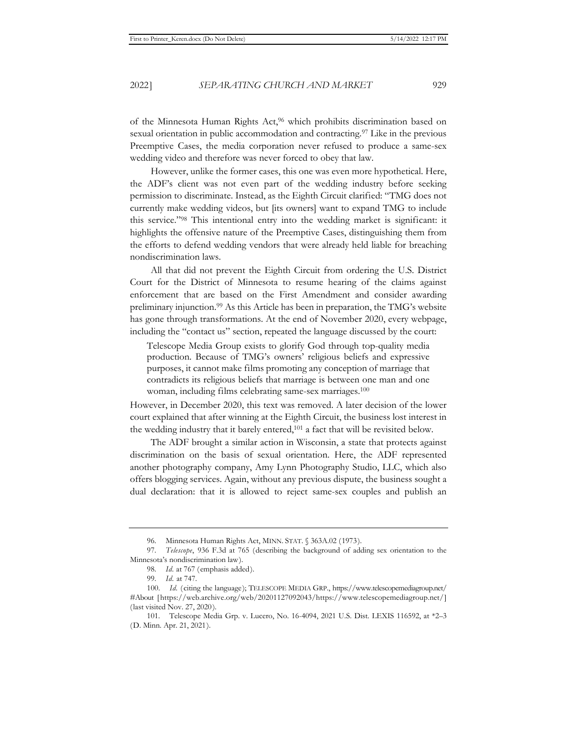of the Minnesota Human Rights Act,96 which prohibits discrimination based on sexual orientation in public accommodation and contracting.97 Like in the previous Preemptive Cases, the media corporation never refused to produce a same-sex wedding video and therefore was never forced to obey that law.

However, unlike the former cases, this one was even more hypothetical. Here, the ADF's client was not even part of the wedding industry before seeking permission to discriminate. Instead, as the Eighth Circuit clarified: "TMG does not currently make wedding videos, but [its owners] want to expand TMG to include this service."98 This intentional entry into the wedding market is significant: it highlights the offensive nature of the Preemptive Cases, distinguishing them from the efforts to defend wedding vendors that were already held liable for breaching nondiscrimination laws.

All that did not prevent the Eighth Circuit from ordering the U.S. District Court for the District of Minnesota to resume hearing of the claims against enforcement that are based on the First Amendment and consider awarding preliminary injunction.99 As this Article has been in preparation, the TMG's website has gone through transformations. At the end of November 2020, every webpage, including the "contact us" section, repeated the language discussed by the court:

Telescope Media Group exists to glorify God through top-quality media production. Because of TMG's owners' religious beliefs and expressive purposes, it cannot make films promoting any conception of marriage that contradicts its religious beliefs that marriage is between one man and one woman, including films celebrating same-sex marriages.<sup>100</sup>

However, in December 2020, this text was removed. A later decision of the lower court explained that after winning at the Eighth Circuit, the business lost interest in the wedding industry that it barely entered,101 a fact that will be revisited below.

The ADF brought a similar action in Wisconsin, a state that protects against discrimination on the basis of sexual orientation. Here, the ADF represented another photography company, Amy Lynn Photography Studio, LLC, which also offers blogging services. Again, without any previous dispute, the business sought a dual declaration: that it is allowed to reject same-sex couples and publish an

<sup>96.</sup> Minnesota Human Rights Act, MINN. STAT. § 363A.02 (1973).

<sup>97.</sup> *Telescope*, 936 F.3d at 765 (describing the background of adding sex orientation to the Minnesota's nondiscrimination law).

<sup>98.</sup> *Id.* at 767 (emphasis added).

<sup>99.</sup> *Id.* at 747.

<sup>100.</sup> *Id.* (citing the language); TELESCOPE MEDIA GRP., https://www.telescopemediagroup.net/ #About [https://web.archive.org/web/20201127092043/https://www.telescopemediagroup.net/] (last visited Nov. 27, 2020).

<sup>101.</sup> Telescope Media Grp. v. Lucero, No. 16-4094, 2021 U.S. Dist. LEXIS 116592, at \*2–3 (D. Minn. Apr. 21, 2021).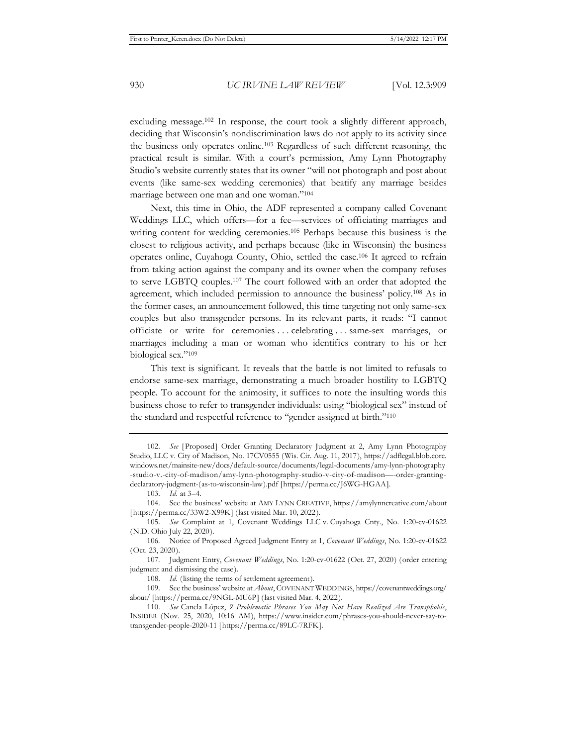excluding message.102 In response, the court took a slightly different approach, deciding that Wisconsin's nondiscrimination laws do not apply to its activity since the business only operates online.103 Regardless of such different reasoning, the practical result is similar. With a court's permission, Amy Lynn Photography Studio's website currently states that its owner "will not photograph and post about events (like same-sex wedding ceremonies) that beatify any marriage besides marriage between one man and one woman."104

Next, this time in Ohio, the ADF represented a company called Covenant Weddings LLC, which offers—for a fee—services of officiating marriages and writing content for wedding ceremonies.<sup>105</sup> Perhaps because this business is the closest to religious activity, and perhaps because (like in Wisconsin) the business operates online, Cuyahoga County, Ohio, settled the case.106 It agreed to refrain from taking action against the company and its owner when the company refuses to serve LGBTQ couples.107 The court followed with an order that adopted the agreement, which included permission to announce the business' policy.108 As in the former cases, an announcement followed, this time targeting not only same-sex couples but also transgender persons. In its relevant parts, it reads: "I cannot officiate or write for ceremonies . . . celebrating . . . same-sex marriages, or marriages including a man or woman who identifies contrary to his or her biological sex."109

This text is significant. It reveals that the battle is not limited to refusals to endorse same-sex marriage, demonstrating a much broader hostility to LGBTQ people. To account for the animosity, it suffices to note the insulting words this business chose to refer to transgender individuals: using "biological sex" instead of the standard and respectful reference to "gender assigned at birth."110

<sup>102.</sup> *See* [Proposed] Order Granting Declaratory Judgment at 2, Amy Lynn Photography Studio, LLC v. City of Madison, No. 17CV0555 (Wis. Cir. Aug. 11, 2017), https://adflegal.blob.core. windows.net/mainsite-new/docs/default-source/documents/legal-documents/amy-lynn-photography -studio-v.-city-of-madison/amy-lynn-photography-studio-v-city-of-madison—-order-grantingdeclaratory-judgment-(as-to-wisconsin-law).pdf [https://perma.cc/J6WG-HGAA].

<sup>103.</sup> *Id.* at 3–4.

<sup>104.</sup> See the business' website at AMY LYNN CREATIVE, https://amylynncreative.com/about [https://perma.cc/33W2-X99K] (last visited Mar. 10, 2022).

<sup>105.</sup> *See* Complaint at 1, Covenant Weddings LLC v. Cuyahoga Cnty., No. 1:20-cv-01622 (N.D. Ohio July 22, 2020).

<sup>106.</sup> Notice of Proposed Agreed Judgment Entry at 1, *Covenant Weddings*, No. 1:20-cv-01622 (Oct. 23, 2020).

<sup>107.</sup> Judgment Entry, *Covenant Weddings*, No. 1:20-cv-01622 (Oct. 27, 2020) (order entering judgment and dismissing the case).

<sup>108.</sup> *Id.* (listing the terms of settlement agreement).

<sup>109.</sup> See the business' website at *About*, COVENANT WEDDINGS, https://covenantweddings.org/ about/ [https://perma.cc/9NGL-MU6P] (last visited Mar. 4, 2022).

<sup>110.</sup> *See* Canela López, *9 Problematic Phrases You May Not Have Realized Are Transphobic*, INSIDER (Nov. 25, 2020, 10:16 AM), https://www.insider.com/phrases-you-should-never-say-totransgender-people-2020-11 [https://perma.cc/89LC-7RFK].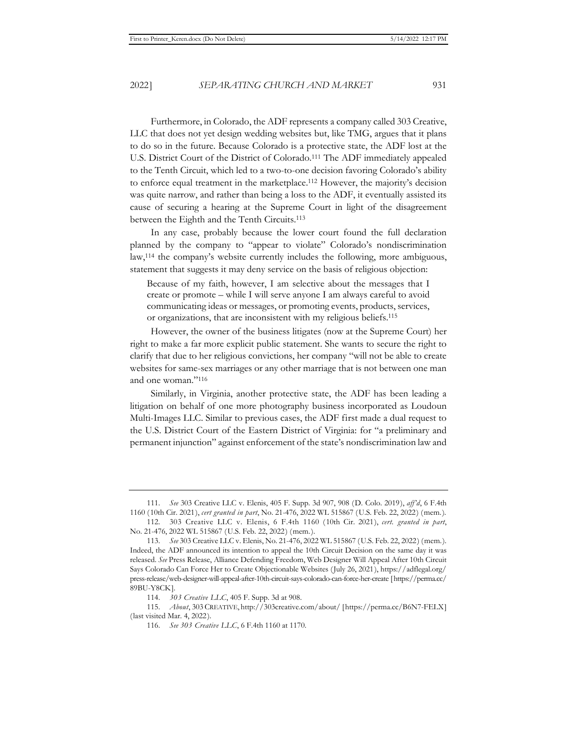Furthermore, in Colorado, the ADF represents a company called 303 Creative, LLC that does not yet design wedding websites but, like TMG, argues that it plans to do so in the future. Because Colorado is a protective state, the ADF lost at the U.S. District Court of the District of Colorado.111 The ADF immediately appealed to the Tenth Circuit, which led to a two-to-one decision favoring Colorado's ability to enforce equal treatment in the marketplace.112 However, the majority's decision was quite narrow, and rather than being a loss to the ADF, it eventually assisted its cause of securing a hearing at the Supreme Court in light of the disagreement between the Eighth and the Tenth Circuits.113

In any case, probably because the lower court found the full declaration planned by the company to "appear to violate" Colorado's nondiscrimination law,114 the company's website currently includes the following, more ambiguous, statement that suggests it may deny service on the basis of religious objection:

Because of my faith, however, I am selective about the messages that I create or promote – while I will serve anyone I am always careful to avoid communicating ideas or messages, or promoting events, products, services, or organizations, that are inconsistent with my religious beliefs.115

However, the owner of the business litigates (now at the Supreme Court) her right to make a far more explicit public statement. She wants to secure the right to clarify that due to her religious convictions, her company "will not be able to create websites for same-sex marriages or any other marriage that is not between one man and one woman."116

Similarly, in Virginia, another protective state, the ADF has been leading a litigation on behalf of one more photography business incorporated as Loudoun Multi-Images LLC. Similar to previous cases, the ADF first made a dual request to the U.S. District Court of the Eastern District of Virginia: for "a preliminary and permanent injunction" against enforcement of the state's nondiscrimination law and

<sup>111.</sup> *See* 303 Creative LLC v. Elenis, 405 F. Supp. 3d 907, 908 (D. Colo. 2019), *aff'd*, 6 F.4th 1160 (10th Cir. 2021), *cert granted in part*, No. 21-476, 2022 WL 515867 (U.S. Feb. 22, 2022) (mem.)*.*

<sup>112. 303</sup> Creative LLC v. Elenis, 6 F.4th 1160 (10th Cir. 2021), *cert. granted in part*, No. 21-476, 2022 WL 515867 (U.S. Feb. 22, 2022) (mem.).

<sup>113.</sup> *See* 303 Creative LLC v. Elenis, No. 21-476, 2022 WL 515867 (U.S. Feb. 22, 2022) (mem.). Indeed, the ADF announced its intention to appeal the 10th Circuit Decision on the same day it was released. *See* Press Release, Alliance Defending Freedom, Web Designer Will Appeal After 10th Circuit Says Colorado Can Force Her to Create Objectionable Websites (July 26, 2021), https://adflegal.org/ press-release/web-designer-will-appeal-after-10th-circuit-says-colorado-can-force-her-create [https://perma.cc/ 89BU-Y8CK].

<sup>114.</sup> *303 Creative LLC*, 405 F. Supp. 3d at 908.

<sup>115.</sup> *About*, 303CREATIVE, http://303creative.com/about/ [https://perma.cc/B6N7-FELX] (last visited Mar. 4, 2022).

<sup>116.</sup> *See 303 Creative LLC*, 6 F.4th 1160 at 1170.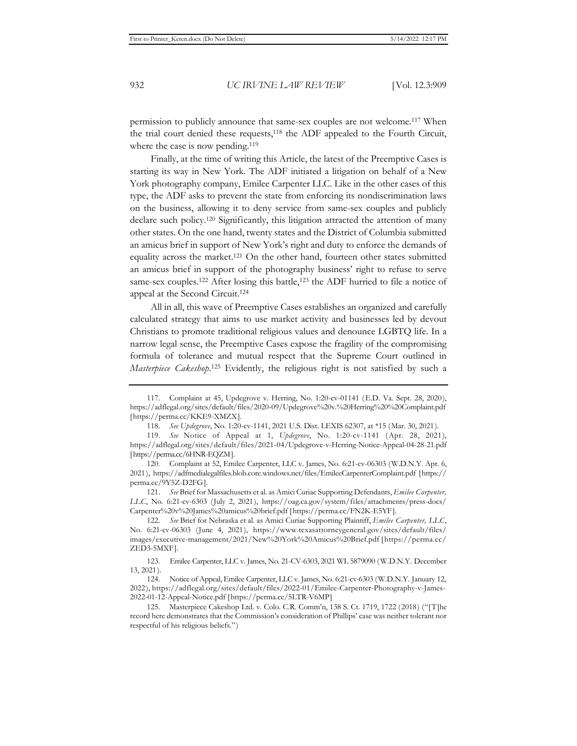permission to publicly announce that same-sex couples are not welcome.117 When the trial court denied these requests,118 the ADF appealed to the Fourth Circuit, where the case is now pending.<sup>119</sup>

Finally, at the time of writing this Article, the latest of the Preemptive Cases is starting its way in New York. The ADF initiated a litigation on behalf of a New York photography company, Emilee Carpenter LLC. Like in the other cases of this type, the ADF asks to prevent the state from enforcing its nondiscrimination laws on the business, allowing it to deny service from same-sex couples and publicly declare such policy.120 Significantly, this litigation attracted the attention of many other states. On the one hand, twenty states and the District of Columbia submitted an amicus brief in support of New York's right and duty to enforce the demands of equality across the market.121 On the other hand, fourteen other states submitted an amicus brief in support of the photography business' right to refuse to serve same-sex couples.<sup>122</sup> After losing this battle,<sup>123</sup> the ADF hurried to file a notice of appeal at the Second Circuit.124

All in all, this wave of Preemptive Cases establishes an organized and carefully calculated strategy that aims to use market activity and businesses led by devout Christians to promote traditional religious values and denounce LGBTQ life. In a narrow legal sense, the Preemptive Cases expose the fragility of the compromising formula of tolerance and mutual respect that the Supreme Court outlined in *Masterpiece Cakeshop*. 125 Evidently, the religious right is not satisfied by such a

<sup>117.</sup> Complaint at 45, Updegrove v. Herring, No. 1:20-cv-01141 (E.D. Va. Sept. 28, 2020), https://adflegal.org/sites/default/files/2020-09/Updegrove%20v.%20Herring%20%20Complaint.pdf [https://perma.cc/KKE9-XMZX].

<sup>118.</sup> *See Updegrove*, No. 1:20-cv-1141, 2021 U.S. Dist. LEXIS 62307, at \*15 (Mar. 30, 2021).

<sup>119.</sup> *See* Notice of Appeal at 1, *Updegrove*, No. 1:20-cv-1141 (Apr. 28, 2021), https://adflegal.org/sites/default/files/2021-04/Updegrove-v-Herring-Notice-Appeal-04-28-21.pdf [https://perma.cc/6HNR-EQZM].

<sup>120.</sup> Complaint at 52, Emilee Carpenter, LLC v. James, No. 6:21-cv-06303 (W.D.N.Y. Apr. 6, 2021), https://adfmedialegalfiles.blob.core.windows.net/files/EmileeCarpenterComplaint.pdf [https:// perma.cc/9Y5Z-D2FG].

<sup>121.</sup> *See* Brief for Massachusetts et al. as Amici Curiae Supporting Defendants, *Emilee Carpenter, LLC*, No. 6:21-cv-6303 (July 2, 2021), https://oag.ca.gov/system/files/attachments/press-docs/ Carpenter%20v%20James%20amicus%20brief.pdf [https://perma.cc/FN2K-E5YF].

<sup>122.</sup> *See* Brief for Nebraska et al. as Amici Curiae Supporting Plaintiff, *Emilee Carpenter, LLC*, No. 6:21-cv-06303 (June 4, 2021), https://www.texasattorneygeneral.gov/sites/default/files/ images/executive-management/2021/New%20York%20Amicus%20Brief.pdf [https://perma.cc/ ZED3-5MXF].

<sup>123</sup>*.* Emilee Carpenter, LLC v. James, No. 21-CV-6303, 2021 WL 5879090 (W.D.N.Y. December 13, 2021).

<sup>124.</sup> Notice of Appeal, Emilee Carpenter, LLC v. James, No. 6:21-cv-6303 (W.D.N.Y. January 12, 2022), https://adflegal.org/sites/default/files/2022-01/Emilee-Carpenter-Photography-v-James-2022-01-12-Appeal-Notice.pdf [https://perma.cc/5LTR-V6MP]

<sup>125.</sup> Masterpiece Cakeshop Ltd. v. Colo. C.R. Comm'n, 138 S. Ct. 1719, 1722 (2018) ("[T]he record here demonstrates that the Commission's consideration of Phillips' case was neither tolerant nor respectful of his religious beliefs.")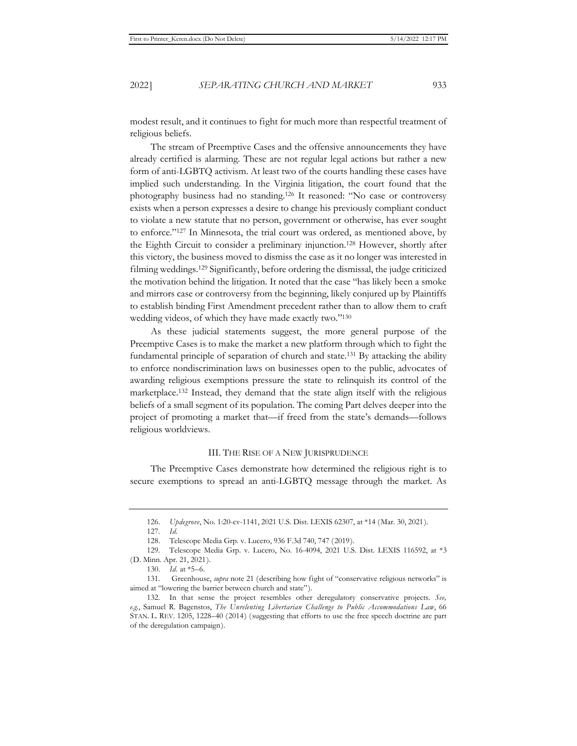modest result, and it continues to fight for much more than respectful treatment of religious beliefs.

The stream of Preemptive Cases and the offensive announcements they have already certified is alarming. These are not regular legal actions but rather a new form of anti-LGBTQ activism. At least two of the courts handling these cases have implied such understanding. In the Virginia litigation, the court found that the photography business had no standing.126 It reasoned: "No case or controversy exists when a person expresses a desire to change his previously compliant conduct to violate a new statute that no person, government or otherwise, has ever sought to enforce."127 In Minnesota, the trial court was ordered, as mentioned above, by the Eighth Circuit to consider a preliminary injunction.128 However, shortly after this victory, the business moved to dismiss the case as it no longer was interested in filming weddings.129 Significantly, before ordering the dismissal, the judge criticized the motivation behind the litigation. It noted that the case "has likely been a smoke and mirrors case or controversy from the beginning, likely conjured up by Plaintiffs to establish binding First Amendment precedent rather than to allow them to craft wedding videos, of which they have made exactly two."130

As these judicial statements suggest, the more general purpose of the Preemptive Cases is to make the market a new platform through which to fight the fundamental principle of separation of church and state.<sup>131</sup> By attacking the ability to enforce nondiscrimination laws on businesses open to the public, advocates of awarding religious exemptions pressure the state to relinquish its control of the marketplace.132 Instead, they demand that the state align itself with the religious beliefs of a small segment of its population. The coming Part delves deeper into the project of promoting a market that—if freed from the state's demands—follows religious worldviews.

#### III. THE RISE OF A NEW JURISPRUDENCE

The Preemptive Cases demonstrate how determined the religious right is to secure exemptions to spread an anti-LGBTQ message through the market. As

<sup>126.</sup> *Updegrove*, No. 1:20-cv-1141, 2021 U.S. Dist. LEXIS 62307, at \*14 (Mar. 30, 2021).

<sup>127.</sup> *Id.*

<sup>128.</sup> Telescope Media Grp. v. Lucero, 936 F.3d 740, 747 (2019).

<sup>129.</sup> Telescope Media Grp. v. Lucero, No. 16-4094, 2021 U.S. Dist. LEXIS 116592, at \*3 (D. Minn. Apr. 21, 2021).

<sup>130.</sup> *Id.* at \*5–6.

<sup>131.</sup> Greenhouse, *supra* note 21 (describing how fight of "conservative religious networks" is aimed at "lowering the barrier between church and state").

<sup>132.</sup> In that sense the project resembles other deregulatory conservative projects. *See, e.g.*, Samuel R. Bagenstos, *The Unrelenting Libertarian Challenge to Public Accommodations Law*, 66 STAN. L. REV. 1205, 1228–40 (2014) (suggesting that efforts to use the free speech doctrine are part of the deregulation campaign).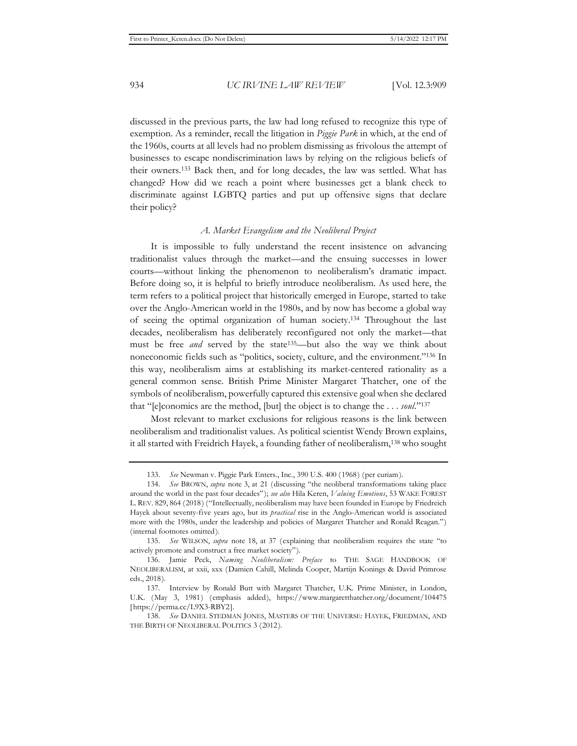discussed in the previous parts, the law had long refused to recognize this type of exemption. As a reminder, recall the litigation in *Piggie Park* in which, at the end of the 1960s, courts at all levels had no problem dismissing as frivolous the attempt of businesses to escape nondiscrimination laws by relying on the religious beliefs of their owners.133 Back then, and for long decades, the law was settled. What has changed? How did we reach a point where businesses get a blank check to discriminate against LGBTQ parties and put up offensive signs that declare their policy?

#### *A. Market Evangelism and the Neoliberal Project*

It is impossible to fully understand the recent insistence on advancing traditionalist values through the market—and the ensuing successes in lower courts—without linking the phenomenon to neoliberalism's dramatic impact. Before doing so, it is helpful to briefly introduce neoliberalism. As used here, the term refers to a political project that historically emerged in Europe, started to take over the Anglo-American world in the 1980s, and by now has become a global way of seeing the optimal organization of human society.134 Throughout the last decades, neoliberalism has deliberately reconfigured not only the market—that must be free *and* served by the state<sup>135</sup>—but also the way we think about noneconomic fields such as "politics, society, culture, and the environment."136 In this way, neoliberalism aims at establishing its market-centered rationality as a general common sense. British Prime Minister Margaret Thatcher, one of the symbols of neoliberalism, powerfully captured this extensive goal when she declared that "[e]conomics are the method, [but] the object is to change the . . . *soul*."137

Most relevant to market exclusions for religious reasons is the link between neoliberalism and traditionalist values. As political scientist Wendy Brown explains, it all started with Freidrich Hayek, a founding father of neoliberalism,138 who sought

<sup>133.</sup> *See* Newman v. Piggie Park Enters., Inc., 390 U.S. 400 (1968) (per curiam).

<sup>134.</sup> *See* BROWN, *supra* note 3, at 21 (discussing "the neoliberal transformations taking place around the world in the past four decades"); *see also* Hila Keren, *Valuing Emotions*, 53 WAKE FOREST L. REV. 829, 864 (2018) ("Intellectually, neoliberalism may have been founded in Europe by Friedreich Hayek about seventy-five years ago, but its *practical* rise in the Anglo-American world is associated more with the 1980s, under the leadership and policies of Margaret Thatcher and Ronald Reagan.") (internal footnotes omitted).

<sup>135.</sup> *See* WILSON, *supra* note 18, at 37 (explaining that neoliberalism requires the state "to actively promote and construct a free market society").

<sup>136.</sup> Jamie Peck, *Naming Neoliberalism: Preface* to THE SAGE HANDBOOK OF NEOLIBERALISM, at xxii, xxx (Damien Cahill, Melinda Cooper, Martijn Konings & David Primrose eds., 2018).

<sup>137.</sup> Interview by Ronald Butt with Margaret Thatcher, U.K. Prime Minister, in London, U.K. (May 3, 1981) (emphasis added), https://www.margaretthatcher.org/document/104475 [https://perma.cc/L9X3-RBY2].

<sup>138.</sup> *See* DANIEL STEDMAN JONES, MASTERS OF THE UNIVERSE: HAYEK, FRIEDMAN, AND THE BIRTH OF NEOLIBERAL POLITICS 3 (2012).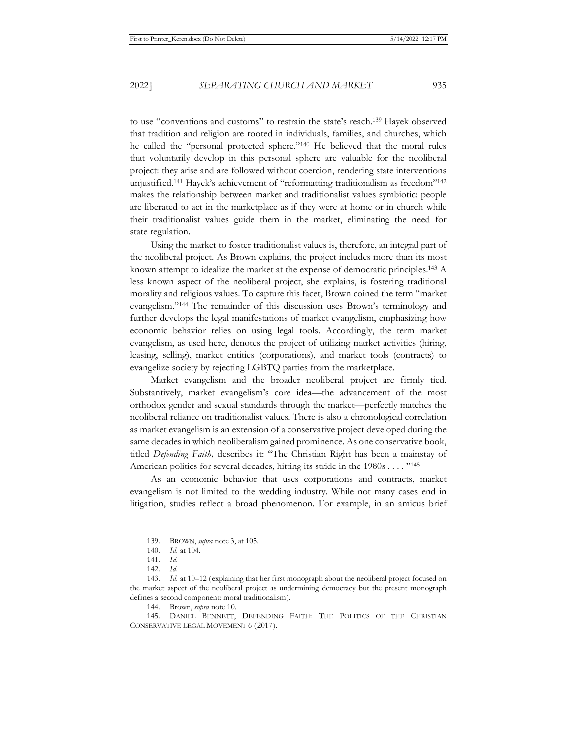to use "conventions and customs" to restrain the state's reach.139 Hayek observed that tradition and religion are rooted in individuals, families, and churches, which he called the "personal protected sphere."140 He believed that the moral rules that voluntarily develop in this personal sphere are valuable for the neoliberal project: they arise and are followed without coercion, rendering state interventions unjustified.141 Hayek's achievement of "reformatting traditionalism as freedom"142 makes the relationship between market and traditionalist values symbiotic: people are liberated to act in the marketplace as if they were at home or in church while their traditionalist values guide them in the market, eliminating the need for state regulation.

Using the market to foster traditionalist values is, therefore, an integral part of the neoliberal project. As Brown explains, the project includes more than its most known attempt to idealize the market at the expense of democratic principles.143 A less known aspect of the neoliberal project, she explains, is fostering traditional morality and religious values. To capture this facet, Brown coined the term "market evangelism."144 The remainder of this discussion uses Brown's terminology and further develops the legal manifestations of market evangelism, emphasizing how economic behavior relies on using legal tools. Accordingly, the term market evangelism, as used here, denotes the project of utilizing market activities (hiring, leasing, selling), market entities (corporations), and market tools (contracts) to evangelize society by rejecting LGBTQ parties from the marketplace.

Market evangelism and the broader neoliberal project are firmly tied. Substantively, market evangelism's core idea—the advancement of the most orthodox gender and sexual standards through the market—perfectly matches the neoliberal reliance on traditionalist values. There is also a chronological correlation as market evangelism is an extension of a conservative project developed during the same decades in which neoliberalism gained prominence. As one conservative book, titled *Defending Faith,* describes it: "The Christian Right has been a mainstay of American politics for several decades, hitting its stride in the 1980s . . . . "145

As an economic behavior that uses corporations and contracts, market evangelism is not limited to the wedding industry. While not many cases end in litigation, studies reflect a broad phenomenon. For example, in an amicus brief

145. DANIEL BENNETT, DEFENDING FAITH: THE POLITICS OF THE CHRISTIAN CONSERVATIVE LEGAL MOVEMENT 6 (2017).

<sup>139.</sup> BROWN, *supra* note 3, at 105.

<sup>140.</sup> *Id.* at 104.

<sup>141.</sup> *Id.*

<sup>142.</sup> *Id.* 

<sup>143.</sup> *Id.* at 10–12 (explaining that her first monograph about the neoliberal project focused on the market aspect of the neoliberal project as undermining democracy but the present monograph defines a second component: moral traditionalism).

<sup>144.</sup> Brown, *supra* note 10.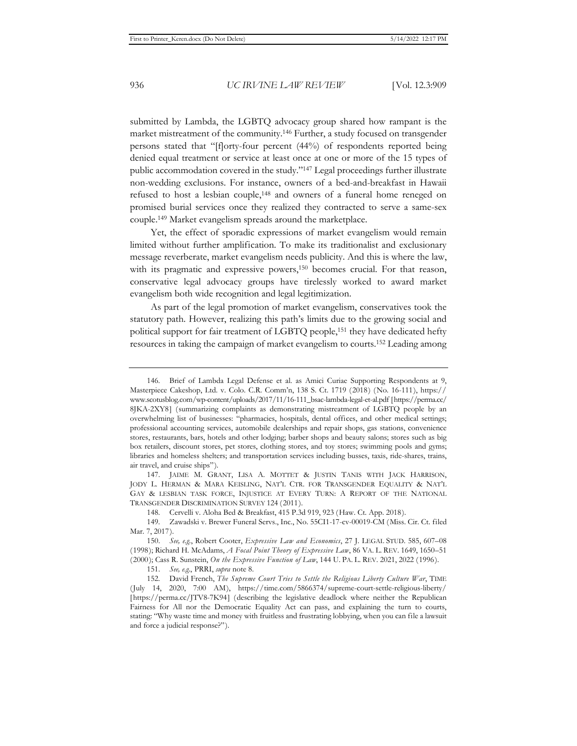submitted by Lambda, the LGBTQ advocacy group shared how rampant is the market mistreatment of the community.146 Further, a study focused on transgender persons stated that "[f]orty-four percent (44%) of respondents reported being denied equal treatment or service at least once at one or more of the 15 types of public accommodation covered in the study."147 Legal proceedings further illustrate non-wedding exclusions. For instance, owners of a bed-and-breakfast in Hawaii refused to host a lesbian couple,148 and owners of a funeral home reneged on promised burial services once they realized they contracted to serve a same-sex couple.149 Market evangelism spreads around the marketplace.

Yet, the effect of sporadic expressions of market evangelism would remain limited without further amplification. To make its traditionalist and exclusionary message reverberate, market evangelism needs publicity. And this is where the law, with its pragmatic and expressive powers,<sup>150</sup> becomes crucial. For that reason, conservative legal advocacy groups have tirelessly worked to award market evangelism both wide recognition and legal legitimization.

As part of the legal promotion of market evangelism, conservatives took the statutory path. However, realizing this path's limits due to the growing social and political support for fair treatment of LGBTQ people,151 they have dedicated hefty resources in taking the campaign of market evangelism to courts.152 Leading among

<sup>146.</sup> Brief of Lambda Legal Defense et al. as Amici Curiae Supporting Respondents at 9, Masterpiece Cakeshop, Ltd. v. Colo. C.R. Comm'n, 138 S. Ct. 1719 (2018) (No. 16-111), https:// www.scotusblog.com/wp-content/uploads/2017/11/16-111\_bsac-lambda-legal-et-al.pdf [https://perma.cc/ 8JKA-2XY8] (summarizing complaints as demonstrating mistreatment of LGBTQ people by an overwhelming list of businesses: "pharmacies, hospitals, dental offices, and other medical settings; professional accounting services, automobile dealerships and repair shops, gas stations, convenience stores, restaurants, bars, hotels and other lodging; barber shops and beauty salons; stores such as big box retailers, discount stores, pet stores, clothing stores, and toy stores; swimming pools and gyms; libraries and homeless shelters; and transportation services including busses, taxis, ride-shares, trains, air travel, and cruise ships").

<sup>147.</sup> JAIME M. GRANT, LISA A. MOTTET & JUSTIN TANIS WITH JACK HARRISON, JODY L. HERMAN & MARA KEISLING, NAT'L CTR. FOR TRANSGENDER EQUALITY & NAT'L GAY & LESBIAN TASK FORCE, INJUSTICE AT EVERY TURN: A REPORT OF THE NATIONAL TRANSGENDER DISCRIMINATION SURVEY 124 (2011).

<sup>148.</sup> Cervelli v. Aloha Bed & Breakfast, 415 P.3d 919, 923 (Haw. Ct. App. 2018).

<sup>149.</sup> Zawadski v. Brewer Funeral Servs., Inc., No. 55CI1-17-cv-00019-CM (Miss. Cir. Ct. filed Mar. 7, 2017).

<sup>150.</sup> *See, e.g.*, Robert Cooter, *Expressive Law and Economics*, 27 J. LEGAL STUD. 585, 607–08 (1998); Richard H. McAdams, *A Focal Point Theory of Expressive Law*, 86 VA. L. REV. 1649, 1650–51 (2000); Cass R. Sunstein, *On the Expressive Function of Law*, 144 U. PA. L. REV. 2021, 2022 (1996).

<sup>151.</sup> *See, e.g.*, PRRI, *supra* note 8.

<sup>152.</sup> David French, *The Supreme Court Tries to Settle the Religious Liberty Culture War*, TIME (July 14, 2020, 7:00 AM), https://time.com/5866374/supreme-court-settle-religious-liberty/ [https://perma.cc/JTV8-7K94] (describing the legislative deadlock where neither the Republican Fairness for All nor the Democratic Equality Act can pass, and explaining the turn to courts, stating: "Why waste time and money with fruitless and frustrating lobbying, when you can file a lawsuit and force a judicial response?").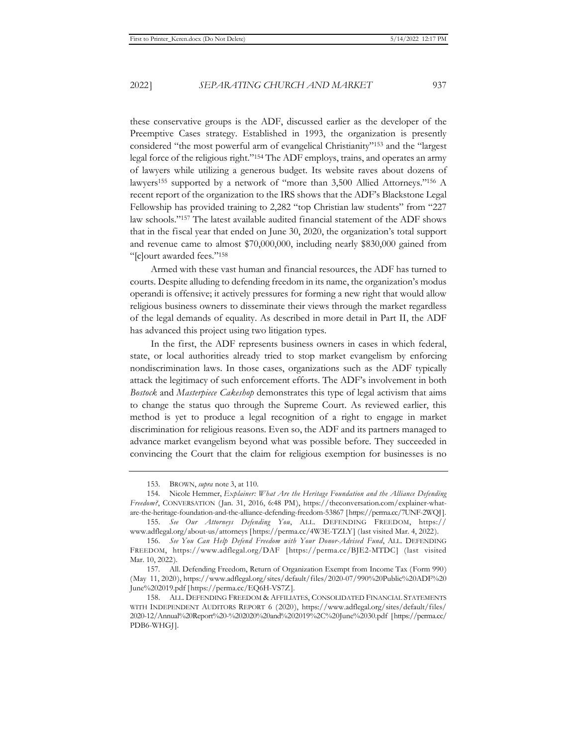these conservative groups is the ADF, discussed earlier as the developer of the Preemptive Cases strategy. Established in 1993, the organization is presently considered "the most powerful arm of evangelical Christianity"153 and the "largest legal force of the religious right."154 The ADF employs, trains, and operates an army of lawyers while utilizing a generous budget. Its website raves about dozens of lawyers155 supported by a network of "more than 3,500 Allied Attorneys."156 A recent report of the organization to the IRS shows that the ADF's Blackstone Legal Fellowship has provided training to 2,282 "top Christian law students" from "227 law schools."157 The latest available audited financial statement of the ADF shows that in the fiscal year that ended on June 30, 2020, the organization's total support and revenue came to almost \$70,000,000, including nearly \$830,000 gained from "[c]ourt awarded fees."158

Armed with these vast human and financial resources, the ADF has turned to courts. Despite alluding to defending freedom in its name, the organization's modus operandi is offensive; it actively pressures for forming a new right that would allow religious business owners to disseminate their views through the market regardless of the legal demands of equality. As described in more detail in Part II, the ADF has advanced this project using two litigation types.

In the first, the ADF represents business owners in cases in which federal, state, or local authorities already tried to stop market evangelism by enforcing nondiscrimination laws. In those cases, organizations such as the ADF typically attack the legitimacy of such enforcement efforts. The ADF's involvement in both *Bostock* and *Masterpiece Cakeshop* demonstrates this type of legal activism that aims to change the status quo through the Supreme Court. As reviewed earlier, this method is yet to produce a legal recognition of a right to engage in market discrimination for religious reasons. Even so, the ADF and its partners managed to advance market evangelism beyond what was possible before. They succeeded in convincing the Court that the claim for religious exemption for businesses is no

<sup>153.</sup> BROWN, *supra* note 3, at 110.

<sup>154.</sup> Nicole Hemmer, *Explainer: What Are the Heritage Foundation and the Alliance Defending Freedom?*, CONVERSATION (Jan. 31, 2016, 6:48 PM), https://theconversation.com/explainer-whatare-the-heritage-foundation-and-the-alliance-defending-freedom-53867 [https://perma.cc/7UNF-2WQJ].

<sup>155.</sup> *See Our Attorneys Defending You*, ALL. DEFENDING FREEDOM, https:// www.adflegal.org/about-us/attorneys [https://perma.cc/4W3E-TZLY] (last visited Mar. 4, 2022).

<sup>156.</sup> *See You Can Help Defend Freedom with Your Donor-Advised Fund*, ALL. DEFENDING FREEDOM, https://www.adflegal.org/DAF [https://perma.cc/BJE2-MTDC] (last visited Mar. 10, 2022).

<sup>157.</sup> All. Defending Freedom, Return of Organization Exempt from Income Tax (Form 990) (May 11, 2020), https://www.adflegal.org/sites/default/files/2020-07/990%20Public%20ADF%20 June%202019.pdf [https://perma.cc/EQ6H-VS7Z].

<sup>158.</sup> ALL. DEFENDING FREEDOM & AFFILIATES, CONSOLIDATED FINANCIAL STATEMENTS WITH INDEPENDENT AUDITORS REPORT 6 (2020), https://www.adflegal.org/sites/default/files/ 2020-12/Annual%20Report%20-%202020%20and%202019%2C%20June%2030.pdf [https://perma.cc/ PDB6-WHGJ].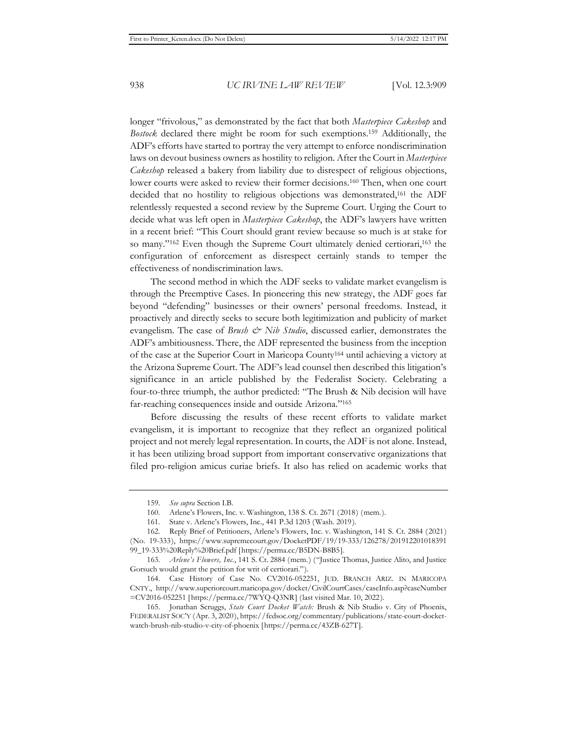longer "frivolous," as demonstrated by the fact that both *Masterpiece Cakeshop* and *Bostock* declared there might be room for such exemptions.159 Additionally, the ADF's efforts have started to portray the very attempt to enforce nondiscrimination laws on devout business owners as hostility to religion. After the Court in *Masterpiece Cakeshop* released a bakery from liability due to disrespect of religious objections, lower courts were asked to review their former decisions.160 Then, when one court decided that no hostility to religious objections was demonstrated,<sup>161</sup> the ADF relentlessly requested a second review by the Supreme Court. Urging the Court to decide what was left open in *Masterpiece Cakeshop*, the ADF's lawyers have written in a recent brief: "This Court should grant review because so much is at stake for so many."<sup>162</sup> Even though the Supreme Court ultimately denied certiorari,<sup>163</sup> the configuration of enforcement as disrespect certainly stands to temper the effectiveness of nondiscrimination laws.

The second method in which the ADF seeks to validate market evangelism is through the Preemptive Cases. In pioneering this new strategy, the ADF goes far beyond "defending" businesses or their owners' personal freedoms. Instead, it proactively and directly seeks to secure both legitimization and publicity of market evangelism. The case of *Brush & Nib Studio*, discussed earlier, demonstrates the ADF's ambitiousness. There, the ADF represented the business from the inception of the case at the Superior Court in Maricopa County164 until achieving a victory at the Arizona Supreme Court. The ADF's lead counsel then described this litigation's significance in an article published by the Federalist Society. Celebrating a four-to-three triumph, the author predicted: "The Brush & Nib decision will have far-reaching consequences inside and outside Arizona."165

Before discussing the results of these recent efforts to validate market evangelism, it is important to recognize that they reflect an organized political project and not merely legal representation. In courts, the ADF is not alone. Instead, it has been utilizing broad support from important conservative organizations that filed pro-religion amicus curiae briefs. It also has relied on academic works that

<sup>159.</sup> *See supra* Section I.B.

<sup>160.</sup> Arlene's Flowers, Inc. v. Washington, 138 S. Ct. 2671 (2018) (mem.).

<sup>161.</sup> State v. Arlene's Flowers, Inc., 441 P.3d 1203 (Wash. 2019).

<sup>162.</sup> Reply Brief of Petitioners, Arlene's Flowers, Inc. v. Washington, 141 S. Ct. 2884 (2021) (No. 19-333), https://www.supremecourt.gov/DocketPDF/19/19-333/126278/201912201018391 99\_19-333%20Reply%20Brief.pdf [https://perma.cc/B5DN-B8B5].

<sup>163.</sup> *Arlene's Flowers, Inc.*, 141 S. Ct. 2884 (mem.) ("Justice Thomas, Justice Alito, and Justice Gorsuch would grant the petition for writ of certiorari.").

<sup>164.</sup> Case History of Case No. CV2016-052251, JUD. BRANCH ARIZ. IN MARICOPA CNTY., http://www.superiorcourt.maricopa.gov/docket/CivilCourtCases/caseInfo.asp?caseNumber =CV2016-052251 [https://perma.cc/7WYQ-Q3NR] (last visited Mar. 10, 2022).

<sup>165.</sup> Jonathan Scruggs, *State Court Docket Watch:* Brush & Nib Studio v. City of Phoenix, FEDERALIST SOC'Y (Apr. 3, 2020), https://fedsoc.org/commentary/publications/state-court-docketwatch-brush-nib-studio-v-city-of-phoenix [https://perma.cc/43ZB-627T].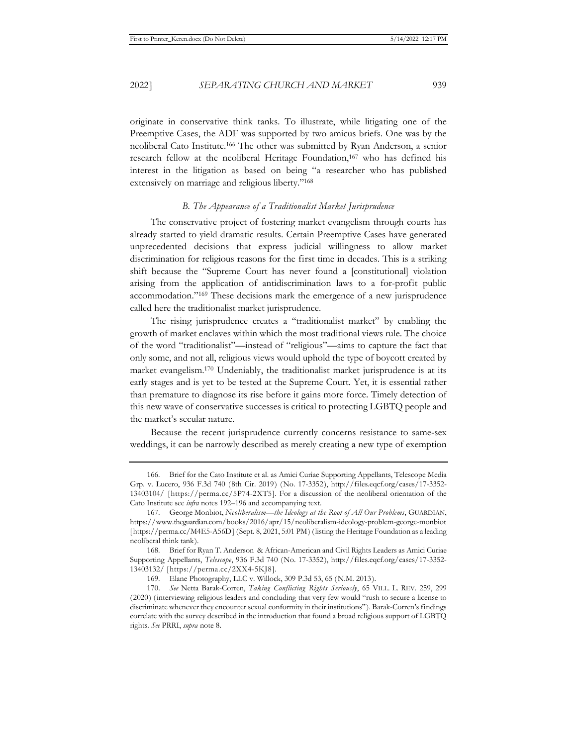originate in conservative think tanks. To illustrate, while litigating one of the Preemptive Cases, the ADF was supported by two amicus briefs. One was by the neoliberal Cato Institute.166 The other was submitted by Ryan Anderson, a senior research fellow at the neoliberal Heritage Foundation,<sup>167</sup> who has defined his interest in the litigation as based on being "a researcher who has published extensively on marriage and religious liberty."168

#### *B. The Appearance of a Traditionalist Market Jurisprudence*

The conservative project of fostering market evangelism through courts has already started to yield dramatic results. Certain Preemptive Cases have generated unprecedented decisions that express judicial willingness to allow market discrimination for religious reasons for the first time in decades. This is a striking shift because the "Supreme Court has never found a [constitutional] violation arising from the application of antidiscrimination laws to a for-profit public accommodation."169 These decisions mark the emergence of a new jurisprudence called here the traditionalist market jurisprudence.

The rising jurisprudence creates a "traditionalist market" by enabling the growth of market enclaves within which the most traditional views rule. The choice of the word "traditionalist"—instead of "religious"—aims to capture the fact that only some, and not all, religious views would uphold the type of boycott created by market evangelism.170 Undeniably, the traditionalist market jurisprudence is at its early stages and is yet to be tested at the Supreme Court. Yet, it is essential rather than premature to diagnose its rise before it gains more force. Timely detection of this new wave of conservative successes is critical to protecting LGBTQ people and the market's secular nature.

Because the recent jurisprudence currently concerns resistance to same-sex weddings, it can be narrowly described as merely creating a new type of exemption

<sup>166.</sup> Brief for the Cato Institute et al. as Amici Curiae Supporting Appellants, Telescope Media Grp. v. Lucero, 936 F.3d 740 (8th Cir. 2019) (No. 17-3352), http://files.eqcf.org/cases/17-3352- 13403104/ [https://perma.cc/5P74-2XT5]. For a discussion of the neoliberal orientation of the Cato Institute see *infra* notes 192–196 and accompanying text.

<sup>167.</sup> George Monbiot, *Neoliberalism*—*the Ideology at the Root of All Our Problems*, GUARDIAN, https://www.theguardian.com/books/2016/apr/15/neoliberalism-ideology-problem-george-monbiot [https://perma.cc/M4E5-A56D] (Sept. 8, 2021, 5:01 PM) (listing the Heritage Foundation as a leading neoliberal think tank).

<sup>168.</sup> Brief for Ryan T. Anderson & African-American and Civil Rights Leaders as Amici Curiae Supporting Appellants, *Telescope*, 936 F.3d 740 (No. 17-3352), http://files.eqcf.org/cases/17-3352- 13403132/ [https://perma.cc/2XX4-5KJ8].

<sup>169.</sup> Elane Photography, LLC v. Willock, 309 P.3d 53, 65 (N.M. 2013).

<sup>170.</sup> *See* Netta Barak-Corren, *Taking Conflicting Rights Seriously*, 65 VILL. L. REV. 259, 299 (2020) (interviewing religious leaders and concluding that very few would "rush to secure a license to discriminate whenever they encounter sexual conformity in their institutions"). Barak-Corren's findings correlate with the survey described in the introduction that found a broad religious support of LGBTQ rights. *See* PRRI, *supra* note 8.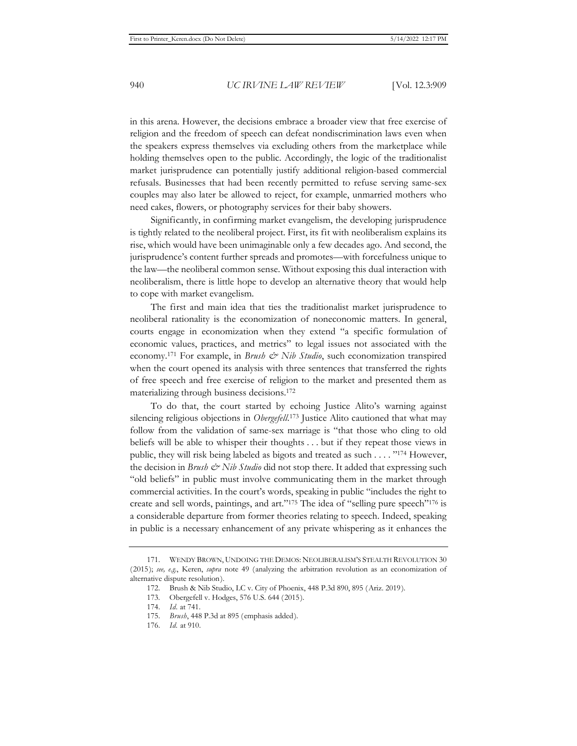in this arena. However, the decisions embrace a broader view that free exercise of religion and the freedom of speech can defeat nondiscrimination laws even when the speakers express themselves via excluding others from the marketplace while holding themselves open to the public. Accordingly, the logic of the traditionalist market jurisprudence can potentially justify additional religion-based commercial refusals. Businesses that had been recently permitted to refuse serving same-sex couples may also later be allowed to reject, for example, unmarried mothers who need cakes, flowers, or photography services for their baby showers.

Significantly, in confirming market evangelism, the developing jurisprudence is tightly related to the neoliberal project. First, its fit with neoliberalism explains its rise, which would have been unimaginable only a few decades ago. And second, the jurisprudence's content further spreads and promotes—with forcefulness unique to the law—the neoliberal common sense. Without exposing this dual interaction with neoliberalism, there is little hope to develop an alternative theory that would help to cope with market evangelism.

The first and main idea that ties the traditionalist market jurisprudence to neoliberal rationality is the economization of noneconomic matters. In general, courts engage in economization when they extend "a specific formulation of economic values, practices, and metrics" to legal issues not associated with the economy.<sup>171</sup> For example, in *Brush & Nib Studio*, such economization transpired when the court opened its analysis with three sentences that transferred the rights of free speech and free exercise of religion to the market and presented them as materializing through business decisions.172

To do that, the court started by echoing Justice Alito's warning against silencing religious objections in *Obergefell*. 173 Justice Alito cautioned that what may follow from the validation of same-sex marriage is "that those who cling to old beliefs will be able to whisper their thoughts . . . but if they repeat those views in public, they will risk being labeled as bigots and treated as such . . . . "174 However, the decision in *Brush & Nib Studio* did not stop there. It added that expressing such "old beliefs" in public must involve communicating them in the market through commercial activities. In the court's words, speaking in public "includes the right to create and sell words, paintings, and art."175 The idea of "selling pure speech"176 is a considerable departure from former theories relating to speech. Indeed, speaking in public is a necessary enhancement of any private whispering as it enhances the

<sup>171.</sup> WENDY BROWN, UNDOING THE DEMOS: NEOLIBERALISM'S STEALTH REVOLUTION 30 (2015); *see, e.g.*, Keren, *supra* note 49 (analyzing the arbitration revolution as an economization of alternative dispute resolution).

<sup>172.</sup> Brush & Nib Studio, LC v. City of Phoenix, 448 P.3d 890, 895 (Ariz. 2019).

<sup>173.</sup> Obergefell v. Hodges, 576 U.S. 644 (2015).

<sup>174.</sup> *Id.* at 741.

<sup>175.</sup> *Brush*, 448 P.3d at 895 (emphasis added).

<sup>176.</sup> *Id.* at 910.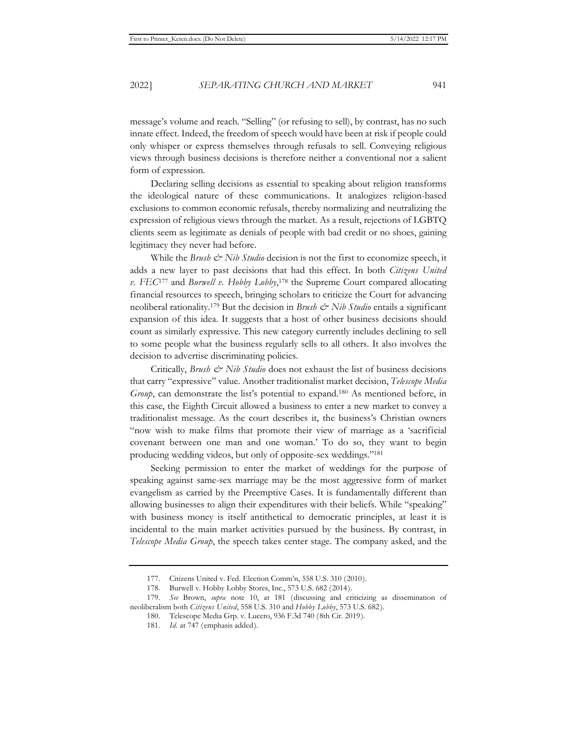message's volume and reach. "Selling" (or refusing to sell), by contrast, has no such innate effect. Indeed, the freedom of speech would have been at risk if people could only whisper or express themselves through refusals to sell. Conveying religious views through business decisions is therefore neither a conventional nor a salient form of expression.

Declaring selling decisions as essential to speaking about religion transforms the ideological nature of these communications. It analogizes religion-based exclusions to common economic refusals, thereby normalizing and neutralizing the expression of religious views through the market. As a result, rejections of LGBTQ clients seem as legitimate as denials of people with bad credit or no shoes, gaining legitimacy they never had before.

While the *Brush & Nib Studio* decision is not the first to economize speech, it adds a new layer to past decisions that had this effect. In both *Citizens United v. FEC*177 and *Burwell v. Hobby Lobby*, 178 the Supreme Court compared allocating financial resources to speech, bringing scholars to criticize the Court for advancing neoliberal rationality.<sup>179</sup> But the decision in *Brush & Nib Studio* entails a significant expansion of this idea. It suggests that a host of other business decisions should count as similarly expressive. This new category currently includes declining to sell to some people what the business regularly sells to all others. It also involves the decision to advertise discriminating policies.

Critically, *Brush & Nib Studio* does not exhaust the list of business decisions that carry "expressive" value. Another traditionalist market decision, *Telescope Media Group*, can demonstrate the list's potential to expand.180 As mentioned before, in this case, the Eighth Circuit allowed a business to enter a new market to convey a traditionalist message. As the court describes it, the business's Christian owners "now wish to make films that promote their view of marriage as a 'sacrificial covenant between one man and one woman.' To do so, they want to begin producing wedding videos, but only of opposite-sex weddings."181

Seeking permission to enter the market of weddings for the purpose of speaking against same-sex marriage may be the most aggressive form of market evangelism as carried by the Preemptive Cases. It is fundamentally different than allowing businesses to align their expenditures with their beliefs. While "speaking" with business money is itself antithetical to democratic principles, at least it is incidental to the main market activities pursued by the business. By contrast, in *Telescope Media Group*, the speech takes center stage. The company asked, and the

180. Telescope Media Grp. v. Lucero, 936 F.3d 740 (8th Cir. 2019).

<sup>177.</sup> Citizens United v. Fed. Election Comm'n, 558 U.S. 310 (2010).

<sup>178.</sup> Burwell v. Hobby Lobby Stores, Inc., 573 U.S. 682 (2014).

<sup>179.</sup> *See* Brown, *supra* note 10, at 181 (discussing and criticizing as dissemination of neoliberalism both *Citizens United*, 558 U.S. 310 and *Hobby Lobby*, 573 U.S. 682).

<sup>181.</sup> *Id.* at 747 (emphasis added).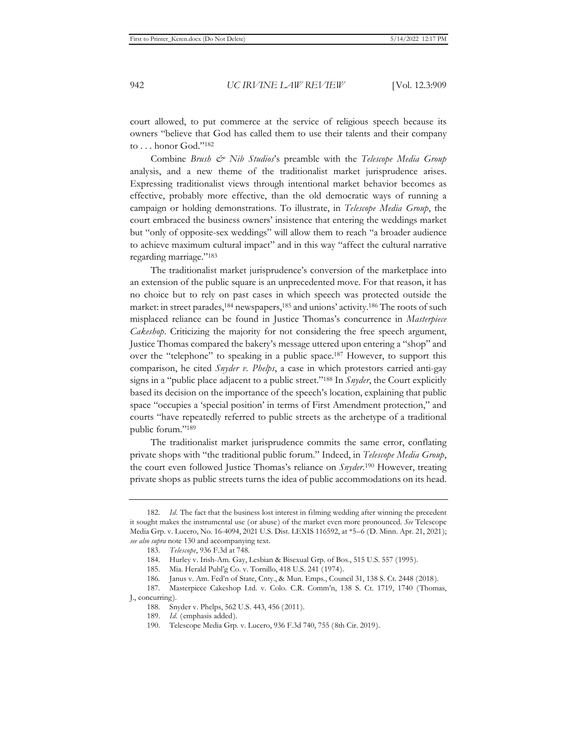court allowed, to put commerce at the service of religious speech because its owners "believe that God has called them to use their talents and their company to . . . honor God."182

Combine *Brush & Nib Studios*'s preamble with the *Telescope Media Group* analysis, and a new theme of the traditionalist market jurisprudence arises. Expressing traditionalist views through intentional market behavior becomes as effective, probably more effective, than the old democratic ways of running a campaign or holding demonstrations. To illustrate, in *Telescope Media Group*, the court embraced the business owners' insistence that entering the weddings market but "only of opposite-sex weddings" will allow them to reach "a broader audience to achieve maximum cultural impact" and in this way "affect the cultural narrative regarding marriage."183

The traditionalist market jurisprudence's conversion of the marketplace into an extension of the public square is an unprecedented move. For that reason, it has no choice but to rely on past cases in which speech was protected outside the market: in street parades,<sup>184</sup> newspapers,<sup>185</sup> and unions' activity.<sup>186</sup> The roots of such misplaced reliance can be found in Justice Thomas's concurrence in *Masterpiece Cakeshop*. Criticizing the majority for not considering the free speech argument, Justice Thomas compared the bakery's message uttered upon entering a "shop" and over the "telephone" to speaking in a public space.187 However, to support this comparison, he cited *Snyder v. Phelps*, a case in which protestors carried anti-gay signs in a "public place adjacent to a public street."188 In *Snyder*, the Court explicitly based its decision on the importance of the speech's location, explaining that public space "occupies a 'special position' in terms of First Amendment protection," and courts "have repeatedly referred to public streets as the archetype of a traditional public forum."189

The traditionalist market jurisprudence commits the same error, conflating private shops with "the traditional public forum." Indeed, in *Telescope Media Group*, the court even followed Justice Thomas's reliance on *Snyder*. 190 However, treating private shops as public streets turns the idea of public accommodations on its head.

<sup>182.</sup> *Id.* The fact that the business lost interest in filming wedding after winning the precedent it sought makes the instrumental use (or abuse) of the market even more pronounced. *See* Telescope Media Grp. v. Lucero, No. 16-4094, 2021 U.S. Dist. LEXIS 116592, at \*5–6 (D. Minn. Apr. 21, 2021); *see also supra* note 130 and accompanying text.

<sup>183.</sup> *Telescope*, 936 F.3d at 748.

<sup>184.</sup> Hurley v. Irish-Am. Gay, Lesbian & Bisexual Grp. of Bos., 515 U.S. 557 (1995).

<sup>185.</sup> Mia. Herald Publ'g Co. v. Tornillo, 418 U.S. 241 (1974).

<sup>186.</sup> Janus v. Am. Fed'n of State, Cnty., & Mun. Emps., Council 31, 138 S. Ct. 2448 (2018).

<sup>187.</sup> Masterpiece Cakeshop Ltd. v. Colo. C.R. Comm'n, 138 S. Ct. 1719, 1740 (Thomas, J., concurring).

<sup>188.</sup> Snyder v. Phelps, 562 U.S. 443, 456 (2011).

<sup>189.</sup> *Id.* (emphasis added).

<sup>190.</sup> Telescope Media Grp. v. Lucero, 936 F.3d 740, 755 (8th Cir. 2019).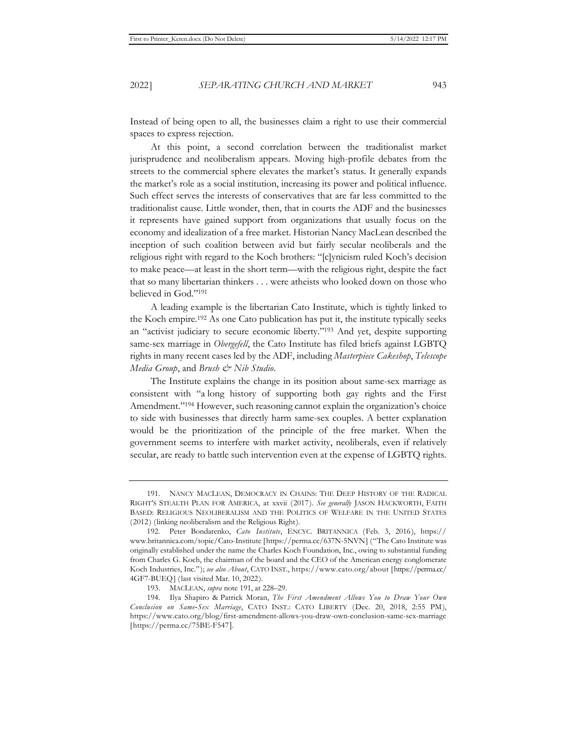Instead of being open to all, the businesses claim a right to use their commercial spaces to express rejection.

At this point, a second correlation between the traditionalist market jurisprudence and neoliberalism appears. Moving high-profile debates from the streets to the commercial sphere elevates the market's status. It generally expands the market's role as a social institution, increasing its power and political influence. Such effect serves the interests of conservatives that are far less committed to the traditionalist cause. Little wonder, then, that in courts the ADF and the businesses it represents have gained support from organizations that usually focus on the economy and idealization of a free market. Historian Nancy MacLean described the inception of such coalition between avid but fairly secular neoliberals and the religious right with regard to the Koch brothers: "[c]ynicism ruled Koch's decision to make peace—at least in the short term—with the religious right, despite the fact that so many libertarian thinkers . . . were atheists who looked down on those who believed in God."191

A leading example is the libertarian Cato Institute, which is tightly linked to the Koch empire.192 As one Cato publication has put it, the institute typically seeks an "activist judiciary to secure economic liberty."193 And yet, despite supporting same-sex marriage in *Obergefell*, the Cato Institute has filed briefs against LGBTQ rights in many recent cases led by the ADF, including *Masterpiece Cakeshop*, *Telescope Media Group*, and *Brush & Nib Studio*.

The Institute explains the change in its position about same-sex marriage as consistent with "a long history of supporting both gay rights and the First Amendment."194 However, such reasoning cannot explain the organization's choice to side with businesses that directly harm same-sex couples. A better explanation would be the prioritization of the principle of the free market. When the government seems to interfere with market activity, neoliberals, even if relatively secular, are ready to battle such intervention even at the expense of LGBTQ rights.

<sup>191.</sup> NANCY MACLEAN, DEMOCRACY IN CHAINS: THE DEEP HISTORY OF THE RADICAL RIGHT'S STEALTH PLAN FOR AMERICA, at xxvii (2017). *See generally* JASON HACKWORTH, FAITH BASED: RELIGIOUS NEOLIBERALISM AND THE POLITICS OF WELFARE IN THE UNITED STATES (2012) (linking neoliberalism and the Religious Right).

<sup>192.</sup> Peter Bondarenko, *Cato Institute*, ENCYC. BRITANNICA (Feb. 3, 2016), https:// www.britannica.com/topic/Cato-Institute [https://perma.cc/637N-5NVN] ("The Cato Institute was originally established under the name the Charles Koch Foundation, Inc., owing to substantial funding from Charles G. Koch, the chairman of the board and the CEO of the American energy conglomerate Koch Industries, Inc."); *see also About*, CATO INST., https://www.cato.org/about [https://perma.cc/ 4GF7-BUEQ] (last visited Mar. 10, 2022).

<sup>193.</sup> MACLEAN, *supra* note 191, at 228–29.

<sup>194.</sup> Ilya Shapiro & Patrick Moran, *The First Amendment Allows You to Draw Your Own Conclusion on Same‐Sex Marriage*, CATO INST.: CATO LIBERTY (Dec. 20, 2018, 2:55 PM), https://www.cato.org/blog/first-amendment-allows-you-draw-own-conclusion-same-sex-marriage [https://perma.cc/75BE-F547].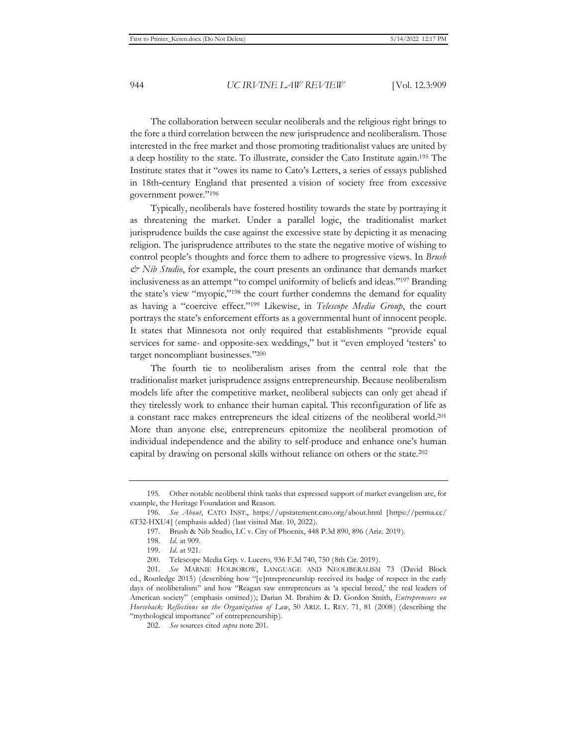The collaboration between secular neoliberals and the religious right brings to the fore a third correlation between the new jurisprudence and neoliberalism. Those interested in the free market and those promoting traditionalist values are united by a deep hostility to the state. To illustrate, consider the Cato Institute again.195 The Institute states that it "owes its name to Cato's Letters, a series of essays published in 18th-century England that presented a vision of society free from excessive government power."196

Typically, neoliberals have fostered hostility towards the state by portraying it as threatening the market. Under a parallel logic, the traditionalist market jurisprudence builds the case against the excessive state by depicting it as menacing religion. The jurisprudence attributes to the state the negative motive of wishing to control people's thoughts and force them to adhere to progressive views. In *Brush & Nib Studio*, for example, the court presents an ordinance that demands market inclusiveness as an attempt "to compel uniformity of beliefs and ideas."197 Branding the state's view "myopic,"198 the court further condemns the demand for equality as having a "coercive effect."199 Likewise, in *Telescope Media Group*, the court portrays the state's enforcement efforts as a governmental hunt of innocent people. It states that Minnesota not only required that establishments "provide equal services for same- and opposite-sex weddings," but it "even employed 'testers' to target noncompliant businesses."200

The fourth tie to neoliberalism arises from the central role that the traditionalist market jurisprudence assigns entrepreneurship. Because neoliberalism models life after the competitive market, neoliberal subjects can only get ahead if they tirelessly work to enhance their human capital. This reconfiguration of life as a constant race makes entrepreneurs the ideal citizens of the neoliberal world.201 More than anyone else, entrepreneurs epitomize the neoliberal promotion of individual independence and the ability to self-produce and enhance one's human capital by drawing on personal skills without reliance on others or the state.202

<sup>195.</sup> Other notable neoliberal think tanks that expressed support of market evangelism are, for example, the Heritage Foundation and Reason.

<sup>196.</sup> *See About*, CATO INST., https://upstatement.cato.org/about.html [https://perma.cc/ 6T32-HXU4] (emphasis added) (last visited Mar. 10, 2022).

<sup>197.</sup> Brush & Nib Studio, LC v. City of Phoenix, 448 P.3d 890, 896 (Ariz. 2019).

<sup>198.</sup> *Id.* at 909.

<sup>199.</sup> *Id.* at 921.

<sup>200.</sup> Telescope Media Grp. v. Lucero, 936 F.3d 740, 750 (8th Cir. 2019).

<sup>201.</sup> *See* MARNIE HOLBOROW, LANGUAGE AND NEOLIBERALISM 73 (David Block ed., Routledge 2015) (describing how "[e]ntrepreneurship received its badge of respect in the early days of neoliberalism" and how "Reagan saw entrepreneurs as 'a special breed,' the real leaders of American society" (emphasis omitted)); Darian M. Ibrahim & D. Gordon Smith, *Entrepreneurs on Horseback: Reflections on the Organization of Law*, 50 ARIZ. L. REV. 71, 81 (2008) (describing the "mythological importance" of entrepreneurship).

<sup>202.</sup> *See* sources cited *supra* note 201.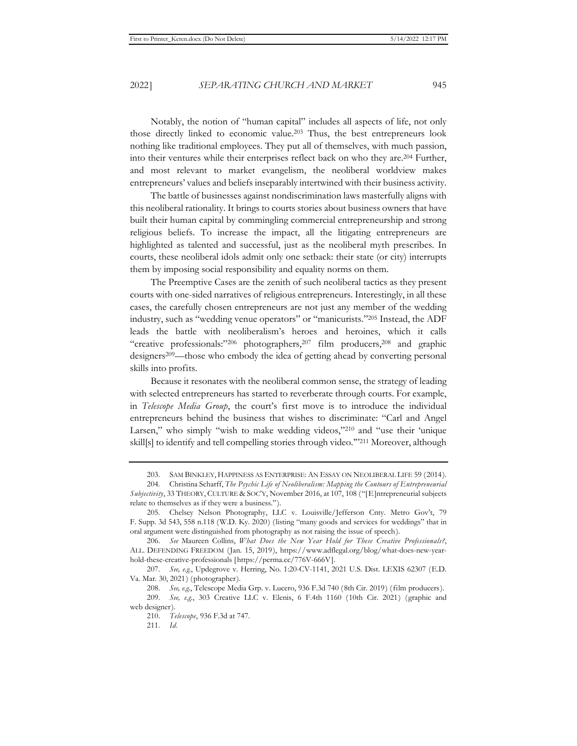Notably, the notion of "human capital" includes all aspects of life, not only those directly linked to economic value.203 Thus, the best entrepreneurs look nothing like traditional employees. They put all of themselves, with much passion, into their ventures while their enterprises reflect back on who they are.204 Further, and most relevant to market evangelism, the neoliberal worldview makes entrepreneurs' values and beliefs inseparably intertwined with their business activity.

The battle of businesses against nondiscrimination laws masterfully aligns with this neoliberal rationality. It brings to courts stories about business owners that have built their human capital by commingling commercial entrepreneurship and strong religious beliefs. To increase the impact, all the litigating entrepreneurs are highlighted as talented and successful, just as the neoliberal myth prescribes. In courts, these neoliberal idols admit only one setback: their state (or city) interrupts them by imposing social responsibility and equality norms on them.

The Preemptive Cases are the zenith of such neoliberal tactics as they present courts with one-sided narratives of religious entrepreneurs. Interestingly, in all these cases, the carefully chosen entrepreneurs are not just any member of the wedding industry, such as "wedding venue operators" or "manicurists."205 Instead, the ADF leads the battle with neoliberalism's heroes and heroines, which it calls "creative professionals:"206 photographers,<sup>207</sup> film producers,<sup>208</sup> and graphic designers209—those who embody the idea of getting ahead by converting personal skills into profits.

Because it resonates with the neoliberal common sense, the strategy of leading with selected entrepreneurs has started to reverberate through courts. For example, in *Telescope Media Group*, the court's first move is to introduce the individual entrepreneurs behind the business that wishes to discriminate: "Carl and Angel Larsen," who simply "wish to make wedding videos,"<sup>210</sup> and "use their 'unique skill[s] to identify and tell compelling stories through video.'"211 Moreover, although

<sup>203.</sup> SAM BINKLEY, HAPPINESS AS ENTERPRISE: AN ESSAY ON NEOLIBERAL LIFE 59 (2014).

<sup>204.</sup> Christina Scharff, *The Psychic Life of Neoliberalism: Mapping the Contours of Entrepreneurial Subjectivity*, 33 THEORY, CULTURE & SOC'Y, November 2016, at 107, 108 ("[E]ntrepreneurial subjects relate to themselves as if they were a business.").

<sup>205.</sup> Chelsey Nelson Photography, LLC v. Louisville/Jefferson Cnty. Metro Gov't, 79 F. Supp. 3d 543, 558 n.118 (W.D. Ky. 2020) (listing "many goods and services for weddings" that in oral argument were distinguished from photography as not raising the issue of speech).

<sup>206.</sup> *See* Maureen Collins, *What Does the New Year Hold for These Creative Professionals?*, ALL. DEFENDING FREEDOM (Jan. 15, 2019), https://www.adflegal.org/blog/what-does-new-yearhold-these-creative-professionals [https://perma.cc/776V-666V].

<sup>207.</sup> *See, e.g.*, Updegrove v. Herring, No. 1:20-CV-1141, 2021 U.S. Dist. LEXIS 62307 (E.D. Va. Mar. 30, 2021) (photographer).

<sup>208.</sup> *See, e.g.*, Telescope Media Grp. v. Lucero, 936 F.3d 740 (8th Cir. 2019) (film producers).

<sup>209.</sup> *See, e.g.*, 303 Creative LLC v. Elenis, 6 F.4th 1160 (10th Cir. 2021) (graphic and web designer).

<sup>210.</sup> *Telescope*, 936 F.3d at 747.

<sup>211.</sup> *Id.*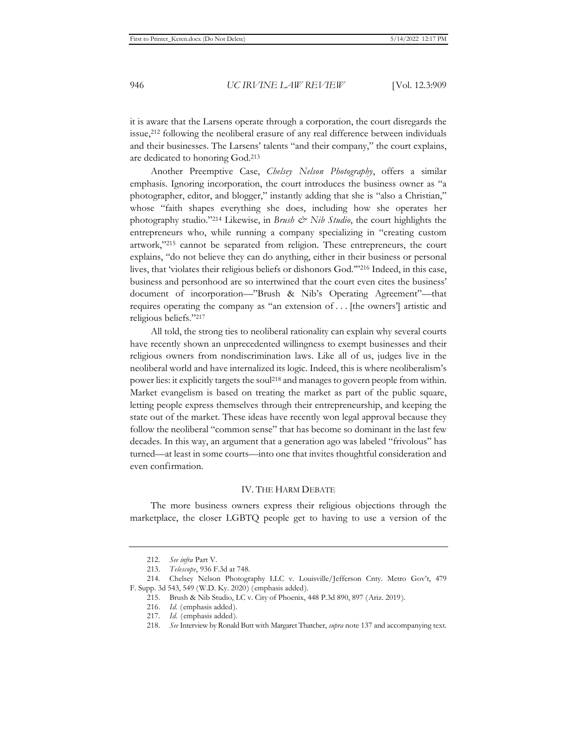it is aware that the Larsens operate through a corporation, the court disregards the issue,212 following the neoliberal erasure of any real difference between individuals and their businesses. The Larsens' talents "and their company," the court explains, are dedicated to honoring God.213

Another Preemptive Case, *Chelsey Nelson Photography*, offers a similar emphasis. Ignoring incorporation, the court introduces the business owner as "a photographer, editor, and blogger," instantly adding that she is "also a Christian," whose "faith shapes everything she does, including how she operates her photography studio."214 Likewise, in *Brush & Nib Studio*, the court highlights the entrepreneurs who, while running a company specializing in "creating custom artwork,"215 cannot be separated from religion. These entrepreneurs, the court explains, "do not believe they can do anything, either in their business or personal lives, that 'violates their religious beliefs or dishonors God.'"216 Indeed, in this case, business and personhood are so intertwined that the court even cites the business' document of incorporation—"Brush & Nib's Operating Agreement"—that requires operating the company as "an extension of . . . [the owners'] artistic and religious beliefs."217

All told, the strong ties to neoliberal rationality can explain why several courts have recently shown an unprecedented willingness to exempt businesses and their religious owners from nondiscrimination laws. Like all of us, judges live in the neoliberal world and have internalized its logic. Indeed, this is where neoliberalism's power lies: it explicitly targets the soul218 and manages to govern people from within. Market evangelism is based on treating the market as part of the public square, letting people express themselves through their entrepreneurship, and keeping the state out of the market. These ideas have recently won legal approval because they follow the neoliberal "common sense" that has become so dominant in the last few decades. In this way, an argument that a generation ago was labeled "frivolous" has turned—at least in some courts—into one that invites thoughtful consideration and even confirmation.

#### IV. THE HARM DEBATE

The more business owners express their religious objections through the marketplace, the closer LGBTQ people get to having to use a version of the

<sup>212.</sup> *See infra* Part V.

<sup>213.</sup> *Telescope*, 936 F.3d at 748.

<sup>214.</sup> Chelsey Nelson Photography LLC v. Louisville/Jefferson Cnty. Metro Gov't, 479 F. Supp. 3d 543, 549 (W.D. Ky. 2020) (emphasis added).

<sup>215.</sup> Brush & Nib Studio, LC v. City of Phoenix, 448 P.3d 890, 897 (Ariz. 2019).

<sup>216.</sup> *Id.* (emphasis added).

<sup>217.</sup> *Id.* (emphasis added).

<sup>218.</sup> *See* Interview by Ronald Butt with Margaret Thatcher, *supra* note 137 and accompanying text.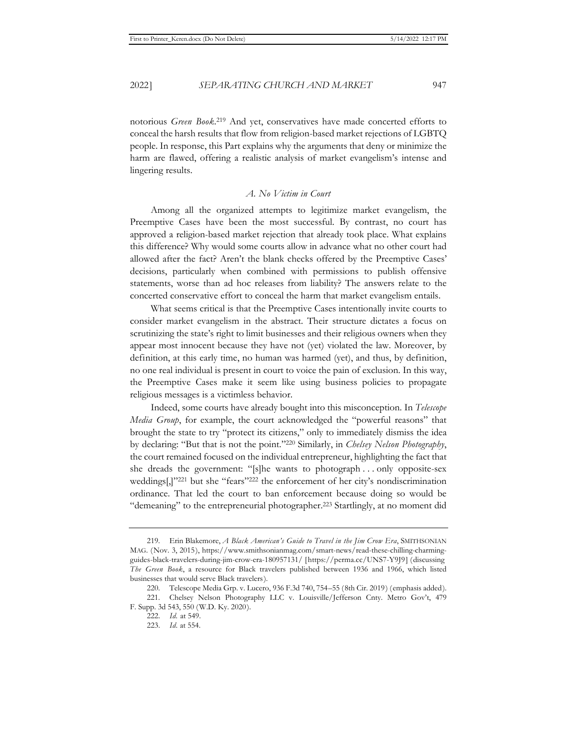notorious *Green Book*. 219 And yet, conservatives have made concerted efforts to conceal the harsh results that flow from religion-based market rejections of LGBTQ people. In response, this Part explains why the arguments that deny or minimize the harm are flawed, offering a realistic analysis of market evangelism's intense and lingering results.

#### *A. No Victim in Court*

Among all the organized attempts to legitimize market evangelism, the Preemptive Cases have been the most successful. By contrast, no court has approved a religion-based market rejection that already took place. What explains this difference? Why would some courts allow in advance what no other court had allowed after the fact? Aren't the blank checks offered by the Preemptive Cases' decisions, particularly when combined with permissions to publish offensive statements, worse than ad hoc releases from liability? The answers relate to the concerted conservative effort to conceal the harm that market evangelism entails.

What seems critical is that the Preemptive Cases intentionally invite courts to consider market evangelism in the abstract. Their structure dictates a focus on scrutinizing the state's right to limit businesses and their religious owners when they appear most innocent because they have not (yet) violated the law. Moreover, by definition, at this early time, no human was harmed (yet), and thus, by definition, no one real individual is present in court to voice the pain of exclusion. In this way, the Preemptive Cases make it seem like using business policies to propagate religious messages is a victimless behavior.

Indeed, some courts have already bought into this misconception. In *Telescope Media Group*, for example, the court acknowledged the "powerful reasons" that brought the state to try "protect its citizens," only to immediately dismiss the idea by declaring: "But that is not the point."220 Similarly, in *Chelsey Nelson Photography*, the court remained focused on the individual entrepreneur, highlighting the fact that she dreads the government: "[s]he wants to photograph . . . only opposite-sex weddings[,]"221 but she "fears"222 the enforcement of her city's nondiscrimination ordinance. That led the court to ban enforcement because doing so would be "demeaning" to the entrepreneurial photographer.223 Startlingly, at no moment did

<sup>219.</sup> Erin Blakemore, *A Black American's Guide to Travel in the Jim Crow Era*, SMITHSONIAN MAG. (Nov. 3, 2015), https://www.smithsonianmag.com/smart-news/read-these-chilling-charmingguides-black-travelers-during-jim-crow-era-180957131/ [https://perma.cc/UNS7-Y9J9] (discussing *The Green Book*, a resource for Black travelers published between 1936 and 1966, which listed businesses that would serve Black travelers).

<sup>220.</sup> Telescope Media Grp. v. Lucero, 936 F.3d 740, 754–55 (8th Cir. 2019) (emphasis added).

<sup>221.</sup> Chelsey Nelson Photography LLC v. Louisville/Jefferson Cnty. Metro Gov't, 479 F. Supp. 3d 543, 550 (W.D. Ky. 2020).

<sup>222.</sup> *Id.* at 549.

<sup>223.</sup> *Id.* at 554.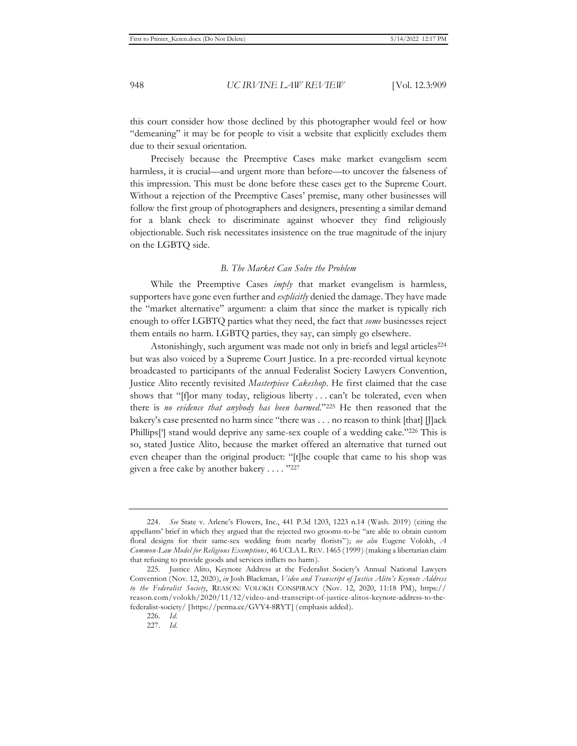this court consider how those declined by this photographer would feel or how "demeaning" it may be for people to visit a website that explicitly excludes them due to their sexual orientation.

Precisely because the Preemptive Cases make market evangelism seem harmless, it is crucial—and urgent more than before—to uncover the falseness of this impression. This must be done before these cases get to the Supreme Court. Without a rejection of the Preemptive Cases' premise, many other businesses will follow the first group of photographers and designers, presenting a similar demand for a blank check to discriminate against whoever they find religiously objectionable. Such risk necessitates insistence on the true magnitude of the injury on the LGBTQ side.

#### *B. The Market Can Solve the Problem*

While the Preemptive Cases *imply* that market evangelism is harmless, supporters have gone even further and *explicitly* denied the damage. They have made the "market alternative" argument: a claim that since the market is typically rich enough to offer LGBTQ parties what they need, the fact that *some* businesses reject them entails no harm. LGBTQ parties, they say, can simply go elsewhere.

Astonishingly, such argument was made not only in briefs and legal articles<sup>224</sup> but was also voiced by a Supreme Court Justice. In a pre-recorded virtual keynote broadcasted to participants of the annual Federalist Society Lawyers Convention, Justice Alito recently revisited *Masterpiece Cakeshop*. He first claimed that the case shows that "[f]or many today, religious liberty . . . can't be tolerated, even when there is *no evidence that anybody has been harmed*."225 He then reasoned that the bakery's case presented no harm since "there was . . . no reason to think [that] [J]ack Phillips['] stand would deprive any same-sex couple of a wedding cake."226 This is so, stated Justice Alito, because the market offered an alternative that turned out even cheaper than the original product: "[t]he couple that came to his shop was given a free cake by another bakery . . . . "227

<sup>224.</sup> *See* State v. Arlene's Flowers, Inc., 441 P.3d 1203, 1223 n.14 (Wash. 2019) (citing the appellants' brief in which they argued that the rejected two grooms-to-be "are able to obtain custom floral designs for their same-sex wedding from nearby florists"); *see also* Eugene Volokh, *A Common-Law Model for Religious Exemptions*, 46 UCLAL.REV. 1465 (1999) (making a libertarian claim that refusing to provide goods and services inflicts no harm).

<sup>225.</sup> Justice Alito, Keynote Address at the Federalist Society's Annual National Lawyers Convention (Nov. 12, 2020), *in* Josh Blackman, *Video and Transcript of Justice Alito's Keynote Address to the Federalist Society*, REASON: VOLOKH CONSPIRACY (Nov. 12, 2020, 11:18 PM), https:// reason.com/volokh/2020/11/12/video-and-transcript-of-justice-alitos-keynote-address-to-thefederalist-society/ [https://perma.cc/GVY4-8RYT] (emphasis added).

<sup>226.</sup> *Id.*

<sup>227.</sup> *Id.*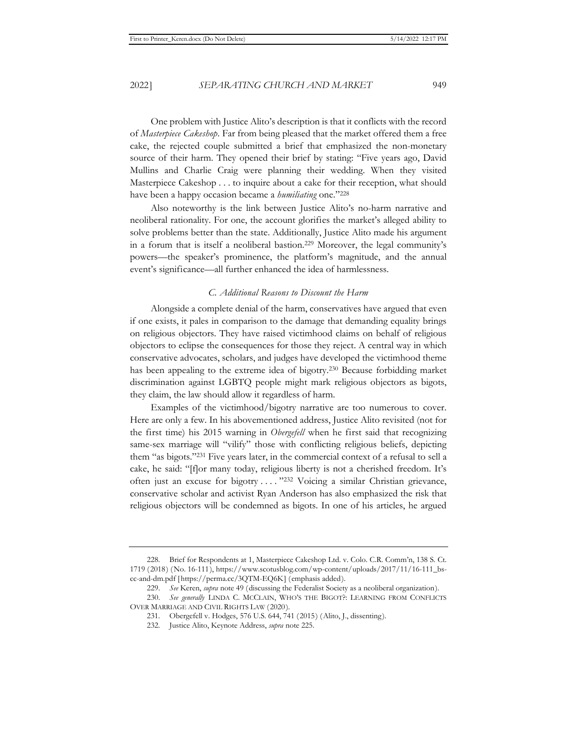One problem with Justice Alito's description is that it conflicts with the record of *Masterpiece Cakeshop*. Far from being pleased that the market offered them a free cake, the rejected couple submitted a brief that emphasized the non-monetary source of their harm. They opened their brief by stating: "Five years ago, David Mullins and Charlie Craig were planning their wedding. When they visited Masterpiece Cakeshop . . . to inquire about a cake for their reception, what should have been a happy occasion became a *humiliating* one."228

Also noteworthy is the link between Justice Alito's no-harm narrative and neoliberal rationality. For one, the account glorifies the market's alleged ability to solve problems better than the state. Additionally, Justice Alito made his argument in a forum that is itself a neoliberal bastion.229 Moreover, the legal community's powers—the speaker's prominence, the platform's magnitude, and the annual event's significance—all further enhanced the idea of harmlessness.

#### *C. Additional Reasons to Discount the Harm*

Alongside a complete denial of the harm, conservatives have argued that even if one exists, it pales in comparison to the damage that demanding equality brings on religious objectors. They have raised victimhood claims on behalf of religious objectors to eclipse the consequences for those they reject. A central way in which conservative advocates, scholars, and judges have developed the victimhood theme has been appealing to the extreme idea of bigotry.230 Because forbidding market discrimination against LGBTQ people might mark religious objectors as bigots, they claim, the law should allow it regardless of harm.

Examples of the victimhood/bigotry narrative are too numerous to cover. Here are only a few. In his abovementioned address, Justice Alito revisited (not for the first time) his 2015 warning in *Obergefell* when he first said that recognizing same-sex marriage will "vilify" those with conflicting religious beliefs, depicting them "as bigots."231 Five years later, in the commercial context of a refusal to sell a cake, he said: "[f]or many today, religious liberty is not a cherished freedom. It's often just an excuse for bigotry . . . . "232 Voicing a similar Christian grievance, conservative scholar and activist Ryan Anderson has also emphasized the risk that religious objectors will be condemned as bigots. In one of his articles, he argued

<sup>228.</sup> Brief for Respondents at 1, Masterpiece Cakeshop Ltd. v. Colo. C.R. Comm'n, 138 S. Ct. 1719 (2018) (No. 16-111), https://www.scotusblog.com/wp-content/uploads/2017/11/16-111\_bscc-and-dm.pdf [https://perma.cc/3QTM-EQ6K] (emphasis added).

<sup>229.</sup> *See* Keren, *supra* note 49 (discussing the Federalist Society as a neoliberal organization).

<sup>230.</sup> *See generally* LINDA C. MCCLAIN, WHO'S THE BIGOT?: LEARNING FROM CONFLICTS OVER MARRIAGE AND CIVIL RIGHTS LAW (2020).

<sup>231.</sup> Obergefell v. Hodges, 576 U.S. 644, 741 (2015) (Alito, J., dissenting).

<sup>232.</sup> Justice Alito, Keynote Address, *supra* note 225.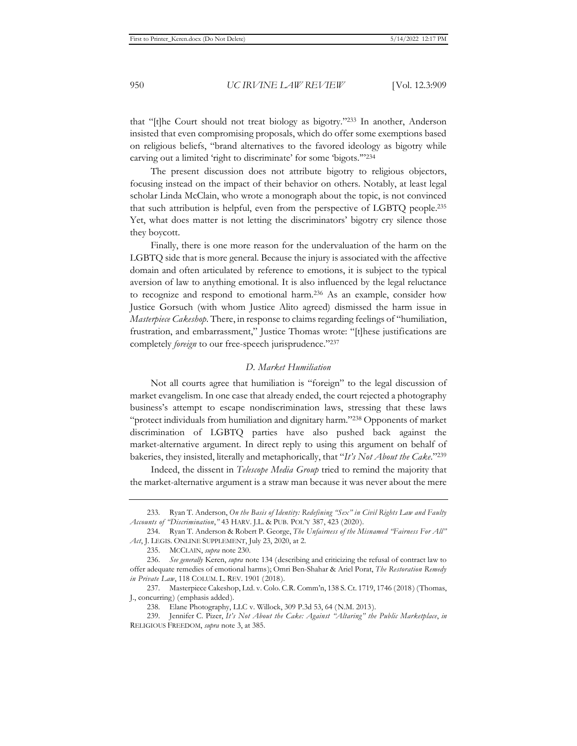that "[t]he Court should not treat biology as bigotry."233 In another, Anderson insisted that even compromising proposals, which do offer some exemptions based on religious beliefs, "brand alternatives to the favored ideology as bigotry while carving out a limited 'right to discriminate' for some 'bigots.'"234

The present discussion does not attribute bigotry to religious objectors, focusing instead on the impact of their behavior on others. Notably, at least legal scholar Linda McClain, who wrote a monograph about the topic, is not convinced that such attribution is helpful, even from the perspective of LGBTQ people.235 Yet, what does matter is not letting the discriminators' bigotry cry silence those they boycott.

Finally, there is one more reason for the undervaluation of the harm on the LGBTQ side that is more general. Because the injury is associated with the affective domain and often articulated by reference to emotions, it is subject to the typical aversion of law to anything emotional. It is also influenced by the legal reluctance to recognize and respond to emotional harm.236 As an example, consider how Justice Gorsuch (with whom Justice Alito agreed) dismissed the harm issue in *Masterpiece Cakeshop*. There, in response to claims regarding feelings of "humiliation, frustration, and embarrassment," Justice Thomas wrote: "[t]hese justifications are completely *foreign* to our free-speech jurisprudence."237

#### *D. Market Humiliation*

Not all courts agree that humiliation is "foreign" to the legal discussion of market evangelism. In one case that already ended, the court rejected a photography business's attempt to escape nondiscrimination laws, stressing that these laws "protect individuals from humiliation and dignitary harm."238 Opponents of market discrimination of LGBTQ parties have also pushed back against the market-alternative argument. In direct reply to using this argument on behalf of bakeries, they insisted, literally and metaphorically, that "*It's Not About the Cake*."239

Indeed, the dissent in *Telescope Media Group* tried to remind the majority that the market-alternative argument is a straw man because it was never about the mere

<sup>233.</sup> Ryan T. Anderson, *On the Basis of Identity: Redefining "Sex" in Civil Rights Law and Faulty Accounts of "Discrimination*,*"* 43 HARV. J.L. & PUB. POL'Y 387, 423 (2020).

<sup>234.</sup> Ryan T. Anderson & Robert P. George, *The Unfairness of the Misnamed "Fairness For All" Act*, J. LEGIS. ONLINE SUPPLEMENT, July 23, 2020, at 2.

<sup>235.</sup> MCCLAIN, *supra* note 230.

<sup>236.</sup> *See generally* Keren, *supra* note 134 (describing and criticizing the refusal of contract law to offer adequate remedies of emotional harms); Omri Ben-Shahar & Ariel Porat, *The Restoration Remedy in Private Law*, 118 COLUM. L. REV. 1901 (2018).

<sup>237.</sup> Masterpiece Cakeshop, Ltd. v. Colo. C.R. Comm'n, 138 S. Ct. 1719, 1746 (2018) (Thomas, J., concurring) (emphasis added).

<sup>238.</sup> Elane Photography, LLC v. Willock, 309 P.3d 53, 64 (N.M. 2013).

<sup>239.</sup> Jennifer C. Pizer, *It's Not About the Cake: Against "Altaring" the Public Marketplace*, *in*  RELIGIOUS FREEDOM, *supra* note 3, at 385.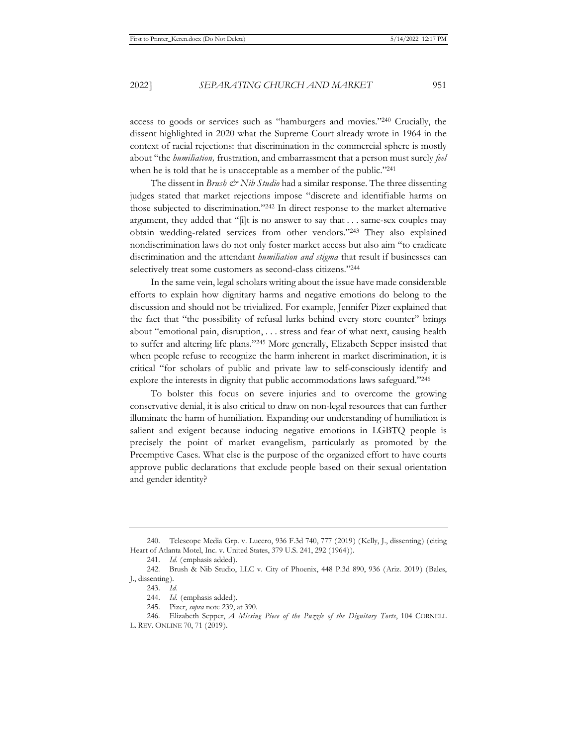access to goods or services such as "hamburgers and movies."240 Crucially, the dissent highlighted in 2020 what the Supreme Court already wrote in 1964 in the context of racial rejections: that discrimination in the commercial sphere is mostly about "the *humiliation,* frustration, and embarrassment that a person must surely *feel* when he is told that he is unacceptable as a member of the public."<sup>241</sup>

The dissent in *Brush & Nib Studio* had a similar response. The three dissenting judges stated that market rejections impose "discrete and identifiable harms on those subjected to discrimination."242 In direct response to the market alternative argument, they added that "[i]t is no answer to say that . . . same-sex couples may obtain wedding-related services from other vendors."243 They also explained nondiscrimination laws do not only foster market access but also aim "to eradicate discrimination and the attendant *humiliation and stigma* that result if businesses can selectively treat some customers as second-class citizens."244

In the same vein, legal scholars writing about the issue have made considerable efforts to explain how dignitary harms and negative emotions do belong to the discussion and should not be trivialized. For example, Jennifer Pizer explained that the fact that "the possibility of refusal lurks behind every store counter" brings about "emotional pain, disruption, . . . stress and fear of what next, causing health to suffer and altering life plans."245 More generally, Elizabeth Sepper insisted that when people refuse to recognize the harm inherent in market discrimination, it is critical "for scholars of public and private law to self-consciously identify and explore the interests in dignity that public accommodations laws safeguard."246

To bolster this focus on severe injuries and to overcome the growing conservative denial, it is also critical to draw on non-legal resources that can further illuminate the harm of humiliation. Expanding our understanding of humiliation is salient and exigent because inducing negative emotions in LGBTQ people is precisely the point of market evangelism, particularly as promoted by the Preemptive Cases. What else is the purpose of the organized effort to have courts approve public declarations that exclude people based on their sexual orientation and gender identity?

<sup>240.</sup> Telescope Media Grp. v. Lucero, 936 F.3d 740, 777 (2019) (Kelly, J., dissenting) (citing Heart of Atlanta Motel, Inc. v. United States, 379 U.S. 241, 292 (1964)).

<sup>241.</sup> *Id.* (emphasis added).

<sup>242.</sup> Brush & Nib Studio, LLC v. City of Phoenix, 448 P.3d 890, 936 (Ariz. 2019) (Bales, J., dissenting).

<sup>243.</sup> *Id.*

<sup>244.</sup> *Id.* (emphasis added).

<sup>245.</sup> Pizer, *supra* note 239, at 390.

<sup>246.</sup> Elizabeth Sepper, *A Missing Piece of the Puzzle of the Dignitary Torts*, 104 CORNELL L. REV. ONLINE 70, 71 (2019).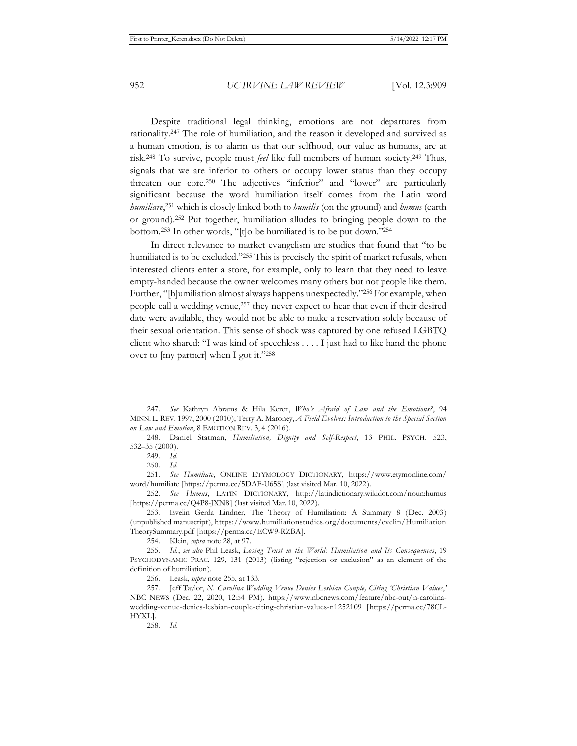Despite traditional legal thinking, emotions are not departures from rationality.247 The role of humiliation, and the reason it developed and survived as a human emotion, is to alarm us that our selfhood, our value as humans, are at risk.248 To survive, people must *feel* like full members of human society.249 Thus, signals that we are inferior to others or occupy lower status than they occupy threaten our core.250 The adjectives "inferior" and "lower" are particularly significant because the word humiliation itself comes from the Latin word *humiliare*, 251 which is closely linked both to *humilis* (on the ground) and *humus* (earth or ground).252 Put together, humiliation alludes to bringing people down to the bottom.253 In other words, "[t]o be humiliated is to be put down."254

In direct relevance to market evangelism are studies that found that "to be humiliated is to be excluded."<sup>255</sup> This is precisely the spirit of market refusals, when interested clients enter a store, for example, only to learn that they need to leave empty-handed because the owner welcomes many others but not people like them. Further, "[h]umiliation almost always happens unexpectedly."256 For example, when people call a wedding venue,257 they never expect to hear that even if their desired date were available, they would not be able to make a reservation solely because of their sexual orientation. This sense of shock was captured by one refused LGBTQ client who shared: "I was kind of speechless . . . . I just had to like hand the phone over to [my partner] when I got it."258

251. *See Humiliate*, ONLINE ETYMOLOGY DICTIONARY, https://www.etymonline.com/ word/humiliate [https://perma.cc/5DAF-U65S] (last visited Mar. 10, 2022).

252. *See Humus*, LATIN DICTIONARY, http://latindictionary.wikidot.com/noun:humus [https://perma.cc/Q4P8-JXN8] (last visited Mar. 10, 2022).

253. Evelin Gerda Lindner, The Theory of Humiliation: A Summary 8 (Dec. 2003) (unpublished manuscript), https://www.humiliationstudies.org/documents/evelin/Humiliation TheorySummary.pdf [https://perma.cc/ECW9-RZBA].

254. Klein, *supra* note 28, at 97.

256. Leask, *supra* note 255, at 133.

257. Jeff Taylor, *N. Carolina Wedding Venue Denies Lesbian Couple, Citing 'Christian Values*,*'* NBC NEWS (Dec. 22, 2020, 12:54 PM), https://www.nbcnews.com/feature/nbc-out/n-carolinawedding-venue-denies-lesbian-couple-citing-christian-values-n1252109 [https://perma.cc/78CL-HYXL].

258. *Id.*

<sup>247.</sup> *See* Kathryn Abrams & Hila Keren, *Who's Afraid of Law and the Emotions?*, 94 MINN. L. REV. 1997, 2000 (2010); Terry A. Maroney, *A Field Evolves: Introduction to the Special Section on Law and Emotion*, 8 EMOTION REV. 3, 4 (2016).

<sup>248.</sup> Daniel Statman, *Humiliation, Dignity and Self-Respect*, 13 PHIL. PSYCH. 523, 532–35 (2000).

<sup>249.</sup> *Id.* 

<sup>250.</sup> *Id.* 

<sup>255.</sup> *Id.*; *see also* Phil Leask, *Losing Trust in the World: Humiliation and Its Consequences*, 19 PSYCHODYNAMIC PRAC. 129, 131 (2013) (listing "rejection or exclusion" as an element of the definition of humiliation).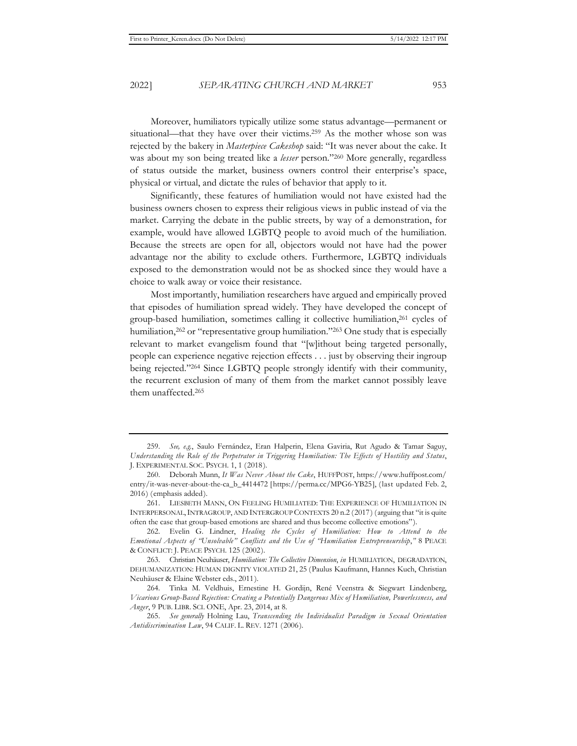Moreover, humiliators typically utilize some status advantage—permanent or situational—that they have over their victims.259 As the mother whose son was rejected by the bakery in *Masterpiece Cakeshop* said: "It was never about the cake. It was about my son being treated like a *lesser* person."260 More generally, regardless of status outside the market, business owners control their enterprise's space, physical or virtual, and dictate the rules of behavior that apply to it.

Significantly, these features of humiliation would not have existed had the business owners chosen to express their religious views in public instead of via the market. Carrying the debate in the public streets, by way of a demonstration, for example, would have allowed LGBTQ people to avoid much of the humiliation. Because the streets are open for all, objectors would not have had the power advantage nor the ability to exclude others. Furthermore, LGBTQ individuals exposed to the demonstration would not be as shocked since they would have a choice to walk away or voice their resistance.

Most importantly, humiliation researchers have argued and empirically proved that episodes of humiliation spread widely. They have developed the concept of group-based humiliation, sometimes calling it collective humiliation,<sup>261</sup> cycles of humiliation, $262$  or "representative group humiliation."<sup>263</sup> One study that is especially relevant to market evangelism found that "[w]ithout being targeted personally, people can experience negative rejection effects . . . just by observing their ingroup being rejected."264 Since LGBTQ people strongly identify with their community, the recurrent exclusion of many of them from the market cannot possibly leave them unaffected.265

<sup>259.</sup> *See, e.g.*, Saulo Fernández, Eran Halperin, Elena Gaviria, Rut Agudo & Tamar Saguy, *Understanding the Role of the Perpetrator in Triggering Humiliation: The Effects of Hostility and Status*, J. EXPERIMENTAL SOC. PSYCH. 1, 1 (2018).

<sup>260.</sup> Deborah Munn, *It Was Never About the Cake*, HUFFPOST, https://www.huffpost.com/ entry/it-was-never-about-the-ca\_b\_4414472 [https://perma.cc/MPG6-YB25], (last updated Feb. 2, 2016) (emphasis added).

<sup>261.</sup> LIESBETH MANN, ON FEELING HUMILIATED: THE EXPERIENCE OF HUMILIATION IN INTERPERSONAL,INTRAGROUP, AND INTERGROUP CONTEXTS 20 n.2 (2017) (arguing that "it is quite often the case that group-based emotions are shared and thus become collective emotions").

<sup>262.</sup> Evelin G. Lindner, *Healing the Cycles of Humiliation: How to Attend to the Emotional Aspects of "Unsolvable" Conflicts and the Use of "Humiliation Entrepreneurship*,*"* 8 PEACE & CONFLICT: J. PEACE PSYCH. 125 (2002).

<sup>263.</sup> Christian Neuhäuser, *Humiliation: The Collective Dimension*, *in* HUMILIATION, DEGRADATION, DEHUMANIZATION: HUMAN DIGNITY VIOLATED 21, 25 (Paulus Kaufmann, Hannes Kuch, Christian Neuhäuser & Elaine Webster eds., 2011).

<sup>264.</sup> Tinka M. Veldhuis, Ernestine H. Gordijn, René Veenstra & Siegwart Lindenberg, *Vicarious Group-Based Rejection: Creating a Potentially Dangerous Mix of Humiliation, Powerlessness, and Anger*, 9 PUB. LIBR. SCI. ONE, Apr. 23, 2014, at 8.

<sup>265.</sup> *See generally* Holning Lau, *Transcending the Individualist Paradigm in Sexual Orientation Antidiscrimination Law*, 94 CALIF. L. REV. 1271 (2006).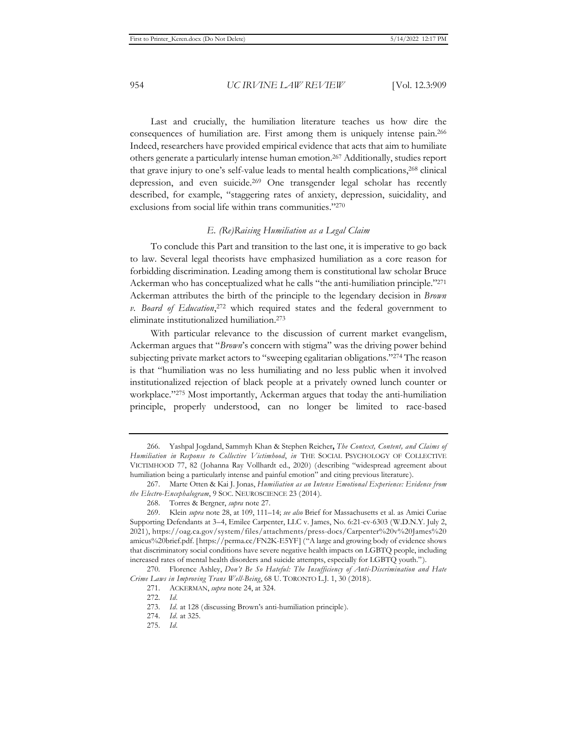Last and crucially, the humiliation literature teaches us how dire the consequences of humiliation are. First among them is uniquely intense pain.266 Indeed, researchers have provided empirical evidence that acts that aim to humiliate others generate a particularly intense human emotion.267 Additionally, studies report that grave injury to one's self-value leads to mental health complications,<sup>268</sup> clinical depression, and even suicide.269 One transgender legal scholar has recently described, for example, "staggering rates of anxiety, depression, suicidality, and exclusions from social life within trans communities."270

#### *E. (Re)Raising Humiliation as a Legal Claim*

To conclude this Part and transition to the last one, it is imperative to go back to law. Several legal theorists have emphasized humiliation as a core reason for forbidding discrimination. Leading among them is constitutional law scholar Bruce Ackerman who has conceptualized what he calls "the anti-humiliation principle."271 Ackerman attributes the birth of the principle to the legendary decision in *Brown v. Board of Education*, 272 which required states and the federal government to eliminate institutionalized humiliation.273

With particular relevance to the discussion of current market evangelism, Ackerman argues that "*Brown*'s concern with stigma" was the driving power behind subjecting private market actors to "sweeping egalitarian obligations."274 The reason is that "humiliation was no less humiliating and no less public when it involved institutionalized rejection of black people at a privately owned lunch counter or workplace."275 Most importantly, Ackerman argues that today the anti-humiliation principle, properly understood, can no longer be limited to race-based

<sup>266.</sup> Yashpal Jogdand, Sammyh Khan & Stephen Reicher**,** *The Context, Content, and Claims of Humiliation in Response to Collective Victimhood*, *in* THE SOCIAL PSYCHOLOGY OF COLLECTIVE VICTIMHOOD 77, 82 (Johanna Ray Vollhardt ed., 2020) (describing "widespread agreement about humiliation being a particularly intense and painful emotion" and citing previous literature).

<sup>267.</sup> Marte Otten & Kai J. Jonas, *Humiliation as an Intense Emotional Experience: Evidence from the Electro-Encephalogram*, 9 SOC. NEUROSCIENCE 23 (2014).

<sup>268.</sup> Torres & Bergner, *supra* note 27.

<sup>269.</sup> Klein *supra* note 28, at 109, 111–14; *see also* Brief for Massachusetts et al. as Amici Curiae Supporting Defendants at 3–4, Emilee Carpenter, LLC v. James, No. 6:21-cv-6303 (W.D.N.Y. July 2, 2021), https://oag.ca.gov/system/files/attachments/press-docs/Carpenter%20v%20James%20 amicus%20brief.pdf. [https://perma.cc/FN2K-E5YF] ("A large and growing body of evidence shows that discriminatory social conditions have severe negative health impacts on LGBTQ people, including increased rates of mental health disorders and suicide attempts, especially for LGBTQ youth.").

<sup>270.</sup> Florence Ashley, *Don't Be So Hateful: The Insufficiency of Anti-Discrimination and Hate Crime Laws in Improving Trans Well-Being*, 68 U. TORONTO L.J. 1, 30 (2018).

<sup>271.</sup> ACKERMAN, *supra* note 24, at 324.

<sup>272.</sup> *Id.*

<sup>273.</sup> *Id.* at 128 (discussing Brown's anti-humiliation principle).

<sup>274.</sup> *Id.* at 325.

<sup>275.</sup> *Id.*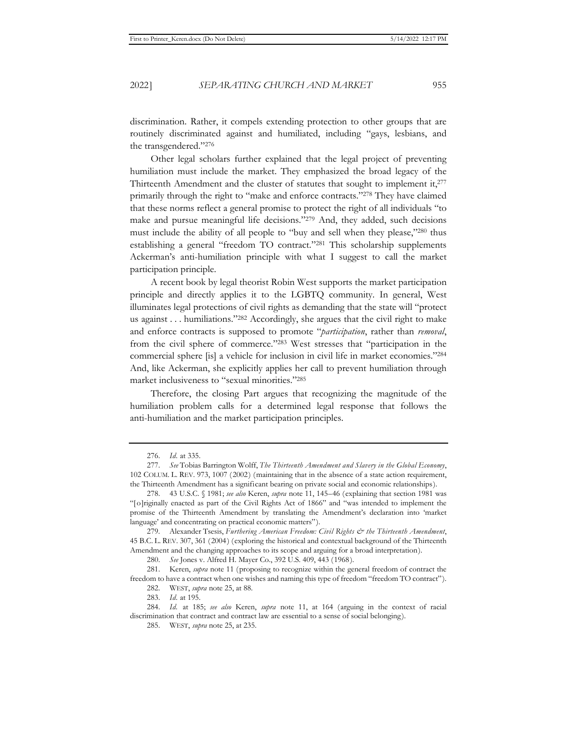discrimination. Rather, it compels extending protection to other groups that are routinely discriminated against and humiliated, including "gays, lesbians, and the transgendered."276

Other legal scholars further explained that the legal project of preventing humiliation must include the market. They emphasized the broad legacy of the Thirteenth Amendment and the cluster of statutes that sought to implement it,<sup>277</sup> primarily through the right to "make and enforce contracts."278 They have claimed that these norms reflect a general promise to protect the right of all individuals "to make and pursue meaningful life decisions."279 And, they added, such decisions must include the ability of all people to "buy and sell when they please,"280 thus establishing a general "freedom TO contract."281 This scholarship supplements Ackerman's anti-humiliation principle with what I suggest to call the market participation principle.

A recent book by legal theorist Robin West supports the market participation principle and directly applies it to the LGBTQ community. In general, West illuminates legal protections of civil rights as demanding that the state will "protect us against . . . humiliations."282 Accordingly, she argues that the civil right to make and enforce contracts is supposed to promote "*participation*, rather than *removal*, from the civil sphere of commerce."283 West stresses that "participation in the commercial sphere [is] a vehicle for inclusion in civil life in market economies."284 And, like Ackerman, she explicitly applies her call to prevent humiliation through market inclusiveness to "sexual minorities."285

Therefore, the closing Part argues that recognizing the magnitude of the humiliation problem calls for a determined legal response that follows the anti-humiliation and the market participation principles.

280. *See* Jones v. Alfred H. Mayer Co., 392 U.S. 409, 443 (1968).

282. WEST, *supra* note 25, at 88.

<sup>276.</sup> *Id.* at 335.

<sup>277.</sup> *See* Tobias Barrington Wolff, *The Thirteenth Amendment and Slavery in the Global Economy*, 102 COLUM. L. REV. 973, 1007 (2002) (maintaining that in the absence of a state action requirement, the Thirteenth Amendment has a significant bearing on private social and economic relationships).

<sup>278. 43</sup> U.S.C. § 1981; *see also* Keren, *supra* note 11, 145–46 (explaining that section 1981 was "[o]riginally enacted as part of the Civil Rights Act of 1866" and "was intended to implement the promise of the Thirteenth Amendment by translating the Amendment's declaration into 'market language' and concentrating on practical economic matters").

<sup>279.</sup> Alexander Tsesis, *Furthering American Freedom: Civil Rights & the Thirteenth Amendment*, 45 B.C. L. REV. 307, 361 (2004) (exploring the historical and contextual background of the Thirteenth Amendment and the changing approaches to its scope and arguing for a broad interpretation).

<sup>281.</sup> Keren, *supra* note 11 (proposing to recognize within the general freedom of contract the freedom to have a contract when one wishes and naming this type of freedom "freedom TO contract").

<sup>283.</sup> *Id.* at 195.

<sup>284.</sup> *Id.* at 185; *see also* Keren, *supra* note 11, at 164 (arguing in the context of racial discrimination that contract and contract law are essential to a sense of social belonging).

<sup>285.</sup> WEST, *supra* note 25, at 235.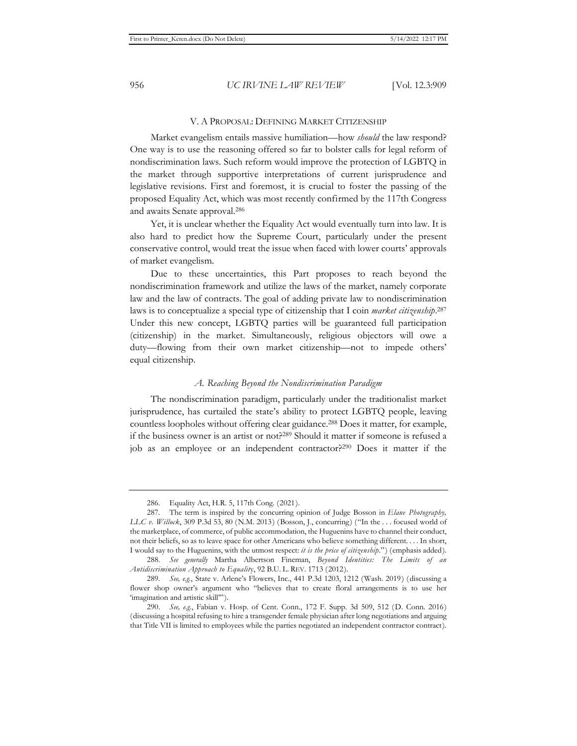#### V. A PROPOSAL: DEFINING MARKET CITIZENSHIP

Market evangelism entails massive humiliation—how *should* the law respond? One way is to use the reasoning offered so far to bolster calls for legal reform of nondiscrimination laws. Such reform would improve the protection of LGBTQ in the market through supportive interpretations of current jurisprudence and legislative revisions. First and foremost, it is crucial to foster the passing of the proposed Equality Act, which was most recently confirmed by the 117th Congress and awaits Senate approval.286

Yet, it is unclear whether the Equality Act would eventually turn into law. It is also hard to predict how the Supreme Court, particularly under the present conservative control, would treat the issue when faced with lower courts' approvals of market evangelism.

Due to these uncertainties, this Part proposes to reach beyond the nondiscrimination framework and utilize the laws of the market, namely corporate law and the law of contracts. The goal of adding private law to nondiscrimination laws is to conceptualize a special type of citizenship that I coin *market citizenship*. 287 Under this new concept, LGBTQ parties will be guaranteed full participation (citizenship) in the market. Simultaneously, religious objectors will owe a duty—flowing from their own market citizenship—not to impede others' equal citizenship.

#### *A. Reaching Beyond the Nondiscrimination Paradigm*

The nondiscrimination paradigm, particularly under the traditionalist market jurisprudence, has curtailed the state's ability to protect LGBTQ people, leaving countless loopholes without offering clear guidance.288 Does it matter, for example, if the business owner is an artist or not?289 Should it matter if someone is refused a job as an employee or an independent contractor?290 Does it matter if the

<sup>286.</sup> Equality Act, H.R. 5, 117th Cong. (2021).

<sup>287.</sup> The term is inspired by the concurring opinion of Judge Bosson in *Elane Photography, LLC v. Willock*, 309 P.3d 53, 80 (N.M. 2013) (Bosson, J., concurring) ("In the . . . focused world of the marketplace, of commerce, of public accommodation, the Huguenins have to channel their conduct, not their beliefs, so as to leave space for other Americans who believe something different. . . . In short, I would say to the Huguenins, with the utmost respect: *it is the price of citizenship*.") (emphasis added).

<sup>288.</sup> *See generally* Martha Albertson Fineman, *Beyond Identities: The Limits of an Antidiscrimination Approach to Equalit*y, 92 B.U. L. REV. 1713 (2012).

<sup>289.</sup> *See, e.g.*, State v. Arlene's Flowers, Inc., 441 P.3d 1203, 1212 (Wash. 2019) (discussing a flower shop owner's argument who "believes that to create floral arrangements is to use her 'imagination and artistic skill'").

<sup>290.</sup> *See, e.g.*, Fabian v. Hosp. of Cent. Conn., 172 F. Supp. 3d 509, 512 (D. Conn. 2016) (discussing a hospital refusing to hire a transgender female physician after long negotiations and arguing that Title VII is limited to employees while the parties negotiated an independent contractor contract).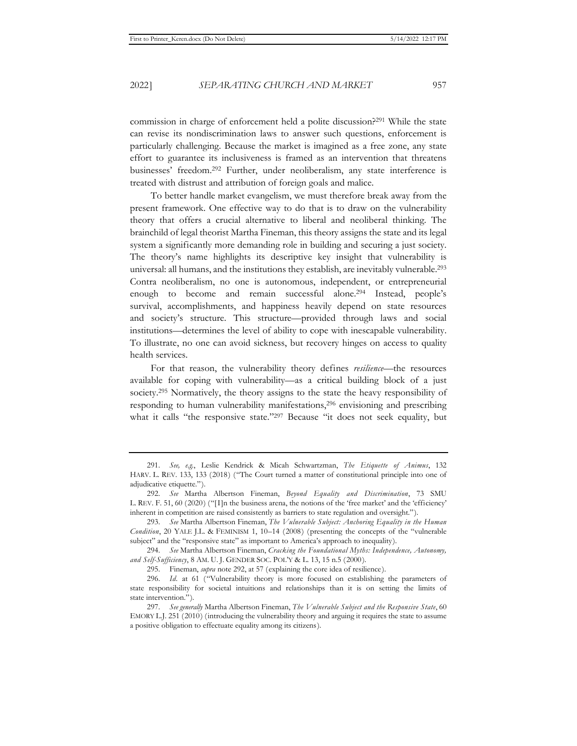commission in charge of enforcement held a polite discussion?291 While the state can revise its nondiscrimination laws to answer such questions, enforcement is particularly challenging. Because the market is imagined as a free zone, any state effort to guarantee its inclusiveness is framed as an intervention that threatens businesses' freedom.292 Further, under neoliberalism, any state interference is treated with distrust and attribution of foreign goals and malice.

To better handle market evangelism, we must therefore break away from the present framework. One effective way to do that is to draw on the vulnerability theory that offers a crucial alternative to liberal and neoliberal thinking. The brainchild of legal theorist Martha Fineman, this theory assigns the state and its legal system a significantly more demanding role in building and securing a just society. The theory's name highlights its descriptive key insight that vulnerability is universal: all humans, and the institutions they establish, are inevitably vulnerable.<sup>293</sup> Contra neoliberalism, no one is autonomous, independent, or entrepreneurial enough to become and remain successful alone.294 Instead, people's survival, accomplishments, and happiness heavily depend on state resources and society's structure. This structure—provided through laws and social institutions—determines the level of ability to cope with inescapable vulnerability. To illustrate, no one can avoid sickness, but recovery hinges on access to quality health services.

For that reason, the vulnerability theory defines *resilience*—the resources available for coping with vulnerability—as a critical building block of a just society.<sup>295</sup> Normatively, the theory assigns to the state the heavy responsibility of responding to human vulnerability manifestations,<sup>296</sup> envisioning and prescribing what it calls "the responsive state."297 Because "it does not seek equality, but

<sup>291.</sup> *See, e.g.*, Leslie Kendrick & Micah Schwartzman, *The Etiquette of Animus*, 132 HARV. L. REV. 133, 133 (2018) ("The Court turned a matter of constitutional principle into one of adjudicative etiquette.").

<sup>292.</sup> *See* Martha Albertson Fineman, *Beyond Equality and Discrimination*, 73 SMU L. REV. F. 51, 60 (2020) ("[I]n the business arena, the notions of the 'free market' and the 'efficiency' inherent in competition are raised consistently as barriers to state regulation and oversight.").

<sup>293.</sup> *See* Martha Albertson Fineman, *The Vulnerable Subject: Anchoring Equality in the Human Condition*, 20 YALE J.L. & FEMINISM 1, 10–14 (2008) (presenting the concepts of the "vulnerable subject" and the "responsive state" as important to America's approach to inequality).

<sup>294.</sup> *See* Martha Albertson Fineman, *Cracking the Foundational Myths: Independence, Autonomy, and Self-Sufficiency*, 8 AM. U. J. GENDER SOC. POL'Y & L. 13, 15 n.5 (2000).

<sup>295.</sup> Fineman, *supra* note 292, at 57 (explaining the core idea of resilience).

<sup>296.</sup> *Id.* at 61 ("Vulnerability theory is more focused on establishing the parameters of state responsibility for societal intuitions and relationships than it is on setting the limits of state intervention.").

<sup>297.</sup> *See generally* Martha Albertson Fineman, *The Vulnerable Subject and the Responsive State*, 60 EMORY L.J. 251 (2010) (introducing the vulnerability theory and arguing it requires the state to assume a positive obligation to effectuate equality among its citizens).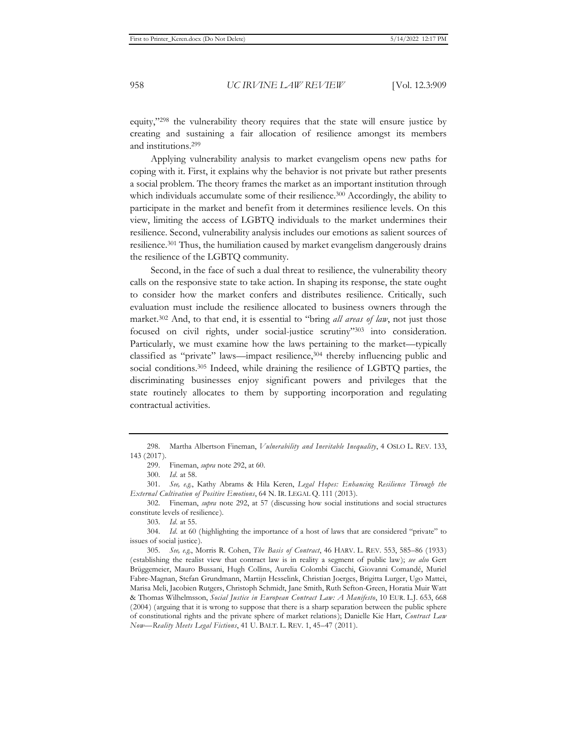equity,"298 the vulnerability theory requires that the state will ensure justice by creating and sustaining a fair allocation of resilience amongst its members and institutions.299

Applying vulnerability analysis to market evangelism opens new paths for coping with it. First, it explains why the behavior is not private but rather presents a social problem. The theory frames the market as an important institution through which individuals accumulate some of their resilience.<sup>300</sup> Accordingly, the ability to participate in the market and benefit from it determines resilience levels. On this view, limiting the access of LGBTQ individuals to the market undermines their resilience. Second, vulnerability analysis includes our emotions as salient sources of resilience.301 Thus, the humiliation caused by market evangelism dangerously drains the resilience of the LGBTQ community.

Second, in the face of such a dual threat to resilience, the vulnerability theory calls on the responsive state to take action. In shaping its response, the state ought to consider how the market confers and distributes resilience. Critically, such evaluation must include the resilience allocated to business owners through the market.302 And, to that end, it is essential to "bring *all areas of law*, not just those focused on civil rights, under social-justice scrutiny"303 into consideration. Particularly, we must examine how the laws pertaining to the market—typically classified as "private" laws—impact resilience,<sup>304</sup> thereby influencing public and social conditions.<sup>305</sup> Indeed, while draining the resilience of LGBTQ parties, the discriminating businesses enjoy significant powers and privileges that the state routinely allocates to them by supporting incorporation and regulating contractual activities.

<sup>298.</sup> Martha Albertson Fineman, *Vulnerability and Inevitable Inequality*, 4 OSLO L. REV. 133, 143 (2017).

<sup>299.</sup> Fineman, *supra* note 292, at 60.

<sup>300.</sup> *Id.* at 58.

<sup>301.</sup> *See, e.g.*, Kathy Abrams & Hila Keren, *Legal Hopes: Enhancing Resilience Through the External Cultivation of Positive Emotions*, 64 N. IR. LEGAL Q. 111 (2013).

<sup>302.</sup> Fineman, *supra* note 292, at 57 (discussing how social institutions and social structures constitute levels of resilience).

<sup>303.</sup> *Id.* at 55.

<sup>304.</sup> *Id.* at 60 (highlighting the importance of a host of laws that are considered "private" to issues of social justice).

<sup>305.</sup> *See, e.g.*, Morris R. Cohen, *The Basis of Contract*, 46 HARV. L. REV. 553, 585–86 (1933) (establishing the realist view that contract law is in reality a segment of public law); *see also* Gert Brüggemeier, Mauro Bussani, Hugh Collins, Aurelia Colombi Ciacchi, Giovanni Comandé, Muriel Fabre-Magnan, Stefan Grundmann, Martijn Hesselink, Christian Joerges, Brigitta Lurger, Ugo Mattei, Marisa Meli, Jacobien Rutgers, Christoph Schmidt, Jane Smith, Ruth Sefton-Green, Horatia Muir Watt & Thomas Wilhelmsson, *Social Justice in European Contract Law: A Manifesto*, 10 EUR. L.J. 653, 668 (2004) (arguing that it is wrong to suppose that there is a sharp separation between the public sphere of constitutional rights and the private sphere of market relations); Danielle Kie Hart, *Contract Law Now—Reality Meets Legal Fictions*, 41 U. BALT. L. REV. 1, 45–47 (2011).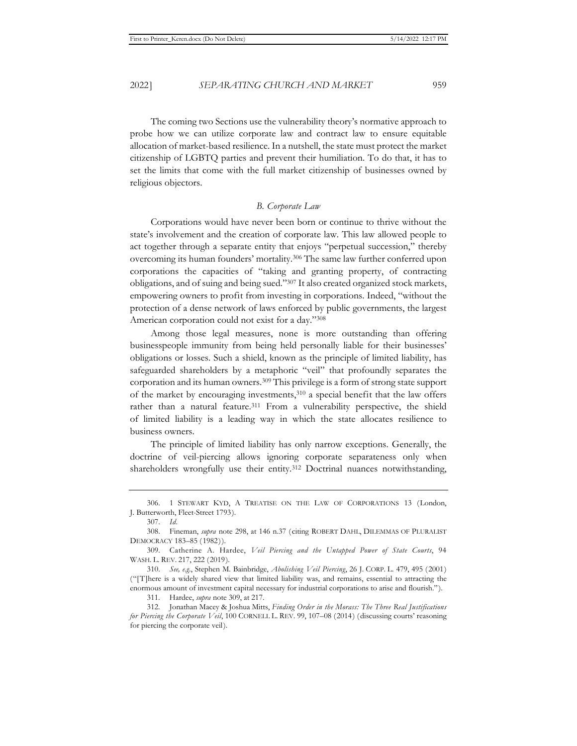allocation of market-based resilience. In a nutshell, the state must protect the market citizenship of LGBTQ parties and prevent their humiliation. To do that, it has to set the limits that come with the full market citizenship of businesses owned by religious objectors.

#### *B. Corporate Law*

Corporations would have never been born or continue to thrive without the state's involvement and the creation of corporate law. This law allowed people to act together through a separate entity that enjoys "perpetual succession," thereby overcoming its human founders' mortality.306 The same law further conferred upon corporations the capacities of "taking and granting property, of contracting obligations, and of suing and being sued."307 It also created organized stock markets, empowering owners to profit from investing in corporations. Indeed, "without the protection of a dense network of laws enforced by public governments, the largest American corporation could not exist for a day."308

Among those legal measures, none is more outstanding than offering businesspeople immunity from being held personally liable for their businesses' obligations or losses. Such a shield, known as the principle of limited liability, has safeguarded shareholders by a metaphoric "veil" that profoundly separates the corporation and its human owners.309 This privilege is a form of strong state support of the market by encouraging investments,310 a special benefit that the law offers rather than a natural feature.<sup>311</sup> From a vulnerability perspective, the shield of limited liability is a leading way in which the state allocates resilience to business owners.

The principle of limited liability has only narrow exceptions. Generally, the doctrine of veil-piercing allows ignoring corporate separateness only when shareholders wrongfully use their entity.<sup>312</sup> Doctrinal nuances notwithstanding,

307. *Id.*

311. Hardee, *supra* note 309, at 217.

<sup>306. 1</sup> STEWART KYD, A TREATISE ON THE LAW OF CORPORATIONS 13 (London, J. Butterworth, Fleet-Street 1793).

<sup>308.</sup> Fineman, *supra* note 298, at 146 n.37 (citing ROBERT DAHL, DILEMMAS OF PLURALIST DEMOCRACY 183–85 (1982)).

<sup>309.</sup> Catherine A. Hardee, *Veil Piercing and the Untapped Power of State Courts*, 94 WASH. L. REV. 217, 222 (2019).

<sup>310.</sup> *See, e.g*., Stephen M. Bainbridge, *Abolishing Veil Piercing*, 26 J. CORP. L. 479, 495 (2001) ("[T]here is a widely shared view that limited liability was, and remains, essential to attracting the enormous amount of investment capital necessary for industrial corporations to arise and flourish.").

<sup>312.</sup> Jonathan Macey & Joshua Mitts, *Finding Order in the Morass: The Three Real Justifications for Piercing the Corporate Veil*, 100 CORNELL L. REV. 99, 107–08 (2014) (discussing courts' reasoning for piercing the corporate veil).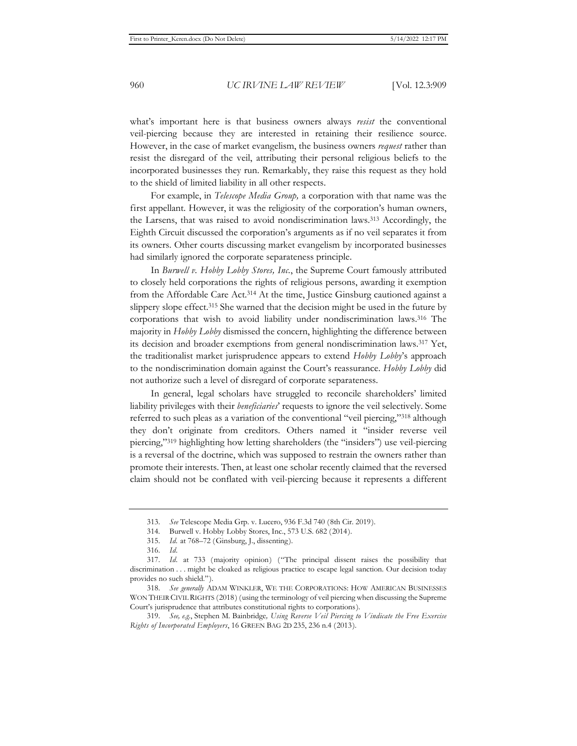what's important here is that business owners always *resist* the conventional veil-piercing because they are interested in retaining their resilience source. However, in the case of market evangelism, the business owners *request* rather than resist the disregard of the veil, attributing their personal religious beliefs to the incorporated businesses they run. Remarkably, they raise this request as they hold to the shield of limited liability in all other respects.

For example, in *Telescope Media Group,* a corporation with that name was the first appellant. However, it was the religiosity of the corporation's human owners, the Larsens, that was raised to avoid nondiscrimination laws.313 Accordingly, the Eighth Circuit discussed the corporation's arguments as if no veil separates it from its owners. Other courts discussing market evangelism by incorporated businesses had similarly ignored the corporate separateness principle.

In *Burwell v. Hobby Lobby Stores, Inc.*, the Supreme Court famously attributed to closely held corporations the rights of religious persons, awarding it exemption from the Affordable Care Act.314 At the time, Justice Ginsburg cautioned against a slippery slope effect.<sup>315</sup> She warned that the decision might be used in the future by corporations that wish to avoid liability under nondiscrimination laws.316 The majority in *Hobby Lobby* dismissed the concern, highlighting the difference between its decision and broader exemptions from general nondiscrimination laws.317 Yet, the traditionalist market jurisprudence appears to extend *Hobby Lobby*'s approach to the nondiscrimination domain against the Court's reassurance. *Hobby Lobby* did not authorize such a level of disregard of corporate separateness.

In general, legal scholars have struggled to reconcile shareholders' limited liability privileges with their *beneficiaries*' requests to ignore the veil selectively. Some referred to such pleas as a variation of the conventional "veil piercing,"318 although they don't originate from creditors. Others named it "insider reverse veil piercing,"319 highlighting how letting shareholders (the "insiders") use veil-piercing is a reversal of the doctrine, which was supposed to restrain the owners rather than promote their interests. Then, at least one scholar recently claimed that the reversed claim should not be conflated with veil-piercing because it represents a different

<sup>313.</sup> *See* Telescope Media Grp. v. Lucero, 936 F.3d 740 (8th Cir. 2019).

<sup>314.</sup> Burwell v. Hobby Lobby Stores, Inc., 573 U.S. 682 (2014).

<sup>315.</sup> *Id.* at 768–72 (Ginsburg, J., dissenting).

<sup>316.</sup> *Id.*

<sup>317.</sup> *Id.* at 733 (majority opinion) ("The principal dissent raises the possibility that discrimination . . . might be cloaked as religious practice to escape legal sanction. Our decision today provides no such shield.").

<sup>318.</sup> *See generally* ADAM WINKLER, WE THE CORPORATIONS: HOW AMERICAN BUSINESSES WON THEIR CIVIL RIGHTS (2018) (using the terminology of veil piercing when discussing the Supreme Court's jurisprudence that attributes constitutional rights to corporations).

<sup>319.</sup> *See, e.g*., Stephen M. Bainbridge*, Using Reverse Veil Piercing to Vindicate the Free Exercise Rights of Incorporated Employers*, 16 GREEN BAG 2D 235, 236 n.4 (2013).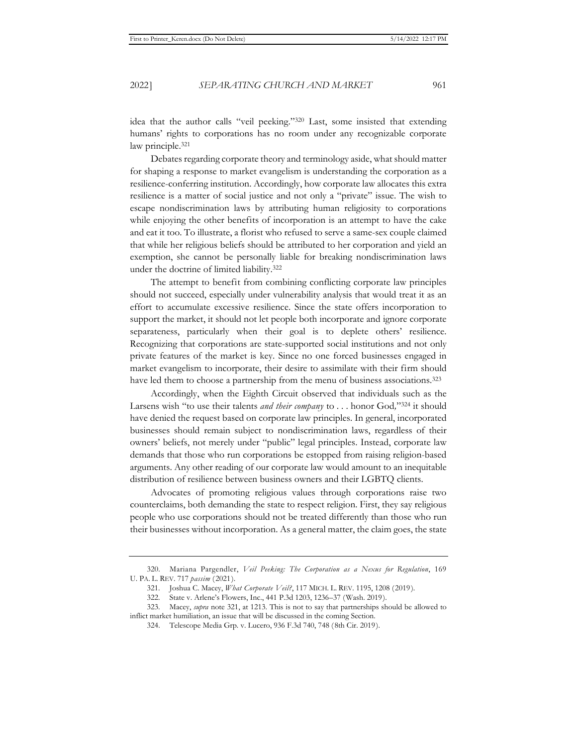idea that the author calls "veil peeking."320 Last, some insisted that extending humans' rights to corporations has no room under any recognizable corporate law principle.<sup>321</sup>

Debates regarding corporate theory and terminology aside, what should matter for shaping a response to market evangelism is understanding the corporation as a resilience-conferring institution. Accordingly, how corporate law allocates this extra resilience is a matter of social justice and not only a "private" issue. The wish to escape nondiscrimination laws by attributing human religiosity to corporations while enjoying the other benefits of incorporation is an attempt to have the cake and eat it too. To illustrate, a florist who refused to serve a same-sex couple claimed that while her religious beliefs should be attributed to her corporation and yield an exemption, she cannot be personally liable for breaking nondiscrimination laws under the doctrine of limited liability.322

The attempt to benefit from combining conflicting corporate law principles should not succeed, especially under vulnerability analysis that would treat it as an effort to accumulate excessive resilience. Since the state offers incorporation to support the market, it should not let people both incorporate and ignore corporate separateness, particularly when their goal is to deplete others' resilience. Recognizing that corporations are state-supported social institutions and not only private features of the market is key. Since no one forced businesses engaged in market evangelism to incorporate, their desire to assimilate with their firm should have led them to choose a partnership from the menu of business associations.<sup>323</sup>

Accordingly, when the Eighth Circuit observed that individuals such as the Larsens wish "to use their talents *and their company* to . . . honor God*,*"324 it should have denied the request based on corporate law principles. In general, incorporated businesses should remain subject to nondiscrimination laws, regardless of their owners' beliefs, not merely under "public" legal principles. Instead, corporate law demands that those who run corporations be estopped from raising religion-based arguments. Any other reading of our corporate law would amount to an inequitable distribution of resilience between business owners and their LGBTQ clients.

Advocates of promoting religious values through corporations raise two counterclaims, both demanding the state to respect religion. First, they say religious people who use corporations should not be treated differently than those who run their businesses without incorporation. As a general matter, the claim goes, the state

<sup>320.</sup> Mariana Pargendler, *Veil Peeking: The Corporation as a Nexus for Regulation*, 169 U. PA. L. REV. 717 *passim* (2021).

<sup>321.</sup> Joshua C. Macey, *What Corporate Veil?*, 117 MICH. L. REV. 1195, 1208 (2019).

<sup>322.</sup> State v. Arlene's Flowers, Inc., 441 P.3d 1203, 1236–37 (Wash. 2019).

<sup>323.</sup> Macey, *supra* note 321, at 1213. This is not to say that partnerships should be allowed to inflict market humiliation, an issue that will be discussed in the coming Section.

<sup>324.</sup> Telescope Media Grp. v. Lucero, 936 F.3d 740, 748 (8th Cir. 2019).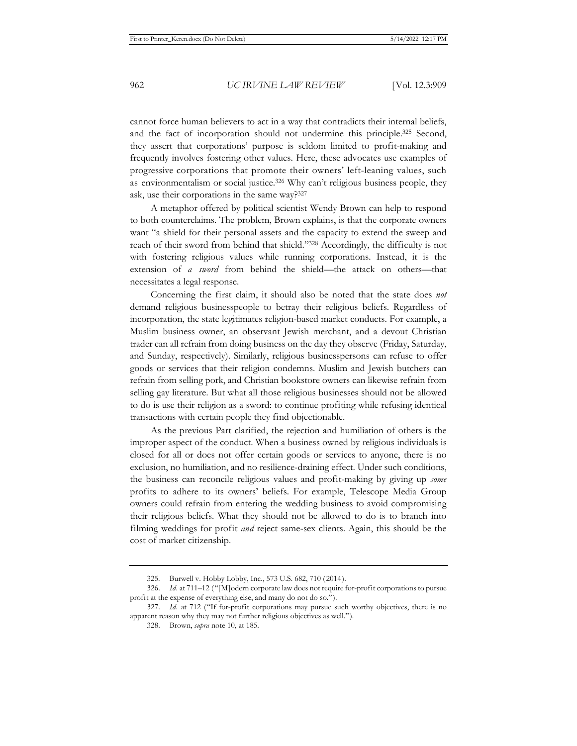cannot force human believers to act in a way that contradicts their internal beliefs, and the fact of incorporation should not undermine this principle.325 Second, they assert that corporations' purpose is seldom limited to profit-making and frequently involves fostering other values. Here, these advocates use examples of progressive corporations that promote their owners' left-leaning values, such as environmentalism or social justice.326 Why can't religious business people, they ask, use their corporations in the same way?327

A metaphor offered by political scientist Wendy Brown can help to respond to both counterclaims. The problem, Brown explains, is that the corporate owners want "a shield for their personal assets and the capacity to extend the sweep and reach of their sword from behind that shield."328 Accordingly, the difficulty is not with fostering religious values while running corporations. Instead, it is the extension of *a sword* from behind the shield—the attack on others—that necessitates a legal response.

Concerning the first claim, it should also be noted that the state does *not* demand religious businesspeople to betray their religious beliefs. Regardless of incorporation, the state legitimates religion-based market conducts. For example, a Muslim business owner, an observant Jewish merchant, and a devout Christian trader can all refrain from doing business on the day they observe (Friday, Saturday, and Sunday, respectively). Similarly, religious businesspersons can refuse to offer goods or services that their religion condemns. Muslim and Jewish butchers can refrain from selling pork, and Christian bookstore owners can likewise refrain from selling gay literature. But what all those religious businesses should not be allowed to do is use their religion as a sword: to continue profiting while refusing identical transactions with certain people they find objectionable.

As the previous Part clarified, the rejection and humiliation of others is the improper aspect of the conduct. When a business owned by religious individuals is closed for all or does not offer certain goods or services to anyone, there is no exclusion, no humiliation, and no resilience-draining effect. Under such conditions, the business can reconcile religious values and profit-making by giving up *some* profits to adhere to its owners' beliefs. For example, Telescope Media Group owners could refrain from entering the wedding business to avoid compromising their religious beliefs. What they should not be allowed to do is to branch into filming weddings for profit *and* reject same-sex clients. Again, this should be the cost of market citizenship.

<sup>325.</sup> Burwell v. Hobby Lobby, Inc., 573 U.S. 682, 710 (2014).

<sup>326.</sup> *Id.* at 711–12 ("[M]odern corporate law does not require for-profit corporations to pursue profit at the expense of everything else, and many do not do so.").

<sup>327.</sup> *Id.* at 712 ("If for-profit corporations may pursue such worthy objectives, there is no apparent reason why they may not further religious objectives as well.").

<sup>328.</sup> Brown, *supra* note 10, at 185.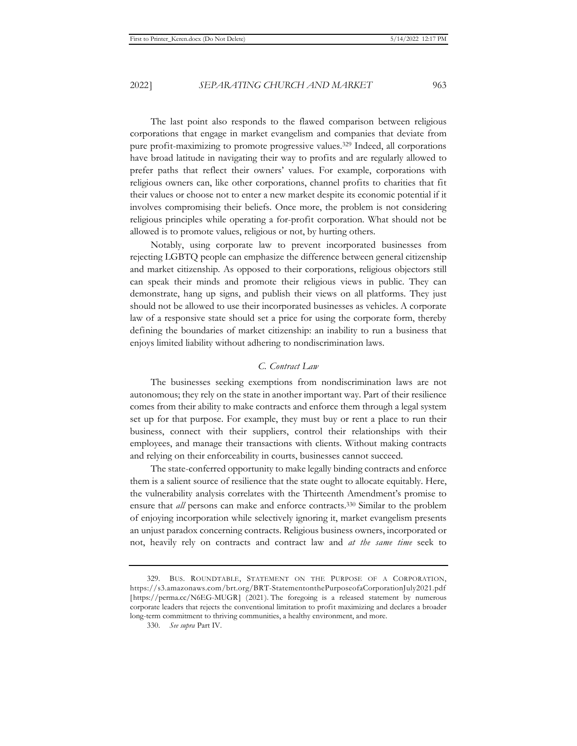The last point also responds to the flawed comparison between religious corporations that engage in market evangelism and companies that deviate from pure profit-maximizing to promote progressive values.329 Indeed, all corporations have broad latitude in navigating their way to profits and are regularly allowed to prefer paths that reflect their owners' values. For example, corporations with religious owners can, like other corporations, channel profits to charities that fit their values or choose not to enter a new market despite its economic potential if it involves compromising their beliefs. Once more, the problem is not considering religious principles while operating a for-profit corporation. What should not be allowed is to promote values, religious or not, by hurting others.

Notably, using corporate law to prevent incorporated businesses from rejecting LGBTQ people can emphasize the difference between general citizenship and market citizenship. As opposed to their corporations, religious objectors still can speak their minds and promote their religious views in public. They can demonstrate, hang up signs, and publish their views on all platforms. They just should not be allowed to use their incorporated businesses as vehicles. A corporate law of a responsive state should set a price for using the corporate form, thereby defining the boundaries of market citizenship: an inability to run a business that enjoys limited liability without adhering to nondiscrimination laws.

#### *C. Contract Law*

The businesses seeking exemptions from nondiscrimination laws are not autonomous; they rely on the state in another important way. Part of their resilience comes from their ability to make contracts and enforce them through a legal system set up for that purpose. For example, they must buy or rent a place to run their business, connect with their suppliers, control their relationships with their employees, and manage their transactions with clients. Without making contracts and relying on their enforceability in courts, businesses cannot succeed.

The state-conferred opportunity to make legally binding contracts and enforce them is a salient source of resilience that the state ought to allocate equitably. Here, the vulnerability analysis correlates with the Thirteenth Amendment's promise to ensure that *all* persons can make and enforce contracts.330 Similar to the problem of enjoying incorporation while selectively ignoring it, market evangelism presents an unjust paradox concerning contracts. Religious business owners, incorporated or not, heavily rely on contracts and contract law and *at the same time* seek to

<sup>329.</sup> BUS. ROUNDTABLE, STATEMENT ON THE PURPOSE OF A CORPORATION, https://s3.amazonaws.com/brt.org/BRT-StatementonthePurposeofaCorporationJuly2021.pdf [https://perma.cc/N6EG-MUGR] (2021). The foregoing is a released statement by numerous corporate leaders that rejects the conventional limitation to profit maximizing and declares a broader long-term commitment to thriving communities, a healthy environment, and more.

<sup>330.</sup> *See supra* Part IV.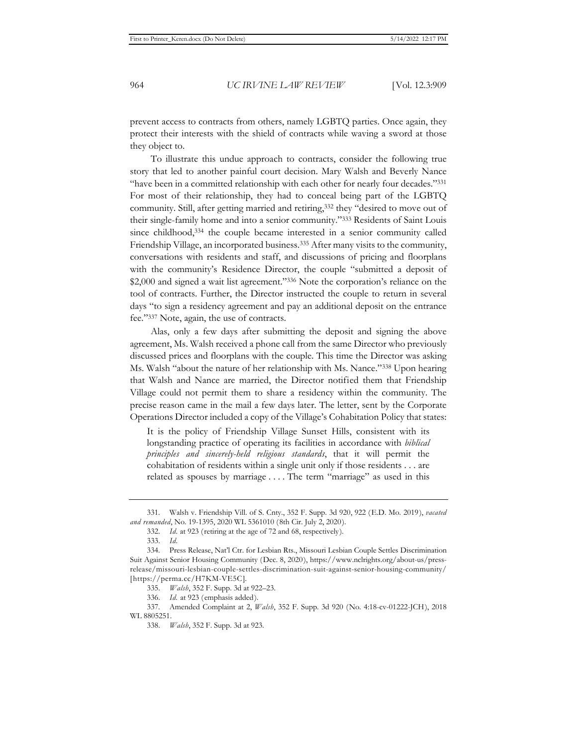prevent access to contracts from others, namely LGBTQ parties. Once again, they protect their interests with the shield of contracts while waving a sword at those they object to.

To illustrate this undue approach to contracts, consider the following true story that led to another painful court decision. Mary Walsh and Beverly Nance "have been in a committed relationship with each other for nearly four decades."331 For most of their relationship, they had to conceal being part of the LGBTQ community. Still, after getting married and retiring,332 they "desired to move out of their single-family home and into a senior community."333 Residents of Saint Louis since childhood, 334 the couple became interested in a senior community called Friendship Village, an incorporated business.335 After many visits to the community, conversations with residents and staff, and discussions of pricing and floorplans with the community's Residence Director, the couple "submitted a deposit of \$2,000 and signed a wait list agreement."336 Note the corporation's reliance on the tool of contracts. Further, the Director instructed the couple to return in several days "to sign a residency agreement and pay an additional deposit on the entrance fee."337 Note, again, the use of contracts.

Alas, only a few days after submitting the deposit and signing the above agreement, Ms. Walsh received a phone call from the same Director who previously discussed prices and floorplans with the couple. This time the Director was asking Ms. Walsh "about the nature of her relationship with Ms. Nance."338 Upon hearing that Walsh and Nance are married, the Director notified them that Friendship Village could not permit them to share a residency within the community. The precise reason came in the mail a few days later. The letter, sent by the Corporate Operations Director included a copy of the Village's Cohabitation Policy that states:

It is the policy of Friendship Village Sunset Hills, consistent with its longstanding practice of operating its facilities in accordance with *biblical principles and sincerely-held religious standards*, that it will permit the cohabitation of residents within a single unit only if those residents . . . are related as spouses by marriage . . . . The term "marriage" as used in this

<sup>331.</sup> Walsh v. Friendship Vill. of S. Cnty., 352 F. Supp. 3d 920, 922 (E.D. Mo. 2019), *vacated and remanded*, No. 19-1395, 2020 WL 5361010 (8th Cir. July 2, 2020).

<sup>332.</sup> *Id.* at 923 (retiring at the age of 72 and 68, respectively).

<sup>333.</sup> *Id.*

<sup>334.</sup> Press Release, Nat'l Ctr. for Lesbian Rts., Missouri Lesbian Couple Settles Discrimination Suit Against Senior Housing Community (Dec. 8, 2020), https://www.nclrights.org/about-us/pressrelease/missouri-lesbian-couple-settles-discrimination-suit-against-senior-housing-community/ [https://perma.cc/H7KM-VE5C].

<sup>335.</sup> *Walsh*, 352 F. Supp. 3d at 922–23.

<sup>336.</sup> *Id.* at 923 (emphasis added).

<sup>337.</sup> Amended Complaint at 2, *Walsh*, 352 F. Supp. 3d 920 (No. 4:18-cv-01222-JCH), 2018 WL 8805251.

<sup>338.</sup> *Walsh*, 352 F. Supp. 3d at 923.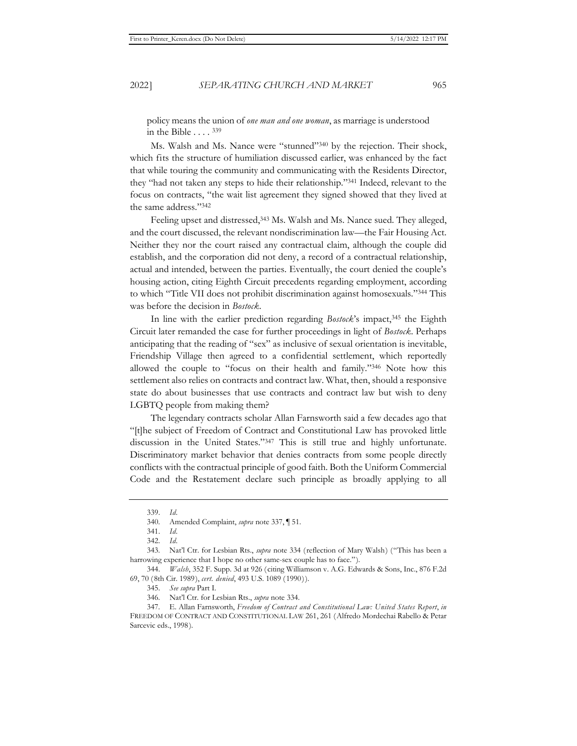policy means the union of *one man and one woman*, as marriage is understood in the Bible . . . . 339

Ms. Walsh and Ms. Nance were "stunned"340 by the rejection. Their shock, which fits the structure of humiliation discussed earlier, was enhanced by the fact that while touring the community and communicating with the Residents Director, they "had not taken any steps to hide their relationship."341 Indeed, relevant to the focus on contracts, "the wait list agreement they signed showed that they lived at the same address."342

Feeling upset and distressed,<sup>343</sup> Ms. Walsh and Ms. Nance sued. They alleged, and the court discussed, the relevant nondiscrimination law—the Fair Housing Act. Neither they nor the court raised any contractual claim, although the couple did establish, and the corporation did not deny, a record of a contractual relationship, actual and intended, between the parties. Eventually, the court denied the couple's housing action, citing Eighth Circuit precedents regarding employment, according to which "Title VII does not prohibit discrimination against homosexuals."344 This was before the decision in *Bostock*.

In line with the earlier prediction regarding *Bostock*'s impact,<sup>345</sup> the Eighth Circuit later remanded the case for further proceedings in light of *Bostock*. Perhaps anticipating that the reading of "sex" as inclusive of sexual orientation is inevitable, Friendship Village then agreed to a confidential settlement, which reportedly allowed the couple to "focus on their health and family."346 Note how this settlement also relies on contracts and contract law. What, then, should a responsive state do about businesses that use contracts and contract law but wish to deny LGBTQ people from making them?

The legendary contracts scholar Allan Farnsworth said a few decades ago that "[t]he subject of Freedom of Contract and Constitutional Law has provoked little discussion in the United States."347 This is still true and highly unfortunate. Discriminatory market behavior that denies contracts from some people directly conflicts with the contractual principle of good faith. Both the Uniform Commercial Code and the Restatement declare such principle as broadly applying to all

<sup>339.</sup> *Id.*

<sup>340.</sup> Amended Complaint, *supra* note 337, ¶ 51.

<sup>341.</sup> *Id.*

<sup>342.</sup> *Id.* 

<sup>343.</sup> Nat'l Ctr. for Lesbian Rts., *supra* note 334 (reflection of Mary Walsh) ("This has been a harrowing experience that I hope no other same-sex couple has to face.").

<sup>344.</sup> *Walsh*, 352 F. Supp. 3d at 926 (citing Williamson v. A.G. Edwards & Sons, Inc., 876 F.2d 69, 70 (8th Cir. 1989), *cert. denied*, 493 U.S. 1089 (1990)).

<sup>345.</sup> *See supra* Part I.

<sup>346.</sup> Nat'l Ctr. for Lesbian Rts., *supra* note 334.

<sup>347.</sup> E. Allan Farnsworth, *Freedom of Contract and Constitutional Law: United States Report*, *in*  FREEDOM OF CONTRACT AND CONSTITUTIONAL LAW 261, 261 (Alfredo Mordechai Rabello & Petar Sarcevic eds., 1998).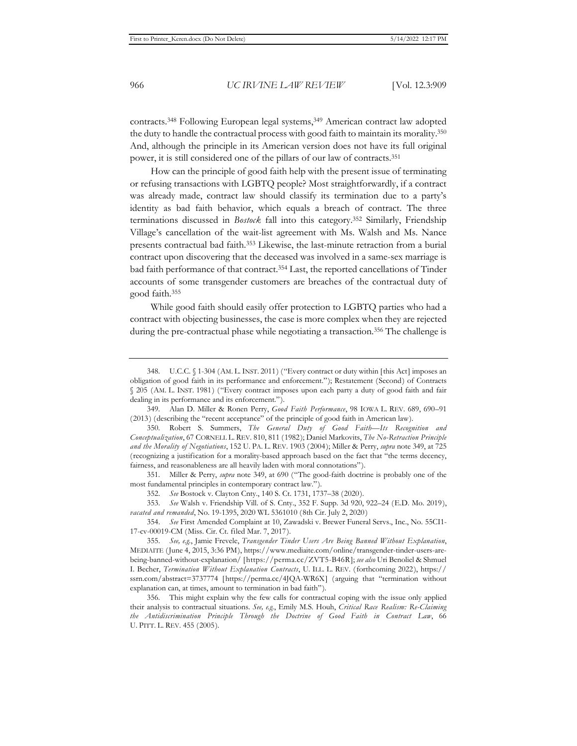contracts.<sup>348</sup> Following European legal systems,<sup>349</sup> American contract law adopted the duty to handle the contractual process with good faith to maintain its morality.350 And, although the principle in its American version does not have its full original power, it is still considered one of the pillars of our law of contracts.351

How can the principle of good faith help with the present issue of terminating or refusing transactions with LGBTQ people? Most straightforwardly, if a contract was already made, contract law should classify its termination due to a party's identity as bad faith behavior, which equals a breach of contract. The three terminations discussed in *Bostock* fall into this category.352 Similarly, Friendship Village's cancellation of the wait-list agreement with Ms. Walsh and Ms. Nance presents contractual bad faith.353 Likewise, the last-minute retraction from a burial contract upon discovering that the deceased was involved in a same-sex marriage is bad faith performance of that contract.354 Last, the reported cancellations of Tinder accounts of some transgender customers are breaches of the contractual duty of good faith.355

While good faith should easily offer protection to LGBTQ parties who had a contract with objecting businesses, the case is more complex when they are rejected during the pre-contractual phase while negotiating a transaction.356 The challenge is

349. Alan D. Miller & Ronen Perry, *Good Faith Performance*, 98 IOWA L. REV. 689, 690–91 (2013) (describing the "recent acceptance" of the principle of good faith in American law).

351. Miller & Perry, *supra* note 349, at 690 ("The good-faith doctrine is probably one of the most fundamental principles in contemporary contract law.").

352. *See* Bostock v. Clayton Cnty., 140 S. Ct. 1731, 1737–38 (2020).

353. *See* Walsh v. Friendship Vill. of S. Cnty., 352 F. Supp. 3d 920, 922–24 (E.D. Mo. 2019), *vacated and remanded*, No. 19-1395, 2020 WL 5361010 (8th Cir. July 2, 2020)

354. *See* First Amended Complaint at 10, Zawadski v. Brewer Funeral Servs., Inc., No. 55CI1- 17-cv-00019-CM (Miss. Cir. Ct. filed Mar. 7, 2017).

<sup>348.</sup> U.C.C. § 1-304 (AM. L. INST. 2011) ("Every contract or duty within [this Act] imposes an obligation of good faith in its performance and enforcement."); Restatement (Second) of Contracts § 205 (AM. L. INST. 1981) ("Every contract imposes upon each party a duty of good faith and fair dealing in its performance and its enforcement.").

<sup>350.</sup> Robert S. Summers, *The General Duty of Good Faith—Its Recognition and Conceptualization*, 67 CORNELL L. REV. 810, 811 (1982); Daniel Markovits, *The No-Retraction Principle and the Morality of Negotiations*, 152 U. PA. L. REV. 1903 (2004); Miller & Perry, *supra* note 349, at 725 (recognizing a justification for a morality-based approach based on the fact that "the terms decency, fairness, and reasonableness are all heavily laden with moral connotations").

<sup>355.</sup> *See, e.g.*, Jamie Frevele, *Transgender Tinder Users Are Being Banned Without Explanation*, MEDIAITE (June 4, 2015, 3:36 PM), https://www.mediaite.com/online/transgender-tinder-users-arebeing-banned-without-explanation/ [https://perma.cc/ZVT5-B46R]; *see also* Uri Benoliel & Shmuel I. Becher, *Termination Without Explanation Contracts*, U. ILL. L. REV. (forthcoming 2022), https:// ssrn.com/abstract=3737774 [https://perma.cc/4JQA-WR6X] (arguing that "termination without explanation can, at times, amount to termination in bad faith").

<sup>356.</sup> This might explain why the few calls for contractual coping with the issue only applied their analysis to contractual situations. *See, e.g.*, Emily M.S. Houh, *Critical Race Realism: Re-Claiming the Antidiscrimination Principle Through the Doctrine of Good Faith in Contract Law*, 66 U. PITT. L. REV. 455 (2005).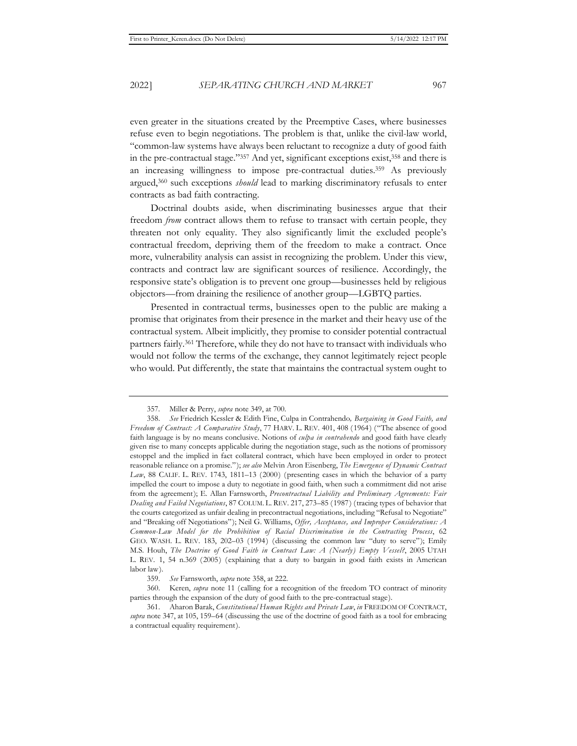even greater in the situations created by the Preemptive Cases, where businesses refuse even to begin negotiations. The problem is that, unlike the civil-law world, "common-law systems have always been reluctant to recognize a duty of good faith in the pre-contractual stage."357 And yet, significant exceptions exist,358 and there is an increasing willingness to impose pre-contractual duties.359 As previously argued,360 such exceptions *should* lead to marking discriminatory refusals to enter contracts as bad faith contracting.

Doctrinal doubts aside, when discriminating businesses argue that their freedom *from* contract allows them to refuse to transact with certain people, they threaten not only equality. They also significantly limit the excluded people's contractual freedom, depriving them of the freedom to make a contract. Once more, vulnerability analysis can assist in recognizing the problem. Under this view, contracts and contract law are significant sources of resilience. Accordingly, the responsive state's obligation is to prevent one group—businesses held by religious objectors—from draining the resilience of another group—LGBTQ parties.

Presented in contractual terms, businesses open to the public are making a promise that originates from their presence in the market and their heavy use of the contractual system. Albeit implicitly, they promise to consider potential contractual partners fairly.361 Therefore, while they do not have to transact with individuals who would not follow the terms of the exchange, they cannot legitimately reject people who would. Put differently, the state that maintains the contractual system ought to

<sup>357.</sup> Miller & Perry, *supra* note 349, at 700.

<sup>358.</sup> *See* Friedrich Kessler & Edith Fine, Culpa in Contrahendo*, Bargaining in Good Faith, and Freedom of Contract: A Comparative Study*, 77 HARV. L. REV. 401, 408 (1964) ("The absence of good faith language is by no means conclusive. Notions of *culpa in contrahendo* and good faith have clearly given rise to many concepts applicable during the negotiation stage, such as the notions of promissory estoppel and the implied in fact collateral contract, which have been employed in order to protect reasonable reliance on a promise."); *see also* Melvin Aron Eisenberg, *The Emergence of Dynamic Contract Law*, 88 CALIF. L. REV. 1743, 1811–13 (2000) (presenting cases in which the behavior of a party impelled the court to impose a duty to negotiate in good faith, when such a commitment did not arise from the agreement); E. Allan Farnsworth, *Precontractual Liability and Preliminary Agreements: Fair Dealing and Failed Negotiations*, 87 COLUM. L. REV. 217, 273–85 (1987) (tracing types of behavior that the courts categorized as unfair dealing in precontractual negotiations, including "Refusal to Negotiate" and "Breaking off Negotiations"); Neil G. Williams, *Offer, Acceptance, and Improper Considerations: A Common-Law Model for the Prohibition of Racial Discrimination in the Contracting Process*, 62 GEO. WASH. L. REV. 183, 202–03 (1994) (discussing the common law "duty to serve"); Emily M.S. Houh, *The Doctrine of Good Faith in Contract Law: A (Nearly) Empty Vessel?*, 2005 UTAH L. REV. 1, 54 n.369 (2005) (explaining that a duty to bargain in good faith exists in American labor law).

<sup>359.</sup> *See* Farnsworth, *supra* note 358, at 222.

<sup>360.</sup> Keren, *supra* note 11 (calling for a recognition of the freedom TO contract of minority parties through the expansion of the duty of good faith to the pre-contractual stage).

<sup>361.</sup> Aharon Barak, *Constitutional Human Rights and Private Law*, *in* FREEDOM OF CONTRACT, *supra* note 347, at 105, 159–64 (discussing the use of the doctrine of good faith as a tool for embracing a contractual equality requirement).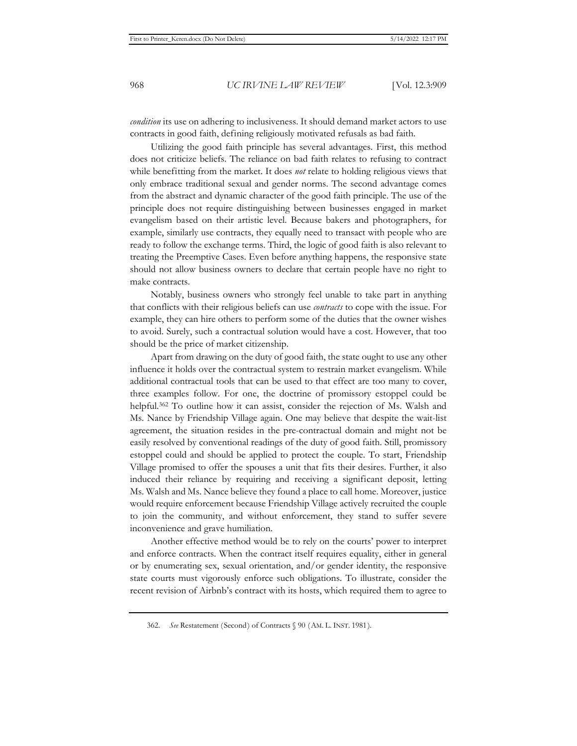*condition* its use on adhering to inclusiveness. It should demand market actors to use contracts in good faith, defining religiously motivated refusals as bad faith.

Utilizing the good faith principle has several advantages. First, this method does not criticize beliefs. The reliance on bad faith relates to refusing to contract while benefitting from the market. It does *not* relate to holding religious views that only embrace traditional sexual and gender norms. The second advantage comes from the abstract and dynamic character of the good faith principle. The use of the principle does not require distinguishing between businesses engaged in market evangelism based on their artistic level. Because bakers and photographers, for example, similarly use contracts, they equally need to transact with people who are ready to follow the exchange terms. Third, the logic of good faith is also relevant to treating the Preemptive Cases. Even before anything happens, the responsive state should not allow business owners to declare that certain people have no right to make contracts.

Notably, business owners who strongly feel unable to take part in anything that conflicts with their religious beliefs can use *contracts* to cope with the issue. For example, they can hire others to perform some of the duties that the owner wishes to avoid. Surely, such a contractual solution would have a cost. However, that too should be the price of market citizenship.

Apart from drawing on the duty of good faith, the state ought to use any other influence it holds over the contractual system to restrain market evangelism. While additional contractual tools that can be used to that effect are too many to cover, three examples follow. For one, the doctrine of promissory estoppel could be helpful.<sup>362</sup> To outline how it can assist, consider the rejection of Ms. Walsh and Ms. Nance by Friendship Village again. One may believe that despite the wait-list agreement, the situation resides in the pre-contractual domain and might not be easily resolved by conventional readings of the duty of good faith. Still, promissory estoppel could and should be applied to protect the couple. To start, Friendship Village promised to offer the spouses a unit that fits their desires. Further, it also induced their reliance by requiring and receiving a significant deposit, letting Ms. Walsh and Ms. Nance believe they found a place to call home. Moreover, justice would require enforcement because Friendship Village actively recruited the couple to join the community, and without enforcement, they stand to suffer severe inconvenience and grave humiliation.

Another effective method would be to rely on the courts' power to interpret and enforce contracts. When the contract itself requires equality, either in general or by enumerating sex, sexual orientation, and/or gender identity, the responsive state courts must vigorously enforce such obligations. To illustrate, consider the recent revision of Airbnb's contract with its hosts, which required them to agree to

<sup>362.</sup> *See* Restatement (Second) of Contracts § 90 (AM. L. INST. 1981).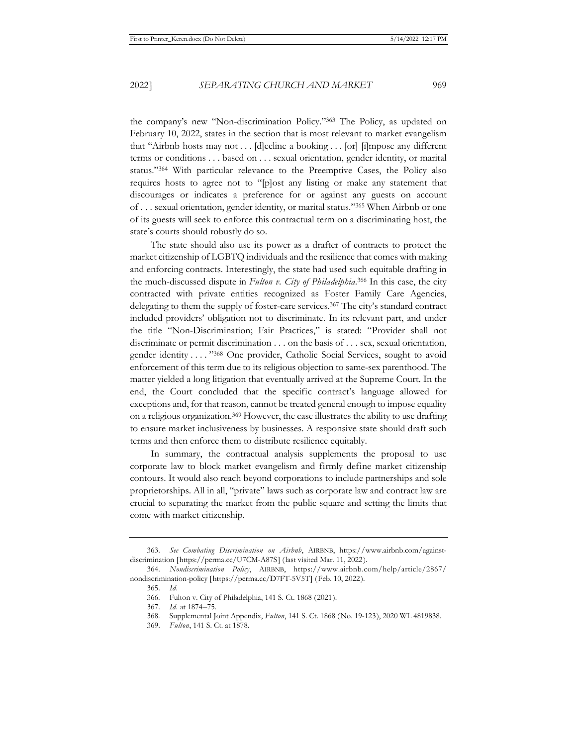the company's new "Non-discrimination Policy."363 The Policy, as updated on February 10, 2022, states in the section that is most relevant to market evangelism that "Airbnb hosts may not . . . [d]ecline a booking . . . [or] [i]mpose any different terms or conditions . . . based on . . . sexual orientation, gender identity, or marital status."364 With particular relevance to the Preemptive Cases, the Policy also requires hosts to agree not to "[p]ost any listing or make any statement that discourages or indicates a preference for or against any guests on account of . . . sexual orientation, gender identity, or marital status."365 When Airbnb or one of its guests will seek to enforce this contractual term on a discriminating host, the state's courts should robustly do so.

The state should also use its power as a drafter of contracts to protect the market citizenship of LGBTQ individuals and the resilience that comes with making and enforcing contracts. Interestingly, the state had used such equitable drafting in the much-discussed dispute in *Fulton v. City of Philadelphia*. 366 In this case, the city contracted with private entities recognized as Foster Family Care Agencies, delegating to them the supply of foster-care services.<sup>367</sup> The city's standard contract included providers' obligation not to discriminate. In its relevant part, and under the title "Non-Discrimination; Fair Practices," is stated: "Provider shall not discriminate or permit discrimination . . . on the basis of . . . sex, sexual orientation, gender identity . . . . "368 One provider, Catholic Social Services, sought to avoid enforcement of this term due to its religious objection to same-sex parenthood. The matter yielded a long litigation that eventually arrived at the Supreme Court. In the end, the Court concluded that the specific contract's language allowed for exceptions and, for that reason, cannot be treated general enough to impose equality on a religious organization.369 However, the case illustrates the ability to use drafting to ensure market inclusiveness by businesses. A responsive state should draft such terms and then enforce them to distribute resilience equitably.

In summary, the contractual analysis supplements the proposal to use corporate law to block market evangelism and firmly define market citizenship contours. It would also reach beyond corporations to include partnerships and sole proprietorships. All in all, "private" laws such as corporate law and contract law are crucial to separating the market from the public square and setting the limits that come with market citizenship.

<sup>363.</sup> *See Combating Discrimination on Airbnb*, AIRBNB, https://www.airbnb.com/againstdiscrimination [https://perma.cc/U7CM-A87S] (last visited Mar. 11, 2022).

<sup>364.</sup> *Nondiscrimination Policy*, AIRBNB, https://www.airbnb.com/help/article/2867/ nondiscrimination-policy [https://perma.cc/D7FT-5V5T] (Feb. 10, 2022).

<sup>365.</sup> *Id.*

<sup>366.</sup> Fulton v. City of Philadelphia, 141 S. Ct. 1868 (2021).

<sup>367.</sup> *Id.* at 1874–75.

<sup>368.</sup> Supplemental Joint Appendix, *Fulton*, 141 S. Ct. 1868 (No. 19-123), 2020 WL 4819838.

<sup>369.</sup> *Fulton*, 141 S. Ct. at 1878.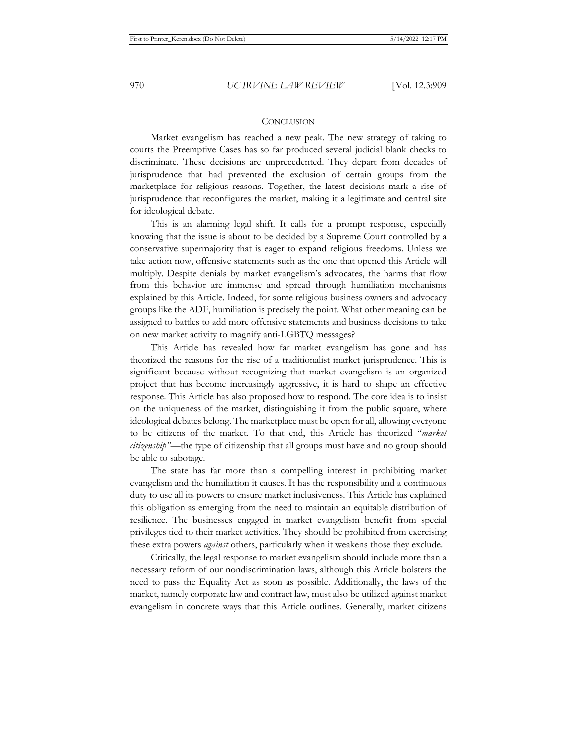#### **CONCLUSION**

Market evangelism has reached a new peak. The new strategy of taking to courts the Preemptive Cases has so far produced several judicial blank checks to discriminate. These decisions are unprecedented. They depart from decades of jurisprudence that had prevented the exclusion of certain groups from the marketplace for religious reasons. Together, the latest decisions mark a rise of jurisprudence that reconfigures the market, making it a legitimate and central site for ideological debate.

This is an alarming legal shift. It calls for a prompt response, especially knowing that the issue is about to be decided by a Supreme Court controlled by a conservative supermajority that is eager to expand religious freedoms. Unless we take action now, offensive statements such as the one that opened this Article will multiply. Despite denials by market evangelism's advocates, the harms that flow from this behavior are immense and spread through humiliation mechanisms explained by this Article. Indeed, for some religious business owners and advocacy groups like the ADF, humiliation is precisely the point. What other meaning can be assigned to battles to add more offensive statements and business decisions to take on new market activity to magnify anti-LGBTQ messages?

This Article has revealed how far market evangelism has gone and has theorized the reasons for the rise of a traditionalist market jurisprudence. This is significant because without recognizing that market evangelism is an organized project that has become increasingly aggressive, it is hard to shape an effective response. This Article has also proposed how to respond. The core idea is to insist on the uniqueness of the market, distinguishing it from the public square, where ideological debates belong. The marketplace must be open for all, allowing everyone to be citizens of the market. To that end, this Article has theorized "*market citizenship"—*the type of citizenship that all groups must have and no group should be able to sabotage.

The state has far more than a compelling interest in prohibiting market evangelism and the humiliation it causes. It has the responsibility and a continuous duty to use all its powers to ensure market inclusiveness. This Article has explained this obligation as emerging from the need to maintain an equitable distribution of resilience. The businesses engaged in market evangelism benefit from special privileges tied to their market activities. They should be prohibited from exercising these extra powers *against* others, particularly when it weakens those they exclude.

Critically, the legal response to market evangelism should include more than a necessary reform of our nondiscrimination laws, although this Article bolsters the need to pass the Equality Act as soon as possible. Additionally, the laws of the market, namely corporate law and contract law, must also be utilized against market evangelism in concrete ways that this Article outlines. Generally, market citizens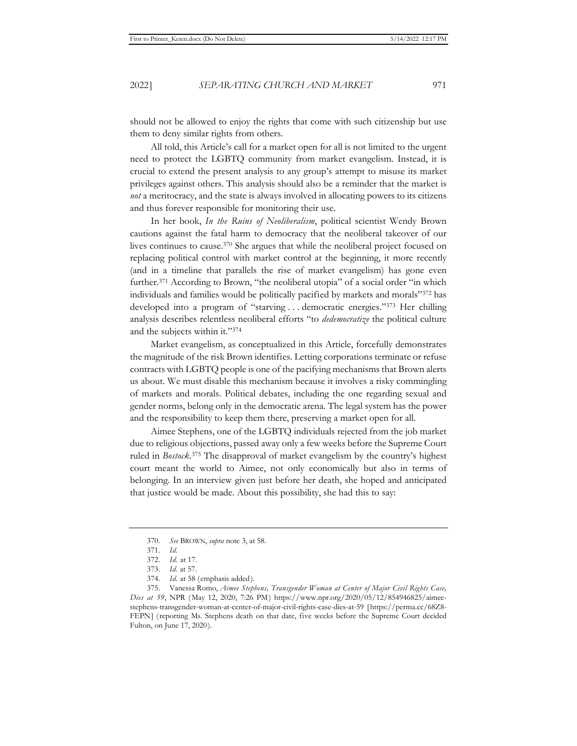should not be allowed to enjoy the rights that come with such citizenship but use them to deny similar rights from others.

All told, this Article's call for a market open for all is not limited to the urgent need to protect the LGBTQ community from market evangelism. Instead, it is crucial to extend the present analysis to any group's attempt to misuse its market privileges against others. This analysis should also be a reminder that the market is *not* a meritocracy, and the state is always involved in allocating powers to its citizens and thus forever responsible for monitoring their use.

In her book, *In the Ruins of Neoliberalism*, political scientist Wendy Brown cautions against the fatal harm to democracy that the neoliberal takeover of our lives continues to cause.370 She argues that while the neoliberal project focused on replacing political control with market control at the beginning, it more recently (and in a timeline that parallels the rise of market evangelism) has gone even further.<sup>371</sup> According to Brown, "the neoliberal utopia" of a social order "in which individuals and families would be politically pacified by markets and morals"372 has developed into a program of "starving . . . democratic energies."373 Her chilling analysis describes relentless neoliberal efforts "to *dedemocratize* the political culture and the subjects within it."374

Market evangelism, as conceptualized in this Article, forcefully demonstrates the magnitude of the risk Brown identifies. Letting corporations terminate or refuse contracts with LGBTQ people is one of the pacifying mechanisms that Brown alerts us about. We must disable this mechanism because it involves a risky commingling of markets and morals. Political debates, including the one regarding sexual and gender norms, belong only in the democratic arena. The legal system has the power and the responsibility to keep them there, preserving a market open for all.

Aimee Stephens, one of the LGBTQ individuals rejected from the job market due to religious objections, passed away only a few weeks before the Supreme Court ruled in *Bostock*. 375 The disapproval of market evangelism by the country's highest court meant the world to Aimee, not only economically but also in terms of belonging. In an interview given just before her death, she hoped and anticipated that justice would be made. About this possibility, she had this to say:

<sup>370.</sup> *See* BROWN, *supra* note 3, at 58.

<sup>371.</sup> *Id.*

<sup>372.</sup> *Id.* at 17.

<sup>373.</sup> *Id.* at 57.

<sup>374.</sup> *Id.* at 58 (emphasis added).

<sup>375.</sup> Vanessa Romo, *Aimee Stephens, Transgender Woman at Center of Major Civil Rights Case, Dies at 59*, NPR (May 12, 2020, 7:26 PM) https://www.npr.org/2020/05/12/854946825/aimeestephens-transgender-woman-at-center-of-major-civil-rights-case-dies-at-59 [https://perma.cc/68Z8- FEPN] (reporting Ms. Stephens death on that date, five weeks before the Supreme Court decided Fulton, on June 17, 2020).